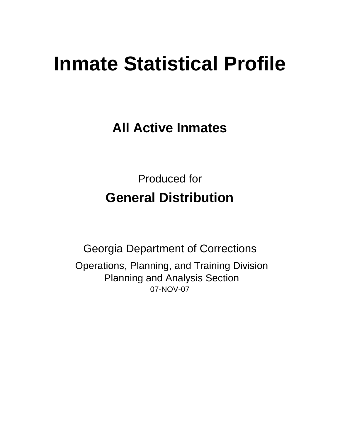# **Inmate Statistical Profile**

**All Active Inmates**

Produced for **General Distribution**

07-NOV-07 Georgia Department of Corrections Operations, Planning, and Training Division Planning and Analysis Section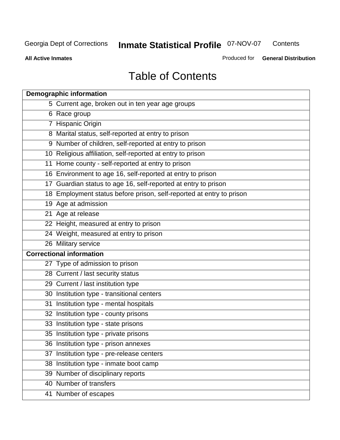**Contents** 

**All Active Inmates**

Produced for **General Distribution**

# Table of Contents

| <b>Demographic information</b>                                       |  |
|----------------------------------------------------------------------|--|
| 5 Current age, broken out in ten year age groups                     |  |
| 6 Race group                                                         |  |
| 7 Hispanic Origin                                                    |  |
| 8 Marital status, self-reported at entry to prison                   |  |
| 9 Number of children, self-reported at entry to prison               |  |
| 10 Religious affiliation, self-reported at entry to prison           |  |
| 11 Home county - self-reported at entry to prison                    |  |
| 16 Environment to age 16, self-reported at entry to prison           |  |
| 17 Guardian status to age 16, self-reported at entry to prison       |  |
| 18 Employment status before prison, self-reported at entry to prison |  |
| 19 Age at admission                                                  |  |
| 21 Age at release                                                    |  |
| 22 Height, measured at entry to prison                               |  |
| 24 Weight, measured at entry to prison                               |  |
| 26 Military service                                                  |  |
| <b>Correctional information</b>                                      |  |
| 27 Type of admission to prison                                       |  |
| 28 Current / last security status                                    |  |
| 29 Current / last institution type                                   |  |
| 30 Institution type - transitional centers                           |  |
| 31 Institution type - mental hospitals                               |  |
| 32 Institution type - county prisons                                 |  |
| 33 Institution type - state prisons                                  |  |
| 35 Institution type - private prisons                                |  |
| 36 Institution type - prison annexes                                 |  |
| 37 Institution type - pre-release centers                            |  |
| 38 Institution type - inmate boot camp                               |  |
| 39 Number of disciplinary reports                                    |  |
| 40 Number of transfers                                               |  |
| 41 Number of escapes                                                 |  |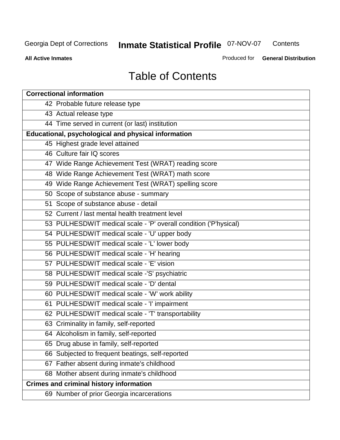**Contents** 

**All Active Inmates**

Produced for **General Distribution**

# Table of Contents

| <b>Correctional information</b>                                  |
|------------------------------------------------------------------|
| 42 Probable future release type                                  |
| 43 Actual release type                                           |
| 44 Time served in current (or last) institution                  |
| Educational, psychological and physical information              |
| 45 Highest grade level attained                                  |
| 46 Culture fair IQ scores                                        |
| 47 Wide Range Achievement Test (WRAT) reading score              |
| 48 Wide Range Achievement Test (WRAT) math score                 |
| 49 Wide Range Achievement Test (WRAT) spelling score             |
| 50 Scope of substance abuse - summary                            |
| 51 Scope of substance abuse - detail                             |
| 52 Current / last mental health treatment level                  |
| 53 PULHESDWIT medical scale - 'P' overall condition ('P'hysical) |
| 54 PULHESDWIT medical scale - 'U' upper body                     |
| 55 PULHESDWIT medical scale - 'L' lower body                     |
| 56 PULHESDWIT medical scale - 'H' hearing                        |
| 57 PULHESDWIT medical scale - 'E' vision                         |
| 58 PULHESDWIT medical scale -'S' psychiatric                     |
| 59 PULHESDWIT medical scale - 'D' dental                         |
| 60 PULHESDWIT medical scale - 'W' work ability                   |
| 61 PULHESDWIT medical scale - 'I' impairment                     |
| 62 PULHESDWIT medical scale - 'T' transportability               |
| 63 Criminality in family, self-reported                          |
| 64 Alcoholism in family, self-reported                           |
| 65 Drug abuse in family, self-reported                           |
| 66 Subjected to frequent beatings, self-reported                 |
| 67 Father absent during inmate's childhood                       |
| 68 Mother absent during inmate's childhood                       |
| <b>Crimes and criminal history information</b>                   |
| 69 Number of prior Georgia incarcerations                        |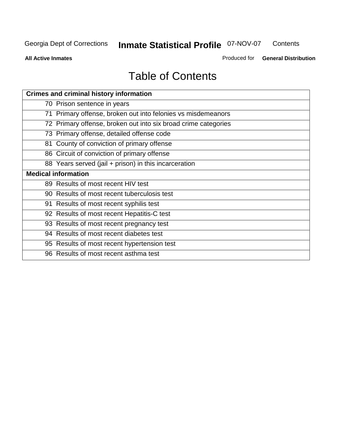**Contents** 

**All Active Inmates**

Produced for **General Distribution**

# Table of Contents

| <b>Crimes and criminal history information</b>                 |
|----------------------------------------------------------------|
| 70 Prison sentence in years                                    |
| 71 Primary offense, broken out into felonies vs misdemeanors   |
| 72 Primary offense, broken out into six broad crime categories |
| 73 Primary offense, detailed offense code                      |
| 81 County of conviction of primary offense                     |
| 86 Circuit of conviction of primary offense                    |
| 88 Years served (jail + prison) in this incarceration          |
| <b>Medical information</b>                                     |
| 89 Results of most recent HIV test                             |
| 90 Results of most recent tuberculosis test                    |
| 91 Results of most recent syphilis test                        |
| 92 Results of most recent Hepatitis-C test                     |
| 93 Results of most recent pregnancy test                       |
| 94 Results of most recent diabetes test                        |
| 95 Results of most recent hypertension test                    |
| 96 Results of most recent asthma test                          |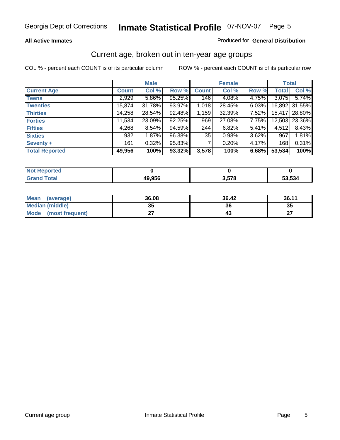#### **All Active Inmates**

#### Produced for **General Distribution**

### Current age, broken out in ten-year age groups

|                       |              | <b>Male</b> |        |              | <b>Female</b> |          | <b>Total</b> |                 |
|-----------------------|--------------|-------------|--------|--------------|---------------|----------|--------------|-----------------|
| <b>Current Age</b>    | <b>Count</b> | Col %       | Row %  | <b>Count</b> | Col %         | Row %    | <b>Total</b> | Col %           |
| <b>Teens</b>          | 2,929        | $5.86\%$    | 95.25% | 146          | 4.08%         | 4.75%    | 3,075        | 5.74%           |
| <b>Twenties</b>       | 15,874       | 31.78%      | 93.97% | 1,018        | 28.45%        | $6.03\%$ |              | 16,892 31.55%   |
| <b>Thirties</b>       | 14,258       | 28.54%      | 92.48% | 1,159        | 32.39%        | $7.52\%$ |              | 15,417 28.80%   |
| <b>Forties</b>        | 11,534       | 23.09%      | 92.25% | 969          | 27.08%        | 7.75%    |              | 12,503   23.36% |
| <b>Fifties</b>        | 4,268        | 8.54%       | 94.59% | 244          | 6.82%         | $5.41\%$ | 4,512        | 8.43%           |
| <b>Sixties</b>        | 932          | 1.87%       | 96.38% | 35           | 0.98%         | 3.62%    | 967          | 1.81%           |
| Seventy +             | 161          | 0.32%       | 95.83% |              | 0.20%         | 4.17%    | 168          | 0.31%           |
| <b>Total Reported</b> | 49,956       | 100%        | 93.32% | 3,578        | 100%          | 6.68%    | 53,534       | 100%            |

| <b>Not Renor</b><br><b>orted</b> |        |            |      |
|----------------------------------|--------|------------|------|
| <b>Fotal</b>                     | 49,956 | <b>E70</b> | .534 |

| <b>Mean</b><br>(average) | 36.08     | 36.42 | 36.11     |
|--------------------------|-----------|-------|-----------|
| <b>Median (middle)</b>   | 25<br>JJ. | 36    | 35        |
| Mode<br>(most frequent)  |           |       | ^7<br>. . |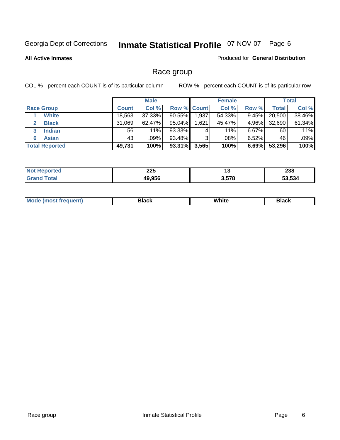**All Active Inmates**

#### Produced for **General Distribution**

### Race group

|                       |              | <b>Male</b> |                    |       | <b>Female</b> |          |        | <b>Total</b> |
|-----------------------|--------------|-------------|--------------------|-------|---------------|----------|--------|--------------|
| <b>Race Group</b>     | <b>Count</b> | Col %       | <b>Row % Count</b> |       | Col %         | Row %    | Total  | Col %        |
| <b>White</b>          | 18,563       | 37.33%      | $90.55\%$          | 1,937 | 54.33%        | 9.45%    | 20,500 | 38.46%       |
| <b>Black</b>          | 31,069       | $62.47\%$   | 95.04%             | .621  | 45.47%        | 4.96%    | 32,690 | 61.34%       |
| <b>Indian</b><br>3    | 56           | $.11\%$     | 93.33%             |       | $.11\%$       | $6.67\%$ | 60     | .11%         |
| <b>Asian</b>          | 43           | .09%        | 93.48%             | ົ     | .08%          | $6.52\%$ | 46     | .09%         |
| <b>Total Reported</b> | 49,731       | 100%        | 93.31%             | 3,565 | 100%          | 6.69%    | 53,296 | 100%         |

| つつに<br>ZZJ | יי             | <b>000</b><br>290 |
|------------|----------------|-------------------|
| C<br>10    | . .-^<br>5.J/O | 53.534            |

| $ -$ | White<br>Mc<br>DIACK<br>nacn |  |
|------|------------------------------|--|
|------|------------------------------|--|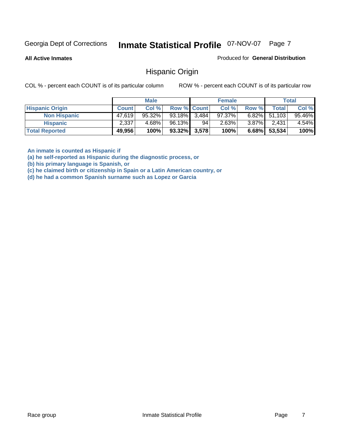**All Active Inmates**

Produced for **General Distribution**

### Hispanic Origin

COL % - percent each COUNT is of its particular column ROW % - percent each COUNT is of its particular row

|                        |              | <b>Male</b> |                    |    | <b>Female</b> |          |                 | <b>Total</b> |
|------------------------|--------------|-------------|--------------------|----|---------------|----------|-----------------|--------------|
| <b>Hispanic Origin</b> | <b>Count</b> | Col %       | <b>Row % Count</b> |    | Col %         | Row %    | Total           | Col %        |
| <b>Non Hispanic</b>    | 47.619       | $95.32\%$   | $93.18\%$ 3,484    |    | $97.37\%$     |          | $6.82\%$ 51,103 | 95.46%       |
| <b>Hispanic</b>        | 2,337        | 4.68%       | 96.13%             | 94 | 2.63%         | $3.87\%$ | 2,431           | $4.54\%$     |
| <b>Total Reported</b>  | 49,956       | 100%        | $93.32\%$ 3,578    |    | 100%          | 6.68%    | 53,534          | 100%         |

**An inmate is counted as Hispanic if** 

**(a) he self-reported as Hispanic during the diagnostic process, or** 

**(b) his primary language is Spanish, or** 

**(c) he claimed birth or citizenship in Spain or a Latin American country, or** 

**(d) he had a common Spanish surname such as Lopez or Garcia**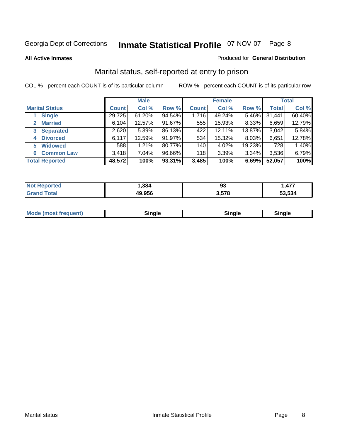#### **All Active Inmates**

#### Produced for **General Distribution**

### Marital status, self-reported at entry to prison

|                                |              | <b>Male</b> |        |              | <b>Female</b> |        |              | <b>Total</b> |
|--------------------------------|--------------|-------------|--------|--------------|---------------|--------|--------------|--------------|
| <b>Marital Status</b>          | <b>Count</b> | Col %       | Row %  | <b>Count</b> | Col %         | Row %  | <b>Total</b> | Col %        |
| <b>Single</b>                  | 29,725       | $61.20\%$   | 94.54% | 1,716        | 49.24%        | 5.46%  | 31,441       | 60.40%       |
| <b>Married</b><br>$\mathbf{2}$ | 6,104        | 12.57%      | 91.67% | 555          | 15.93%        | 8.33%  | 6,659        | 12.79%       |
| <b>Separated</b><br>3          | 2,620        | 5.39%       | 86.13% | 422          | 12.11%        | 13.87% | 3,042        | 5.84%        |
| <b>Divorced</b><br>4           | 6,117        | 12.59%      | 91.97% | 534          | 15.32%        | 8.03%  | 6,651        | 12.78%       |
| <b>Widowed</b><br>5            | 588          | 1.21%       | 80.77% | 140          | 4.02%         | 19.23% | 728          | 1.40%        |
| <b>Common Law</b><br>6.        | 3,418        | 7.04%       | 96.66% | 118          | 3.39%         | 3.34%  | 3,536        | 6.79%        |
| <b>Total Reported</b>          | 48,572       | 100%        | 93.31% | 3,485        | 100%          | 6.69%  | 52,057       | 100%         |

|       | 201<br>.ാഠെ          | ึ୰  | $\overline{a}$<br>л<br>.         |
|-------|----------------------|-----|----------------------------------|
| _____ | 0.OEC<br><u>так.</u> | E70 | $F^{\alpha}$ $F^{\alpha}$<br>534 |

|  | Mode (most f<br>freauent) | `ınale |  | `inale |
|--|---------------------------|--------|--|--------|
|--|---------------------------|--------|--|--------|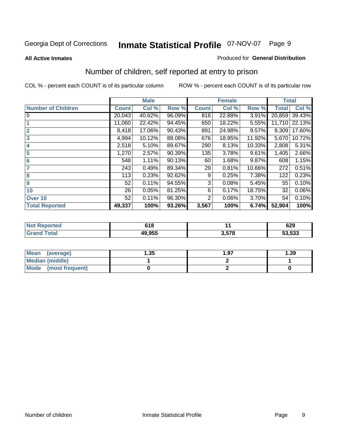#### **All Active Inmates**

#### Produced for **General Distribution**

### Number of children, self reported at entry to prison

|                           | <b>Male</b>  |        |        |              | <b>Female</b> |        | <b>Total</b> |        |
|---------------------------|--------------|--------|--------|--------------|---------------|--------|--------------|--------|
| <b>Number of Children</b> | <b>Count</b> | Col %  | Row %  | <b>Count</b> | Col %         | Row %  | <b>Total</b> | Col %  |
| $\bf{0}$                  | 20,043       | 40.62% | 96.09% | 816          | 22.88%        | 3.91%  | 20,859       | 39.43% |
|                           | 11,060       | 22.42% | 94.45% | 650          | 18.22%        | 5.55%  | 11,710       | 22.13% |
| $\overline{2}$            | 8,418        | 17.06% | 90.43% | 891          | 24.98%        | 9.57%  | 9,309        | 17.60% |
| 3                         | 4,994        | 10.12% | 88.08% | 676          | 18.95%        | 11.92% | 5,670        | 10.72% |
| 4                         | 2,518        | 5.10%  | 89.67% | 290          | 8.13%         | 10.33% | 2,808        | 5.31%  |
| 5                         | 1,270        | 2.57%  | 90.39% | 135          | 3.78%         | 9.61%  | 1,405        | 2.66%  |
| $6\phantom{a}$            | 548          | 1.11%  | 90.13% | 60           | 1.68%         | 9.87%  | 608          | 1.15%  |
| 7                         | 243          | 0.49%  | 89.34% | 29           | 0.81%         | 10.66% | 272          | 0.51%  |
| 8                         | 113          | 0.23%  | 92.62% | 9            | 0.25%         | 7.38%  | 122          | 0.23%  |
| 9                         | 52           | 0.11%  | 94.55% | 3            | 0.08%         | 5.45%  | 55           | 0.10%  |
| 10                        | 26           | 0.05%  | 81.25% | 6            | 0.17%         | 18.75% | 32           | 0.06%  |
| Over 10                   | 52           | 0.11%  | 96.30% | 2            | 0.06%         | 3.70%  | 54           | 0.10%  |
| <b>Total Reported</b>     | 49,337       | 100%   | 93.26% | 3,567        | 100%          | 6.74%  | 52,904       | 100%   |

| 34 O<br>, , ,   |     | 629    |
|-----------------|-----|--------|
| $\lambda$ a aee | E70 | 53,533 |

| <b>Mean</b><br>(average) | .35 | 1.97 | .39 |
|--------------------------|-----|------|-----|
| <b>Median (middle)</b>   |     |      |     |
| Mode<br>(most frequent)  |     |      |     |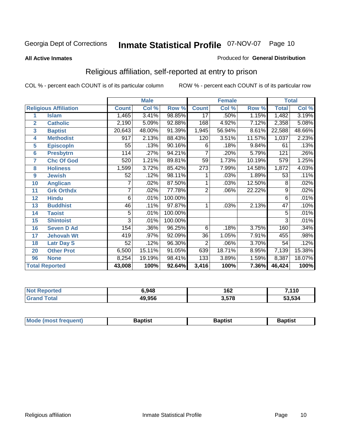#### **All Active Inmates**

#### Produced for **General Distribution**

### Religious affiliation, self-reported at entry to prison

|                  |                              | <b>Male</b>    |        |         |                  | <b>Female</b> |        | <b>Total</b>    |        |
|------------------|------------------------------|----------------|--------|---------|------------------|---------------|--------|-----------------|--------|
|                  | <b>Religious Affiliation</b> | <b>Count</b>   | Col %  | Row %   | <b>Count</b>     | Col %         | Row %  | <b>Total</b>    | Col %  |
| 1                | <b>Islam</b>                 | 1,465          | 3.41%  | 98.85%  | $\overline{17}$  | .50%          | 1.15%  | 1,482           | 3.19%  |
| $\overline{2}$   | <b>Catholic</b>              | 2,190          | 5.09%  | 92.88%  | 168              | 4.92%         | 7.12%  | 2,358           | 5.08%  |
| 3                | <b>Baptist</b>               | 20,643         | 48.00% | 91.39%  | 1,945            | 56.94%        | 8.61%  | 22,588          | 48.66% |
| 4                | <b>Methodist</b>             | 917            | 2.13%  | 88.43%  | 120              | 3.51%         | 11.57% | 1,037           | 2.23%  |
| 5                | <b>EpiscopIn</b>             | 55             | .13%   | 90.16%  | 6                | .18%          | 9.84%  | 61              | .13%   |
| 6                | <b>Presbytrn</b>             | 114            | .27%   | 94.21%  | 7                | .20%          | 5.79%  | 121             | .26%   |
| 7                | <b>Chc Of God</b>            | 520            | 1.21%  | 89.81%  | 59               | 1.73%         | 10.19% | 579             | 1.25%  |
| 8                | <b>Holiness</b>              | 1,599          | 3.72%  | 85.42%  | $\overline{273}$ | 7.99%         | 14.58% | 1,872           | 4.03%  |
| $\boldsymbol{9}$ | <b>Jewish</b>                | 52             | .12%   | 98.11%  |                  | .03%          | 1.89%  | $\overline{53}$ | .11%   |
| 10               | <b>Anglican</b>              | 7              | .02%   | 87.50%  |                  | .03%          | 12.50% | 8               | .02%   |
| 11               | <b>Grk Orthdx</b>            |                | .02%   | 77.78%  | $\overline{2}$   | .06%          | 22.22% | 9               | .02%   |
| 12               | <b>Hindu</b>                 | 6              | .01%   | 100.00% |                  |               |        | 6               | .01%   |
| 13               | <b>Buddhist</b>              | 46             | .11%   | 97.87%  | 1                | .03%          | 2.13%  | $\overline{47}$ | .10%   |
| 14               | <b>Taoist</b>                | 5              | .01%   | 100.00% |                  |               |        | 5               | .01%   |
| 15               | <b>Shintoist</b>             | $\overline{3}$ | .01%   | 100.00% |                  |               |        | 3               | .01%   |
| 16               | <b>Seven D Ad</b>            | 154            | .36%   | 96.25%  | 6                | .18%          | 3.75%  | 160             | .34%   |
| 17               | <b>Jehovah Wt</b>            | 419            | .97%   | 92.09%  | 36               | 1.05%         | 7.91%  | 455             | .98%   |
| 18               | <b>Latr Day S</b>            | 52             | .12%   | 96.30%  | $\overline{2}$   | .06%          | 3.70%  | 54              | .12%   |
| 20               | <b>Other Prot</b>            | 6,500          | 15.11% | 91.05%  | 639              | 18.71%        | 8.95%  | 7,139           | 15.38% |
| 96               | <b>None</b>                  | 8,254          | 19.19% | 98.41%  | 133              | 3.89%         | 1.59%  | 8,387           | 18.07% |
|                  | <b>Total Reported</b>        | 43,008         | 100%   | 92.64%  | 3,416            | 100%          | 7.36%  | 46,424          | 100%   |

| ortec | 6,948  | 162   | 7,110  |  |
|-------|--------|-------|--------|--|
| ัวtar | 49,956 | 3,578 | 53,534 |  |

| <b>Mode</b><br>frequent)<br>umost | 3aptist | 3aptist | <b>Baptist</b> |
|-----------------------------------|---------|---------|----------------|
|                                   |         |         |                |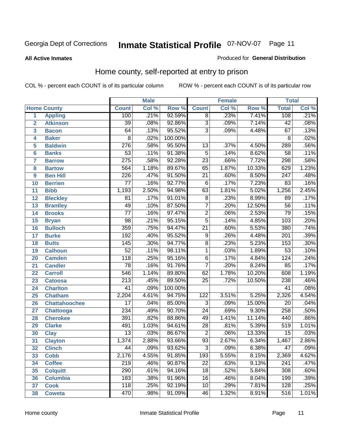**All Active Inmates**

#### Produced for **General Distribution**

### Home county, self-reported at entry to prison

|                 |                      |                  | <b>Male</b> |         |                  | <b>Female</b> |        | <b>Total</b>     |       |  |
|-----------------|----------------------|------------------|-------------|---------|------------------|---------------|--------|------------------|-------|--|
|                 | <b>Home County</b>   | <b>Count</b>     | Col %       | Row %   | <b>Count</b>     | Col %         | Row %  | <b>Total</b>     | Col % |  |
| 1               | <b>Appling</b>       | 100              | .21%        | 92.59%  | $\overline{8}$   | .23%          | 7.41%  | 108              | .21%  |  |
| $\overline{2}$  | <b>Atkinson</b>      | $\overline{39}$  | .08%        | 92.86%  | $\overline{3}$   | .09%          | 7.14%  | $\overline{42}$  | .08%  |  |
| 3               | <b>Bacon</b>         | 64               | .13%        | 95.52%  | $\overline{3}$   | .09%          | 4.48%  | 67               | .13%  |  |
| 4               | <b>Baker</b>         | $\overline{8}$   | .02%        | 100.00% |                  |               |        | $\overline{8}$   | .02%  |  |
| 5               | <b>Baldwin</b>       | $\overline{276}$ | .58%        | 95.50%  | $\overline{13}$  | .37%          | 4.50%  | 289              | .56%  |  |
| $6\phantom{a}$  | <b>Banks</b>         | $\overline{53}$  | .11%        | 91.38%  | $\overline{5}$   | .14%          | 8.62%  | $\overline{58}$  | .11%  |  |
| $\overline{7}$  | <b>Barrow</b>        | $\overline{275}$ | .58%        | 92.28%  | $\overline{23}$  | .66%          | 7.72%  | 298              | .58%  |  |
| 8               | <b>Bartow</b>        | $\overline{564}$ | 1.18%       | 89.67%  | 65               | 1.87%         | 10.33% | 629              | 1.23% |  |
| 9               | <b>Ben Hill</b>      | 226              | .47%        | 91.50%  | $\overline{21}$  | .60%          | 8.50%  | $\overline{247}$ | .48%  |  |
| 10              | <b>Berrien</b>       | $\overline{77}$  | .16%        | 92.77%  | 6                | .17%          | 7.23%  | $\overline{83}$  | .16%  |  |
| 11              | <b>Bibb</b>          | 1,193            | 2.50%       | 94.98%  | 63               | 1.81%         | 5.02%  | 1,256            | 2.45% |  |
| 12              | <b>Bleckley</b>      | $\overline{81}$  | .17%        | 91.01%  | $\overline{8}$   | .23%          | 8.99%  | 89               | .17%  |  |
| $\overline{13}$ | <b>Brantley</b>      | 49               | .10%        | 87.50%  | $\overline{7}$   | .20%          | 12.50% | $\overline{56}$  | .11%  |  |
| $\overline{14}$ | <b>Brooks</b>        | $\overline{77}$  | .16%        | 97.47%  | $\overline{2}$   | .06%          | 2.53%  | $\overline{79}$  | .15%  |  |
| 15              | <b>Bryan</b>         | $\overline{98}$  | .21%        | 95.15%  | $\overline{5}$   | .14%          | 4.85%  | 103              | .20%  |  |
| 16              | <b>Bulloch</b>       | 359              | .75%        | 94.47%  | $\overline{21}$  | .60%          | 5.53%  | 380              | .74%  |  |
| $\overline{17}$ | <b>Burke</b>         | 192              | .40%        | 95.52%  | $\overline{9}$   | .26%          | 4.48%  | $\overline{201}$ | .39%  |  |
| 18              | <b>Butts</b>         | 145              | .30%        | 94.77%  | $\overline{8}$   | .23%          | 5.23%  | 153              | .30%  |  |
| 19              | <b>Calhoun</b>       | $\overline{52}$  | .11%        | 98.11%  | 1                | .03%          | 1.89%  | $\overline{53}$  | .10%  |  |
| 20              | <b>Camden</b>        | $\overline{118}$ | .25%        | 95.16%  | $\overline{6}$   | .17%          | 4.84%  | 124              | .24%  |  |
| 21              | <b>Candler</b>       | $\overline{78}$  | .16%        | 91.76%  | $\overline{7}$   | .20%          | 8.24%  | 85               | .17%  |  |
| $\overline{22}$ | <b>Carroll</b>       | 546              | 1.14%       | 89.80%  | $\overline{62}$  | 1.78%         | 10.20% | 608              | 1.19% |  |
| 23              | <b>Catoosa</b>       | 213              | .45%        | 89.50%  | $\overline{25}$  | .72%          | 10.50% | 238              | .46%  |  |
| 24              | <b>Charlton</b>      | $\overline{41}$  | .09%        | 100.00% |                  |               |        | $\overline{41}$  | .08%  |  |
| 25              | <b>Chatham</b>       | 2,204            | 4.61%       | 94.75%  | $\overline{122}$ | 3.51%         | 5.25%  | 2,326            | 4.54% |  |
| 26              | <b>Chattahoochee</b> | $\overline{17}$  | .04%        | 85.00%  | 3                | .09%          | 15.00% | $\overline{20}$  | .04%  |  |
| 27              | <b>Chattooga</b>     | 234              | .49%        | 90.70%  | $\overline{24}$  | .69%          | 9.30%  | 258              | .50%  |  |
| 28              | <b>Cherokee</b>      | 391              | .82%        | 88.86%  | 49               | 1.41%         | 11.14% | 440              | .86%  |  |
| 29              | <b>Clarke</b>        | 491              | 1.03%       | 94.61%  | $\overline{28}$  | .81%          | 5.39%  | 519              | 1.01% |  |
| 30              | <b>Clay</b>          | $\overline{13}$  | .03%        | 86.67%  | $\overline{2}$   | .06%          | 13.33% | $\overline{15}$  | .03%  |  |
| $\overline{31}$ | <b>Clayton</b>       | 1,374            | 2.88%       | 93.66%  | $\overline{93}$  | 2.67%         | 6.34%  | 1,467            | 2.86% |  |
| 32              | <b>Clinch</b>        | 44               | .09%        | 93.62%  | 3                | .09%          | 6.38%  | 47               | .09%  |  |
| 33              | <b>Cobb</b>          | 2,176            | 4.55%       | 91.85%  | $\overline{193}$ | 5.55%         | 8.15%  | 2,369            | 4.62% |  |
| 34              | <b>Coffee</b>        | $\overline{219}$ | .46%        | 90.87%  | $\overline{22}$  | .63%          | 9.13%  | $\overline{241}$ | .47%  |  |
| 35              | <b>Colquitt</b>      | $\overline{290}$ | .61%        | 94.16%  | $\overline{18}$  | .52%          | 5.84%  | 308              | .60%  |  |
| 36              | <b>Columbia</b>      | 183              | .38%        | 91.96%  | 16               | .46%          | 8.04%  | 199              | .39%  |  |
| 37              | <b>Cook</b>          | 118              | .25%        | 92.19%  | $\overline{10}$  | .29%          | 7.81%  | 128              | .25%  |  |
| 38              | <b>Coweta</b>        | 470              | .98%        | 91.09%  | 46               | 1.32%         | 8.91%  | 516              | 1.01% |  |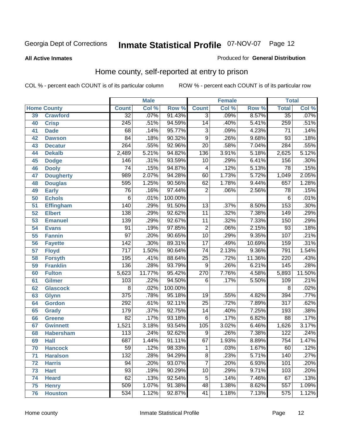**All Active Inmates**

#### Produced for **General Distribution**

### Home county, self-reported at entry to prison

|                 |                    | <b>Male</b>      |        |         |                 | <b>Female</b> |        | <b>Total</b>     |        |  |
|-----------------|--------------------|------------------|--------|---------|-----------------|---------------|--------|------------------|--------|--|
|                 | <b>Home County</b> | <b>Count</b>     | Col %  | Row %   | <b>Count</b>    | Col %         | Row %  | <b>Total</b>     | Col %  |  |
| 39              | <b>Crawford</b>    | $\overline{32}$  | .07%   | 91.43%  | $\overline{3}$  | .09%          | 8.57%  | $\overline{35}$  | .07%   |  |
| 40              | <b>Crisp</b>       | $\overline{245}$ | .51%   | 94.59%  | $\overline{14}$ | .40%          | 5.41%  | 259              | .51%   |  |
| 41              | <b>Dade</b>        | 68               | .14%   | 95.77%  | $\overline{3}$  | .09%          | 4.23%  | $\overline{71}$  | .14%   |  |
| 42              | <b>Dawson</b>      | $\overline{84}$  | .18%   | 90.32%  | $\overline{9}$  | .26%          | 9.68%  | $\overline{93}$  | .18%   |  |
| 43              | <b>Decatur</b>     | $\overline{264}$ | .55%   | 92.96%  | $\overline{20}$ | .58%          | 7.04%  | 284              | .55%   |  |
| 44              | <b>Dekalb</b>      | 2,489            | 5.21%  | 94.82%  | 136             | 3.91%         | 5.18%  | 2,625            | 5.12%  |  |
| 45              | <b>Dodge</b>       | 146              | .31%   | 93.59%  | 10              | .29%          | 6.41%  | 156              | .30%   |  |
| 46              | <b>Dooly</b>       | $\overline{74}$  | .15%   | 94.87%  | 4               | .12%          | 5.13%  | $\overline{78}$  | .15%   |  |
| 47              | <b>Dougherty</b>   | 989              | 2.07%  | 94.28%  | 60              | 1.73%         | 5.72%  | 1,049            | 2.05%  |  |
| 48              | <b>Douglas</b>     | 595              | 1.25%  | 90.56%  | 62              | 1.78%         | 9.44%  | 657              | 1.28%  |  |
| 49              | <b>Early</b>       | 76               | .16%   | 97.44%  | $\overline{2}$  | .06%          | 2.56%  | $\overline{78}$  | .15%   |  |
| 50              | <b>Echols</b>      | $\overline{6}$   | .01%   | 100.00% |                 |               |        | 6                | .01%   |  |
| $\overline{51}$ | Effingham          | 140              | .29%   | 91.50%  | $\overline{13}$ | .37%          | 8.50%  | 153              | .30%   |  |
| 52              | <b>Elbert</b>      | 138              | .29%   | 92.62%  | $\overline{11}$ | .32%          | 7.38%  | 149              | .29%   |  |
| 53              | <b>Emanuel</b>     | 139              | .29%   | 92.67%  | $\overline{11}$ | .32%          | 7.33%  | 150              | .29%   |  |
| 54              | <b>Evans</b>       | $\overline{91}$  | .19%   | 97.85%  | $\overline{2}$  | .06%          | 2.15%  | $\overline{93}$  | .18%   |  |
| 55              | <b>Fannin</b>      | $\overline{97}$  | .20%   | 90.65%  | $\overline{10}$ | .29%          | 9.35%  | 107              | .21%   |  |
| 56              | <b>Fayette</b>     | 142              | .30%   | 89.31%  | $\overline{17}$ | .49%          | 10.69% | 159              | .31%   |  |
| 57              | <b>Floyd</b>       | $\overline{717}$ | 1.50%  | 90.64%  | $\overline{74}$ | 2.13%         | 9.36%  | 791              | 1.54%  |  |
| 58              | <b>Forsyth</b>     | 195              | .41%   | 88.64%  | $\overline{25}$ | .72%          | 11.36% | $\overline{220}$ | .43%   |  |
| 59              | <b>Franklin</b>    | 136              | .28%   | 93.79%  | $\overline{9}$  | .26%          | 6.21%  | 145              | .28%   |  |
| 60              | <b>Fulton</b>      | 5,623            | 11.77% | 95.42%  | 270             | 7.76%         | 4.58%  | 5,893            | 11.50% |  |
| 61              | Gilmer             | $\overline{103}$ | .22%   | 94.50%  | 6               | .17%          | 5.50%  | 109              | .21%   |  |
| 62              | <b>Glascock</b>    | $\overline{8}$   | .02%   | 100.00% |                 |               |        | $\overline{8}$   | .02%   |  |
| 63              | <b>Glynn</b>       | $\overline{375}$ | .78%   | 95.18%  | 19              | .55%          | 4.82%  | 394              | .77%   |  |
| 64              | <b>Gordon</b>      | 292              | .61%   | 92.11%  | $\overline{25}$ | .72%          | 7.89%  | $\overline{317}$ | .62%   |  |
| 65              | <b>Grady</b>       | 179              | .37%   | 92.75%  | $\overline{14}$ | .40%          | 7.25%  | 193              | .38%   |  |
| 66              | <b>Greene</b>      | $\overline{82}$  | .17%   | 93.18%  | 6               | .17%          | 6.82%  | $\overline{88}$  | .17%   |  |
| 67              | <b>Gwinnett</b>    | 1,521            | 3.18%  | 93.54%  | 105             | 3.02%         | 6.46%  | 1,626            | 3.17%  |  |
| 68              | <b>Habersham</b>   | 113              | .24%   | 92.62%  | 9               | .26%          | 7.38%  | $\overline{122}$ | .24%   |  |
| 69              | <b>Hall</b>        | 687              | 1.44%  | 91.11%  | 67              | 1.93%         | 8.89%  | 754              | 1.47%  |  |
| 70              | <b>Hancock</b>     | 59               | .12%   | 98.33%  | 1               | .03%          | 1.67%  | 60               | .12%   |  |
| 71              | <b>Haralson</b>    | 132              | .28%   | 94.29%  | $\overline{8}$  | .23%          | 5.71%  | 140              | .27%   |  |
| 72              | <b>Harris</b>      | 94               | .20%   | 93.07%  | 7               | .20%          | 6.93%  | 101              | .20%   |  |
| 73              | <b>Hart</b>        | $\overline{93}$  | .19%   | 90.29%  | $\overline{10}$ | .29%          | 9.71%  | 103              | .20%   |  |
| 74              | <b>Heard</b>       | 62               | .13%   | 92.54%  | 5               | .14%          | 7.46%  | 67               | .13%   |  |
| 75              | <b>Henry</b>       | 509              | 1.07%  | 91.38%  | 48              | 1.38%         | 8.62%  | 557              | 1.09%  |  |
| 76              | <b>Houston</b>     | $\overline{534}$ | 1.12%  | 92.87%  | 41              | 1.18%         | 7.13%  | 575              | 1.12%  |  |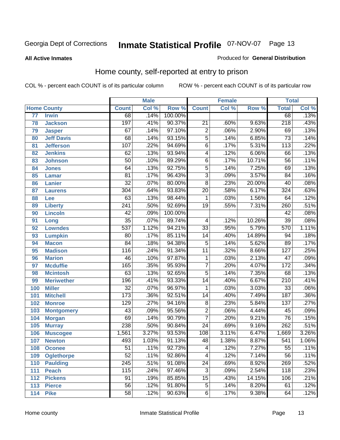#### **All Active Inmates**

#### Produced for **General Distribution**

### Home county, self-reported at entry to prison

|     |                    |                  | <b>Male</b> |         |                           | <b>Female</b> |        | <b>Total</b>     |       |
|-----|--------------------|------------------|-------------|---------|---------------------------|---------------|--------|------------------|-------|
|     | <b>Home County</b> | <b>Count</b>     | Col %       | Row %   | <b>Count</b>              | Col %         | Row %  | <b>Total</b>     | Col % |
| 77  | <b>Irwin</b>       | 68               | .14%        | 100.00% |                           |               |        | 68               | .13%  |
| 78  | <b>Jackson</b>     | 197              | .41%        | 90.37%  | $\overline{21}$           | .60%          | 9.63%  | $\sqrt{218}$     | .43%  |
| 79  | <b>Jasper</b>      | 67               | .14%        | 97.10%  | $\overline{2}$            | .06%          | 2.90%  | 69               | .13%  |
| 80  | <b>Jeff Davis</b>  | $\overline{68}$  | .14%        | 93.15%  | $\overline{5}$            | .14%          | 6.85%  | $\overline{73}$  | .14%  |
| 81  | <b>Jefferson</b>   | $\overline{107}$ | .22%        | 94.69%  | $\overline{6}$            | .17%          | 5.31%  | $\overline{113}$ | .22%  |
| 82  | <b>Jenkins</b>     | 62               | .13%        | 93.94%  | 4                         | .12%          | 6.06%  | 66               | .13%  |
| 83  | <b>Johnson</b>     | $\overline{50}$  | .10%        | 89.29%  | $\overline{6}$            | .17%          | 10.71% | $\overline{56}$  | .11%  |
| 84  | <b>Jones</b>       | 64               | .13%        | 92.75%  | $\overline{5}$            | .14%          | 7.25%  | 69               | .13%  |
| 85  | <b>Lamar</b>       | $\overline{81}$  | .17%        | 96.43%  | $\overline{\overline{3}}$ | .09%          | 3.57%  | $\overline{84}$  | .16%  |
| 86  | <b>Lanier</b>      | $\overline{32}$  | .07%        | 80.00%  | $\overline{8}$            | .23%          | 20.00% | 40               | .08%  |
| 87  | <b>Laurens</b>     | 304              | .64%        | 93.83%  | $\overline{20}$           | .58%          | 6.17%  | 324              | .63%  |
| 88  | <b>Lee</b>         | 63               | .13%        | 98.44%  | 1                         | .03%          | 1.56%  | 64               | .12%  |
| 89  | <b>Liberty</b>     | $\overline{241}$ | .50%        | 92.69%  | $\overline{19}$           | .55%          | 7.31%  | 260              | .51%  |
| 90  | <b>Lincoln</b>     | 42               | .09%        | 100.00% |                           |               |        | 42               | .08%  |
| 91  | Long               | $\overline{35}$  | .07%        | 89.74%  | 4                         | .12%          | 10.26% | $\overline{39}$  | .08%  |
| 92  | <b>Lowndes</b>     | 537              | 1.12%       | 94.21%  | $\overline{33}$           | .95%          | 5.79%  | 570              | 1.11% |
| 93  | <b>Lumpkin</b>     | $\overline{80}$  | .17%        | 85.11%  | $\overline{14}$           | .40%          | 14.89% | 94               | .18%  |
| 94  | <b>Macon</b>       | $\overline{84}$  | .18%        | 94.38%  | $\overline{5}$            | .14%          | 5.62%  | 89               | .17%  |
| 95  | <b>Madison</b>     | $\overline{116}$ | .24%        | 91.34%  | $\overline{11}$           | .32%          | 8.66%  | 127              | .25%  |
| 96  | <b>Marion</b>      | 46               | .10%        | 97.87%  | 1                         | .03%          | 2.13%  | $\overline{47}$  | .09%  |
| 97  | <b>Mcduffie</b>    | 165              | .35%        | 95.93%  | $\overline{7}$            | .20%          | 4.07%  | $\overline{172}$ | .34%  |
| 98  | <b>Mcintosh</b>    | 63               | .13%        | 92.65%  | $\overline{5}$            | .14%          | 7.35%  | 68               | .13%  |
| 99  | <b>Meriwether</b>  | 196              | .41%        | 93.33%  | $\overline{14}$           | .40%          | 6.67%  | $\overline{210}$ | .41%  |
| 100 | <b>Miller</b>      | $\overline{32}$  | .07%        | 96.97%  | 1                         | .03%          | 3.03%  | $\overline{33}$  | .06%  |
| 101 | <b>Mitchell</b>    | 173              | .36%        | 92.51%  | $\overline{14}$           | .40%          | 7.49%  | 187              | .36%  |
| 102 | <b>Monroe</b>      | $\overline{129}$ | .27%        | 94.16%  | $\overline{8}$            | .23%          | 5.84%  | 137              | .27%  |
| 103 | <b>Montgomery</b>  | $\overline{43}$  | .09%        | 95.56%  | $\overline{2}$            | .06%          | 4.44%  | 45               | .09%  |
| 104 | <b>Morgan</b>      | 69               | .14%        | 90.79%  | $\overline{7}$            | .20%          | 9.21%  | $\overline{76}$  | .15%  |
| 105 | <b>Murray</b>      | 238              | .50%        | 90.84%  | $\overline{24}$           | .69%          | 9.16%  | $\overline{262}$ | .51%  |
| 106 | <b>Muscogee</b>    | 1,561            | 3.27%       | 93.53%  | 108                       | 3.11%         | 6.47%  | 1,669            | 3.26% |
| 107 | <b>Newton</b>      | 493              | 1.03%       | 91.13%  | 48                        | 1.38%         | 8.87%  | 541              | 1.06% |
| 108 | <b>Oconee</b>      | 51               | .11%        | 92.73%  | 4                         | .12%          | 7.27%  | 55               | .11%  |
| 109 | <b>Oglethorpe</b>  | $\overline{52}$  | .11%        | 92.86%  | 4                         | .12%          | 7.14%  | $\overline{56}$  | .11%  |
| 110 | <b>Paulding</b>    | $\overline{245}$ | .51%        | 91.08%  | $\overline{24}$           | .69%          | 8.92%  | 269              | .52%  |
| 111 | <b>Peach</b>       | 115              | .24%        | 97.46%  | $\overline{3}$            | .09%          | 2.54%  | 118              | .23%  |
| 112 | <b>Pickens</b>     | 91               | .19%        | 85.85%  | $\overline{15}$           | .43%          | 14.15% | 106              | .21%  |
| 113 | <b>Pierce</b>      | $\overline{56}$  | .12%        | 91.80%  | $\overline{5}$            | .14%          | 8.20%  | 61               | .12%  |
| 114 | <b>Pike</b>        | $\overline{58}$  | .12%        | 90.63%  | $\overline{6}$            | .17%          | 9.38%  | 64               | .12%  |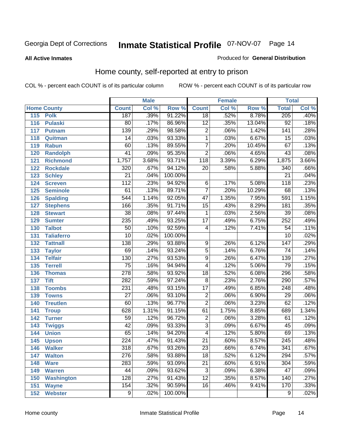#### **All Active Inmates**

#### Produced for **General Distribution**

### Home county, self-reported at entry to prison

|     |                    |                  | <b>Male</b> |         |                         | <b>Female</b> |        | <b>Total</b>     |       |
|-----|--------------------|------------------|-------------|---------|-------------------------|---------------|--------|------------------|-------|
|     | <b>Home County</b> | <b>Count</b>     | Col %       | Row %   | <b>Count</b>            | Col %         | Row %  | <b>Total</b>     | Col % |
| 115 | <b>Polk</b>        | 187              | .39%        | 91.22%  | $\overline{18}$         | .52%          | 8.78%  | 205              | .40%  |
| 116 | <b>Pulaski</b>     | $\overline{80}$  | .17%        | 86.96%  | $\overline{12}$         | .35%          | 13.04% | $\overline{92}$  | .18%  |
| 117 | <b>Putnam</b>      | 139              | .29%        | 98.58%  | $\overline{2}$          | .06%          | 1.42%  | 141              | .28%  |
| 118 | Quitman            | $\overline{14}$  | .03%        | 93.33%  | $\overline{1}$          | .03%          | 6.67%  | 15               | .03%  |
| 119 | <b>Rabun</b>       | 60               | .13%        | 89.55%  | $\overline{7}$          | .20%          | 10.45% | 67               | .13%  |
| 120 | <b>Randolph</b>    | $\overline{41}$  | .09%        | 95.35%  | $\overline{2}$          | .06%          | 4.65%  | 43               | .08%  |
| 121 | <b>Richmond</b>    | 1,757            | 3.68%       | 93.71%  | $\overline{118}$        | 3.39%         | 6.29%  | 1,875            | 3.66% |
| 122 | <b>Rockdale</b>    | 320              | .67%        | 94.12%  | 20                      | .58%          | 5.88%  | 340              | .66%  |
| 123 | <b>Schley</b>      | $\overline{21}$  | .04%        | 100.00% |                         |               |        | $\overline{21}$  | .04%  |
| 124 | <b>Screven</b>     | $\overline{112}$ | .23%        | 94.92%  | 6                       | .17%          | 5.08%  | 118              | .23%  |
| 125 | <b>Seminole</b>    | 61               | .13%        | 89.71%  | $\overline{7}$          | .20%          | 10.29% | 68               | .13%  |
| 126 | <b>Spalding</b>    | $\overline{544}$ | 1.14%       | 92.05%  | 47                      | 1.35%         | 7.95%  | 591              | 1.15% |
| 127 | <b>Stephens</b>    | 166              | .35%        | 91.71%  | $\overline{15}$         | .43%          | 8.29%  | 181              | .35%  |
| 128 | <b>Stewart</b>     | $\overline{38}$  | .08%        | 97.44%  | 1                       | .03%          | 2.56%  | $\overline{39}$  | .08%  |
| 129 | <b>Sumter</b>      | 235              | .49%        | 93.25%  | $\overline{17}$         | .49%          | 6.75%  | 252              | .49%  |
| 130 | <b>Talbot</b>      | $\overline{50}$  | .10%        | 92.59%  | 4                       | .12%          | 7.41%  | $\overline{54}$  | .11%  |
| 131 | <b>Taliaferro</b>  | $\overline{10}$  | .02%        | 100.00% |                         |               |        | $\overline{10}$  | .02%  |
| 132 | <b>Tattnall</b>    | 138              | .29%        | 93.88%  | 9                       | .26%          | 6.12%  | $\overline{147}$ | .29%  |
| 133 | <b>Taylor</b>      | 69               | .14%        | 93.24%  | $\overline{5}$          | .14%          | 6.76%  | 74               | .14%  |
| 134 | <b>Telfair</b>     | 130              | .27%        | 93.53%  | $\overline{9}$          | .26%          | 6.47%  | 139              | .27%  |
| 135 | <b>Terrell</b>     | $\overline{75}$  | .16%        | 94.94%  | $\overline{\mathbf{4}}$ | .12%          | 5.06%  | 79               | .15%  |
| 136 | <b>Thomas</b>      | $\overline{278}$ | .58%        | 93.92%  | $\overline{18}$         | .52%          | 6.08%  | 296              | .58%  |
| 137 | <b>Tift</b>        | 282              | .59%        | 97.24%  | $\overline{8}$          | .23%          | 2.76%  | 290              | .57%  |
| 138 | <b>Toombs</b>      | 231              | .48%        | 93.15%  | $\overline{17}$         | .49%          | 6.85%  | 248              | .48%  |
| 139 | <b>Towns</b>       | $\overline{27}$  | .06%        | 93.10%  | $\overline{2}$          | .06%          | 6.90%  | $\overline{29}$  | .06%  |
| 140 | <b>Treutlen</b>    | 60               | .13%        | 96.77%  | $\overline{2}$          | .06%          | 3.23%  | 62               | .12%  |
| 141 | <b>Troup</b>       | 628              | 1.31%       | 91.15%  | 61                      | 1.75%         | 8.85%  | 689              | 1.34% |
| 142 | <b>Turner</b>      | $\overline{59}$  | .12%        | 96.72%  | $\overline{2}$          | .06%          | 3.28%  | 61               | .12%  |
| 143 | <b>Twiggs</b>      | $\overline{42}$  | .09%        | 93.33%  | $\overline{3}$          | .09%          | 6.67%  | 45               | .09%  |
| 144 | <b>Union</b>       | $\overline{65}$  | .14%        | 94.20%  | $\overline{4}$          | .12%          | 5.80%  | 69               | .13%  |
| 145 | <b>Upson</b>       | $\overline{224}$ | .47%        | 91.43%  | $\overline{21}$         | .60%          | 8.57%  | 245              | .48%  |
| 146 | <b>Walker</b>      | $\overline{318}$ | .67%        | 93.26%  | $\overline{23}$         | .66%          | 6.74%  | $\overline{341}$ | .67%  |
| 147 | <b>Walton</b>      | $\overline{276}$ | .58%        | 93.88%  | $\overline{18}$         | .52%          | 6.12%  | 294              | .57%  |
| 148 | <b>Ware</b>        | 283              | .59%        | 93.09%  | $\overline{21}$         | .60%          | 6.91%  | 304              | .59%  |
| 149 | <b>Warren</b>      | 44               | .09%        | 93.62%  | $\overline{3}$          | .09%          | 6.38%  | 47               | .09%  |
| 150 | <b>Washington</b>  | 128              | .27%        | 91.43%  | $\overline{12}$         | .35%          | 8.57%  | 140              | .27%  |
| 151 | <b>Wayne</b>       | 154              | .32%        | 90.59%  | 16                      | .46%          | 9.41%  | 170              | .33%  |
| 152 | <b>Webster</b>     | $\overline{9}$   | .02%        | 100.00% |                         |               |        | $\overline{9}$   | .02%  |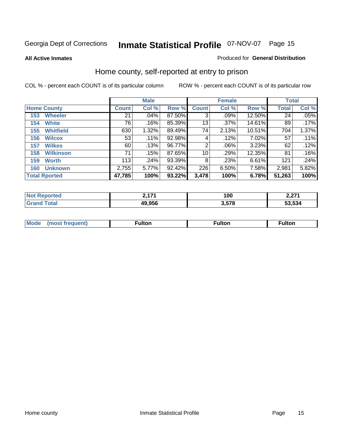**All Active Inmates**

#### Produced for **General Distribution**

### Home county, self-reported at entry to prison

|                      |                  |              | <b>Male</b> |        |              | <b>Female</b> | <b>Total</b> |              |       |
|----------------------|------------------|--------------|-------------|--------|--------------|---------------|--------------|--------------|-------|
| <b>Home County</b>   |                  | <b>Count</b> | Col %       | Row %  | <b>Count</b> | Col %         | Row %        | <b>Total</b> | Col % |
| 153                  | <b>Wheeler</b>   | 21           | .04%        | 87.50% | 3            | .09%          | 12.50%       | 24           | .05%  |
| 154                  | <b>White</b>     | 76           | .16%        | 85.39% | 13           | .37%          | 14.61%       | 89           | .17%  |
| 155                  | <b>Whitfield</b> | 630          | 1.32%       | 89.49% | 74           | 2.13%         | 10.51%       | 704          | 1.37% |
| 156                  | <b>Wilcox</b>    | 53           | .11%        | 92.98% | 4            | .12%          | 7.02%        | 57           | .11%  |
| 157                  | <b>Wilkes</b>    | 60           | .13%        | 96.77% | 2            | .06%          | 3.23%        | 62           | .12%  |
| 158                  | <b>Wilkinson</b> | 71           | .15%        | 87.65% | 10           | .29%          | 12.35%       | 81           | .16%  |
| 159                  | <b>Worth</b>     | 113          | .24%        | 93.39% | 8            | .23%          | 6.61%        | 121          | .24%  |
| 160                  | <b>Unknown</b>   | 2,755        | 5.77%       | 92.42% | 226          | 6.50%         | 7.58%        | 2,981        | 5.82% |
| <b>Total Rported</b> |                  | 47,785       | 100%        | 93.22% | 3,478        | 100%          | 6.78%        | 51,263       | 100%  |

| rted | 474    | 100        | <b>0.074</b> |
|------|--------|------------|--------------|
| N    | --     |            | 4.LI I       |
| otal | 49.956 | <b>E70</b> | 53.534       |

| <b>Mode</b> | ---<br>.tor | <b>ulton</b> | . |
|-------------|-------------|--------------|---|
|             |             |              |   |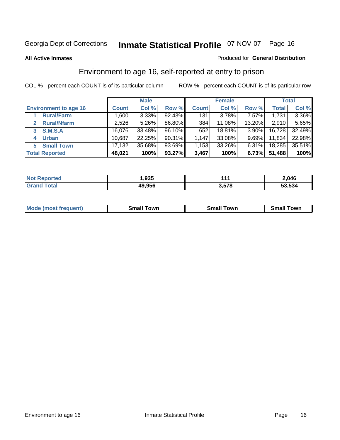#### **All Active Inmates**

#### Produced for **General Distribution**

### Environment to age 16, self-reported at entry to prison

|                                    | <b>Male</b>  |        |        | <b>Female</b> |          |          | <b>Total</b> |          |
|------------------------------------|--------------|--------|--------|---------------|----------|----------|--------------|----------|
| <b>Environment to age 16</b>       | <b>Count</b> | Col %  | Row %  | <b>Count</b>  | Col %    | Row %    | <b>Total</b> | Col %    |
| <b>Rural/Farm</b>                  | ا 1.600      | 3.33%  | 92.43% | 131           | $3.78\%$ | 7.57%    | 1,731        | $3.36\%$ |
| <b>Rural/Nfarm</b><br>$\mathbf{2}$ | 2,526        | 5.26%  | 86.80% | 384           | 11.08%   | 13.20%   | 2,910        | 5.65%    |
| <b>S.M.S.A</b><br>3                | 16,076       | 33.48% | 96.10% | 652           | 18.81%   | $3.90\%$ | 16,728       | 32.49%   |
| <b>Urban</b><br>4                  | 10,687       | 22.25% | 90.31% | 1,147         | 33.08%   | $9.69\%$ | 11,834       | 22.98%   |
| <b>Small Town</b><br>5             | 17,132       | 35.68% | 93.69% | 1,153         | 33.26%   | $6.31\%$ | 18,285       | 35.51%   |
| <b>Total Reported</b>              | 48,021       | 100%   | 93.27% | 3,467         | 100%     | 6.73%    | 51,488       | 100%     |

| <b>Not Reported</b> | 935. ا |       | 2,046  |
|---------------------|--------|-------|--------|
| Total<br>Grand      | 49,956 | 3,578 | 53,534 |

| <b>Mode</b><br>⊺own<br><b>Small</b><br>(most frequent)<br><b>TOWL</b><br>owr<br>Small<br>.sr<br>וורי |  |  |
|------------------------------------------------------------------------------------------------------|--|--|
|                                                                                                      |  |  |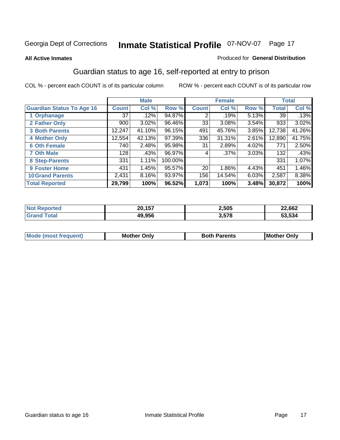#### **All Active Inmates**

#### Produced for **General Distribution**

### Guardian status to age 16, self-reported at entry to prison

|                                  |              | <b>Male</b> |         |                 | <b>Female</b> |       |              | <b>Total</b> |
|----------------------------------|--------------|-------------|---------|-----------------|---------------|-------|--------------|--------------|
| <b>Guardian Status To Age 16</b> | <b>Count</b> | Col %       | Row %   | <b>Count</b>    | Col %         | Row % | <b>Total</b> | Col %        |
| 1 Orphanage                      | 37           | .12%        | 94.87%  | 2               | .19%          | 5.13% | 39           | .13%         |
| 2 Father Only                    | 900          | 3.02%       | 96.46%  | 33              | $3.08\%$      | 3.54% | 933          | 3.02%        |
| <b>3 Both Parents</b>            | 12,247       | 41.10%      | 96.15%  | 491             | 45.76%        | 3.85% | 12,738       | 41.26%       |
| <b>4 Mother Only</b>             | 12,554       | 42.13%      | 97.39%  | 336             | 31.31%        | 2.61% | 12,890       | 41.75%       |
| <b>6 Oth Female</b>              | 740          | 2.48%       | 95.98%  | 31              | 2.89%         | 4.02% | 771          | 2.50%        |
| <b>7 Oth Male</b>                | 128          | .43%        | 96.97%  | 4               | $.37\%$       | 3.03% | 132          | .43%         |
| 8 Step-Parents                   | 331          | 1.11%       | 100.00% |                 |               |       | 331          | 1.07%        |
| <b>9 Foster Home</b>             | 431          | 1.45%       | 95.57%  | 20 <sub>1</sub> | 1.86%         | 4.43% | 451          | 1.46%        |
| <b>10 Grand Parents</b>          | 2,431        | 8.16%       | 93.97%  | 156             | 14.54%        | 6.03% | 2,587        | 8.38%        |
| <b>Total Reported</b>            | 29,799       | 100%        | 96.52%  | 1,073           | 100%          | 3.48% | 30,872       | 100%         |

| N6 | ---<br>ne. | 2,505 | 22,662 |
|----|------------|-------|--------|
|    | 19.956     | 3.578 | 53.534 |

| <b>Mode</b><br><i><b>IMOST</b></i> | Onlv<br>MΩ | 'arents | IMo<br>)nlv |
|------------------------------------|------------|---------|-------------|
|                                    |            |         |             |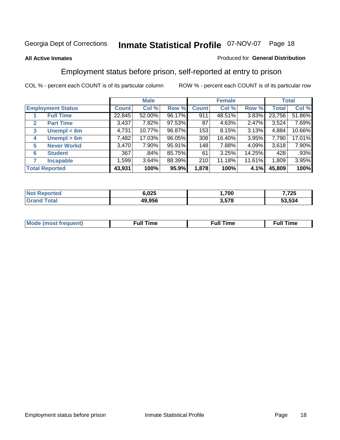#### **All Active Inmates**

#### Produced for **General Distribution**

### Employment status before prison, self-reported at entry to prison

|                       |                          | <b>Male</b>  |        |        | <b>Female</b> |        |        | <b>Total</b> |        |
|-----------------------|--------------------------|--------------|--------|--------|---------------|--------|--------|--------------|--------|
|                       | <b>Employment Status</b> | <b>Count</b> | Col %  | Row %  | <b>Count</b>  | Col %  | Row %  | Total        | Col %  |
|                       | <b>Full Time</b>         | 22,845       | 52.00% | 96.17% | 911           | 48.51% | 3.83%  | 23,756       | 51.86% |
| $\mathbf{2}$          | <b>Part Time</b>         | 3,437        | 7.82%  | 97.53% | 87            | 4.63%  | 2.47%  | 3,524        | 7.69%  |
| 3                     | Unempl $<$ 6m            | 4,731        | 10.77% | 96.87% | 153           | 8.15%  | 3.13%  | 4,884        | 10.66% |
| 4                     | Unempl > 6m              | 7,482        | 17.03% | 96.05% | 308           | 16.40% | 3.95%  | 7,790        | 17.01% |
| 5                     | <b>Never Workd</b>       | 3,470        | 7.90%  | 95.91% | 148           | 7.88%  | 4.09%  | 3,618        | 7.90%  |
| 6                     | <b>Student</b>           | 367          | .84%   | 85.75% | 61            | 3.25%  | 14.25% | 428          | .93%   |
| 7                     | <b>Incapable</b>         | 1,599        | 3.64%  | 88.39% | 210           | 11.18% | 11.61% | 1,809        | 3.95%  |
| <b>Total Reported</b> |                          | 43,931       | 100%   | 95.9%  | 1,878         | 100%   | 4.1%   | 45,809       | 100%   |

| n e o | 6.025  | ,700        | フクト<br>72 V |
|-------|--------|-------------|-------------|
|       | 49.956 | הדה ה<br>J. | 53.534      |

| <b>M</b> ດ | the contract of the contract of the contract of the contract of the contract of the contract of the contract of | the contract of the contract of the contract of the contract of the contract of the contract of the contract of | ----<br><b>Full Time</b> |
|------------|-----------------------------------------------------------------------------------------------------------------|-----------------------------------------------------------------------------------------------------------------|--------------------------|
|            |                                                                                                                 |                                                                                                                 |                          |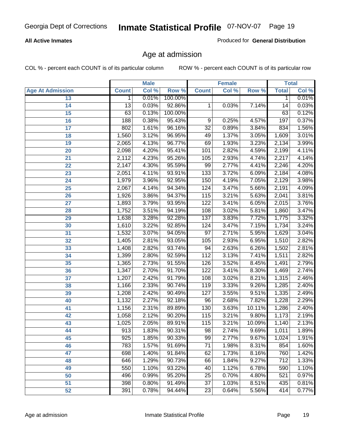#### **All Active Inmates**

Produced for **General Distribution**

### Age at admission

|                         |                  | <b>Male</b> |         |                  | <b>Female</b> |        |                  | <b>Total</b> |
|-------------------------|------------------|-------------|---------|------------------|---------------|--------|------------------|--------------|
| <b>Age At Admission</b> | <b>Count</b>     | Col %       | Row %   | <b>Count</b>     | Col %         | Row %  | <b>Total</b>     | Col %        |
| 13                      | 1                | 0.01%       | 100.00% |                  |               |        | 1                | 0.01%        |
| 14                      | $\overline{13}$  | 0.03%       | 92.86%  | 1                | 0.03%         | 7.14%  | 14               | 0.03%        |
| 15                      | 63               | 0.13%       | 100.00% |                  |               |        | 63               | 0.12%        |
| 16                      | 188              | 0.38%       | 95.43%  | 9                | 0.25%         | 4.57%  | 197              | 0.37%        |
| $\overline{17}$         | 802              | 1.61%       | 96.16%  | $\overline{32}$  | 0.89%         | 3.84%  | 834              | 1.56%        |
| 18                      | 1,560            | 3.12%       | 96.95%  | 49               | 1.37%         | 3.05%  | 1,609            | 3.01%        |
| 19                      | 2,065            | 4.13%       | 96.77%  | 69               | 1.93%         | 3.23%  | 2,134            | 3.99%        |
| 20                      | 2,098            | 4.20%       | 95.41%  | 101              | 2.82%         | 4.59%  | 2,199            | 4.11%        |
| 21                      | 2,112            | 4.23%       | 95.26%  | 105              | 2.93%         | 4.74%  | 2,217            | 4.14%        |
| 22                      | 2,147            | 4.30%       | 95.59%  | 99               | 2.77%         | 4.41%  | 2,246            | 4.20%        |
| 23                      | 2,051            | 4.11%       | 93.91%  | 133              | 3.72%         | 6.09%  | 2,184            | 4.08%        |
| 24                      | 1,979            | 3.96%       | 92.95%  | 150              | 4.19%         | 7.05%  | 2,129            | 3.98%        |
| $\overline{25}$         | 2,067            | 4.14%       | 94.34%  | 124              | 3.47%         | 5.66%  | 2,191            | 4.09%        |
| 26                      | 1,926            | 3.86%       | 94.37%  | 115              | 3.21%         | 5.63%  | 2,041            | 3.81%        |
| 27                      | 1,893            | 3.79%       | 93.95%  | 122              | 3.41%         | 6.05%  | 2,015            | 3.76%        |
| 28                      | 1,752            | 3.51%       | 94.19%  | 108              | 3.02%         | 5.81%  | 1,860            | 3.47%        |
| 29                      | 1,638            | 3.28%       | 92.28%  | $\overline{137}$ | 3.83%         | 7.72%  | 1,775            | 3.32%        |
| 30                      | 1,610            | 3.22%       | 92.85%  | 124              | 3.47%         | 7.15%  | 1,734            | 3.24%        |
| 31                      | 1,532            | 3.07%       | 94.05%  | 97               | 2.71%         | 5.95%  | 1,629            | 3.04%        |
| 32                      | 1,405            | 2.81%       | 93.05%  | 105              | 2.93%         | 6.95%  | 1,510            | 2.82%        |
| 33                      | 1,408            | 2.82%       | 93.74%  | 94               | 2.63%         | 6.26%  | 1,502            | 2.81%        |
| 34                      | 1,399            | 2.80%       | 92.59%  | $\overline{112}$ | 3.13%         | 7.41%  | 1,511            | 2.82%        |
| 35                      | 1,365            | 2.73%       | 91.55%  | 126              | 3.52%         | 8.45%  | 1,491            | 2.79%        |
| 36                      | 1,347            | 2.70%       | 91.70%  | 122              | 3.41%         | 8.30%  | 1,469            | 2.74%        |
| $\overline{37}$         | 1,207            | 2.42%       | 91.79%  | 108              | 3.02%         | 8.21%  | 1,315            | 2.46%        |
| 38                      | 1,166            | 2.33%       | 90.74%  | 119              | 3.33%         | 9.26%  | 1,285            | 2.40%        |
| 39                      | 1,208            | 2.42%       | 90.49%  | 127              | 3.55%         | 9.51%  | 1,335            | 2.49%        |
| 40                      | 1,132            | 2.27%       | 92.18%  | 96               | 2.68%         | 7.82%  | 1,228            | 2.29%        |
| 41                      | 1,156            | 2.31%       | 89.89%  | 130              | 3.63%         | 10.11% | 1,286            | 2.40%        |
| 42                      | 1,058            | 2.12%       | 90.20%  | 115              | 3.21%         | 9.80%  | 1,173            | 2.19%        |
| 43                      | 1,025            | 2.05%       | 89.91%  | 115              | 3.21%         | 10.09% | 1,140            | 2.13%        |
| 44                      | $\overline{913}$ | 1.83%       | 90.31%  | 98               | 2.74%         | 9.69%  | 1,011            | 1.89%        |
| 45                      | 925              | 1.85%       | 90.33%  | 99               | 2.77%         | 9.67%  | 1,024            | 1.91%        |
| 46                      | 783              | 1.57%       | 91.69%  | $\overline{71}$  | 1.98%         | 8.31%  | 854              | 1.60%        |
| 47                      | 698              | 1.40%       | 91.84%  | 62               | 1.73%         | 8.16%  | 760              | 1.42%        |
| 48                      | 646              | 1.29%       | 90.73%  | 66               | 1.84%         | 9.27%  | $\overline{712}$ | 1.33%        |
| 49                      | 550              | 1.10%       | 93.22%  | 40               | 1.12%         | 6.78%  | 590              | 1.10%        |
| 50                      | 496              | 0.99%       | 95.20%  | $\overline{25}$  | 0.70%         | 4.80%  | 521              | 0.97%        |
| 51                      | 398              | 0.80%       | 91.49%  | $\overline{37}$  | 1.03%         | 8.51%  | 435              | 0.81%        |
| 52                      | 391              | 0.78%       | 94.44%  | $\overline{23}$  | 0.64%         | 5.56%  | 414              | 0.77%        |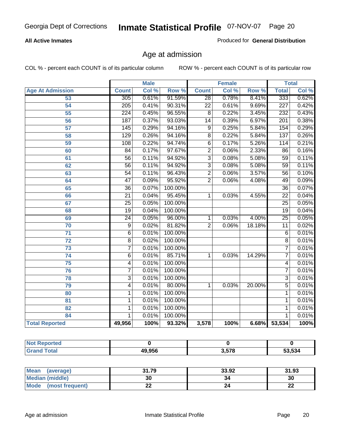#### **All Active Inmates**

Produced for **General Distribution**

### Age at admission

|                         | <b>Male</b>      |       | <b>Female</b> |                 |       | <b>Total</b> |                  |       |
|-------------------------|------------------|-------|---------------|-----------------|-------|--------------|------------------|-------|
| <b>Age At Admission</b> | <b>Count</b>     | Col % | Row %         | <b>Count</b>    | Col % | Row %        | <b>Total</b>     | Col % |
| 53                      | 305              | 0.61% | 91.59%        | $\overline{28}$ | 0.78% | 8.41%        | 333              | 0.62% |
| 54                      | $\overline{205}$ | 0.41% | 90.31%        | $\overline{22}$ | 0.61% | 9.69%        | $\overline{227}$ | 0.42% |
| $\overline{55}$         | $\overline{224}$ | 0.45% | 96.55%        | $\overline{8}$  | 0.22% | 3.45%        | 232              | 0.43% |
| $\overline{56}$         | 187              | 0.37% | 93.03%        | $\overline{14}$ | 0.39% | 6.97%        | $\overline{201}$ | 0.38% |
| $\overline{57}$         | 145              | 0.29% | 94.16%        | $\overline{9}$  | 0.25% | 5.84%        | 154              | 0.29% |
| 58                      | $\overline{129}$ | 0.26% | 94.16%        | $\overline{8}$  | 0.22% | 5.84%        | 137              | 0.26% |
| 59                      | 108              | 0.22% | 94.74%        | 6               | 0.17% | 5.26%        | 114              | 0.21% |
| 60                      | $\overline{84}$  | 0.17% | 97.67%        | $\overline{2}$  | 0.06% | 2.33%        | 86               | 0.16% |
| 61                      | $\overline{56}$  | 0.11% | 94.92%        | $\overline{3}$  | 0.08% | 5.08%        | 59               | 0.11% |
| 62                      | $\overline{56}$  | 0.11% | 94.92%        | $\overline{3}$  | 0.08% | 5.08%        | $\overline{59}$  | 0.11% |
| 63                      | $\overline{54}$  | 0.11% | 96.43%        | $\overline{2}$  | 0.06% | 3.57%        | 56               | 0.10% |
| 64                      | $\overline{47}$  | 0.09% | 95.92%        | $\overline{2}$  | 0.06% | 4.08%        | 49               | 0.09% |
| 65                      | $\overline{36}$  | 0.07% | 100.00%       |                 |       |              | $\overline{36}$  | 0.07% |
| 66                      | $\overline{21}$  | 0.04% | 95.45%        | 1               | 0.03% | 4.55%        | $\overline{22}$  | 0.04% |
| 67                      | 25               | 0.05% | 100.00%       |                 |       |              | $\overline{25}$  | 0.05% |
| 68                      | $\overline{19}$  | 0.04% | 100.00%       |                 |       |              | $\overline{19}$  | 0.04% |
| 69                      | $\overline{24}$  | 0.05% | 96.00%        | 1               | 0.03% | 4.00%        | $\overline{25}$  | 0.05% |
| 70                      | $\overline{9}$   | 0.02% | 81.82%        | $\overline{2}$  | 0.06% | 18.18%       | $\overline{11}$  | 0.02% |
| 71                      | $\overline{6}$   | 0.01% | 100.00%       |                 |       |              | 6                | 0.01% |
| $\overline{72}$         | $\overline{8}$   | 0.02% | 100.00%       |                 |       |              | $\overline{8}$   | 0.01% |
| $\overline{73}$         | $\overline{7}$   | 0.01% | 100.00%       |                 |       |              | $\overline{7}$   | 0.01% |
| $\overline{74}$         | $\overline{6}$   | 0.01% | 85.71%        | 1               | 0.03% | 14.29%       | 7                | 0.01% |
| $\overline{75}$         | 4                | 0.01% | 100.00%       |                 |       |              | 4                | 0.01% |
| 76                      | $\overline{7}$   | 0.01% | 100.00%       |                 |       |              | 7                | 0.01% |
| 78                      | $\overline{3}$   | 0.01% | 100.00%       |                 |       |              | $\overline{3}$   | 0.01% |
| 79                      | $\overline{4}$   | 0.01% | 80.00%        | $\mathbf{1}$    | 0.03% | 20.00%       | $\overline{5}$   | 0.01% |
| 80                      | $\mathbf{1}$     | 0.01% | 100.00%       |                 |       |              | 1                | 0.01% |
| $\overline{81}$         | $\mathbf{1}$     | 0.01% | 100.00%       |                 |       |              | 1                | 0.01% |
| 82                      | $\mathbf{1}$     | 0.01% | 100.00%       |                 |       |              | 1                | 0.01% |
| 84                      | 1                | 0.01% | 100.00%       |                 |       |              | 1                | 0.01% |
| <b>Total Reported</b>   | 49,956           | 100%  | 93.32%        | 3,578           | 100%  | 6.68%        | 53,534           | 100%  |

| <b>Not Reported</b> |        |       |        |
|---------------------|--------|-------|--------|
| <b>Grand Total</b>  | 49,956 | 3,578 | 53,534 |

| <b>Mean</b><br>(average) | 31.79     | 33.92 | 31.93    |
|--------------------------|-----------|-------|----------|
| <b>Median (middle)</b>   | 30        | 34    | 30       |
| Mode<br>(most frequent)  | <u>__</u> |       | ^^<br>44 |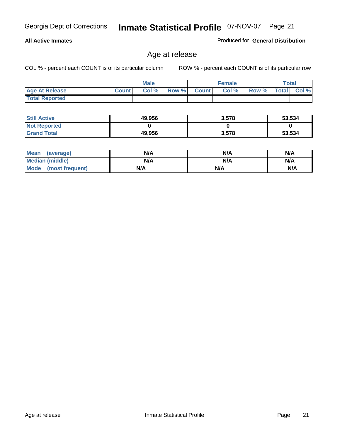#### **All Active Inmates**

Produced for **General Distribution**

### Age at release

|                       | <b>Male</b>  |       |       | <b>Female</b> |       |       | Total        |       |
|-----------------------|--------------|-------|-------|---------------|-------|-------|--------------|-------|
| <b>Age At Release</b> | <b>Count</b> | Col % | Row % | <b>Count</b>  | Col % | Row % | <b>Total</b> | Col % |
| <b>Total Reported</b> |              |       |       |               |       |       |              |       |

| <b>Still Active</b> | 49,956 | 3,578 | 53,534 |
|---------------------|--------|-------|--------|
| <b>Not Reported</b> |        |       |        |
| <b>Grand Total</b>  | 49,956 | 3,578 | 53,534 |

| Mean (average)       | N/A | N/A | N/A |
|----------------------|-----|-----|-----|
| Median (middle)      | N/A | N/A | N/A |
| Mode (most frequent) | N/A | N/A | N/A |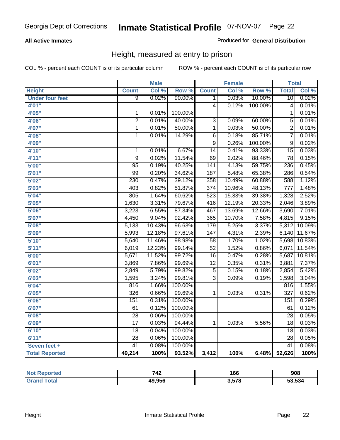#### **All Active Inmates**

#### Produced for **General Distribution**

### Height, measured at entry to prison

|                        |                  | <b>Male</b> |         |                         | <b>Female</b> |         | <b>Total</b>     |        |
|------------------------|------------------|-------------|---------|-------------------------|---------------|---------|------------------|--------|
| <b>Height</b>          | <b>Count</b>     | Col %       | Row %   | <b>Count</b>            | Col %         | Row %   | <b>Total</b>     | Col %  |
| <b>Under four feet</b> | 9                | 0.02%       | 90.00%  | 1                       | 0.03%         | 10.00%  | $\overline{10}$  | 0.02%  |
| 4'01''                 |                  |             |         | $\overline{\mathbf{4}}$ | 0.12%         | 100.00% | 4                | 0.01%  |
| 4'05"                  | 1                | 0.01%       | 100.00% |                         |               |         | 1                | 0.01%  |
| 4'06"                  | $\overline{2}$   | 0.01%       | 40.00%  | $\overline{3}$          | 0.09%         | 60.00%  | $\overline{5}$   | 0.01%  |
| 4'07"                  | $\overline{1}$   | 0.01%       | 50.00%  | 1                       | 0.03%         | 50.00%  | $\overline{2}$   | 0.01%  |
| 4'08"                  | $\overline{1}$   | 0.01%       | 14.29%  | $\overline{6}$          | 0.18%         | 85.71%  | $\overline{7}$   | 0.01%  |
| 4'09"                  |                  |             |         | $\overline{9}$          | 0.26%         | 100.00% | $\overline{9}$   | 0.02%  |
| 4'10"                  | $\mathbf 1$      | 0.01%       | 6.67%   | $\overline{14}$         | 0.41%         | 93.33%  | $\overline{15}$  | 0.03%  |
| 4'11''                 | $\overline{9}$   | 0.02%       | 11.54%  | 69                      | 2.02%         | 88.46%  | 78               | 0.15%  |
| 5'00''                 | 95               | 0.19%       | 40.25%  | $\overline{141}$        | 4.13%         | 59.75%  | 236              | 0.45%  |
| 5'01''                 | 99               | 0.20%       | 34.62%  | 187                     | 5.48%         | 65.38%  | 286              | 0.54%  |
| 5'02''                 | $\overline{230}$ | 0.47%       | 39.12%  | 358                     | 10.49%        | 60.88%  | 588              | 1.12%  |
| 5'03''                 | 403              | 0.82%       | 51.87%  | $\overline{374}$        | 10.96%        | 48.13%  | $\overline{777}$ | 1.48%  |
| 5'04"                  | 805              | 1.64%       | 60.62%  | 523                     | 15.33%        | 39.38%  | 1,328            | 2.52%  |
| 5'05''                 | 1,630            | 3.31%       | 79.67%  | 416                     | 12.19%        | 20.33%  | 2,046            | 3.89%  |
| 5'06''                 | 3,223            | 6.55%       | 87.34%  | 467                     | 13.69%        | 12.66%  | 3,690            | 7.01%  |
| 5'07''                 | 4,450            | 9.04%       | 92.42%  | 365                     | 10.70%        | 7.58%   | 4,815            | 9.15%  |
| 5'08''                 | 5,133            | 10.43%      | 96.63%  | 179                     | 5.25%         | 3.37%   | 5,312            | 10.09% |
| 5'09''                 | 5,993            | 12.18%      | 97.61%  | $\overline{147}$        | 4.31%         | 2.39%   | 6,140            | 11.67% |
| 5'10''                 | 5,640            | 11.46%      | 98.98%  | $\overline{58}$         | 1.70%         | 1.02%   | 5,698            | 10.83% |
| 5'11''                 | 6,019            | 12.23%      | 99.14%  | $\overline{52}$         | 1.52%         | 0.86%   | 6,071            | 11.54% |
| 6'00''                 | 5,671            | 11.52%      | 99.72%  | 16                      | 0.47%         | 0.28%   | 5,687            | 10.81% |
| 6'01''                 | 3,869            | 7.86%       | 99.69%  | $\overline{12}$         | 0.35%         | 0.31%   | 3,881            | 7.37%  |
| 6'02''                 | 2,849            | 5.79%       | 99.82%  | $\overline{5}$          | 0.15%         | 0.18%   | 2,854            | 5.42%  |
| 6'03''                 | 1,595            | 3.24%       | 99.81%  | $\overline{3}$          | 0.09%         | 0.19%   | 1,598            | 3.04%  |
| 6'04''                 | 816              | 1.66%       | 100.00% |                         |               |         | 816              | 1.55%  |
| 6'05''                 | 326              | 0.66%       | 99.69%  | 1                       | 0.03%         | 0.31%   | $\overline{327}$ | 0.62%  |
| 6'06''                 | 151              | 0.31%       | 100.00% |                         |               |         | 151              | 0.29%  |
| 6'07''                 | 61               | 0.12%       | 100.00% |                         |               |         | 61               | 0.12%  |
| 6'08''                 | $\overline{28}$  | 0.06%       | 100.00% |                         |               |         | $\overline{28}$  | 0.05%  |
| 6'09''                 | 17               | 0.03%       | 94.44%  | 1                       | 0.03%         | 5.56%   | 18               | 0.03%  |
| 6'10''                 | $\overline{18}$  | 0.04%       | 100.00% |                         |               |         | $\overline{18}$  | 0.03%  |
| 6'11''                 | $\overline{28}$  | 0.06%       | 100.00% |                         |               |         | $\overline{28}$  | 0.05%  |
| Seven feet +           | $\overline{41}$  | 0.08%       | 100.00% |                         |               |         | $\overline{41}$  | 0.08%  |
| <b>Total Reported</b>  | 49,214           | 100%        | 93.52%  | 3,412                   | 100%          | 6.48%   | 52,626           | 100%   |

| ported<br>NO. | 742    | 166   | 908    |
|---------------|--------|-------|--------|
|               | 49.956 | 3.578 | 53.534 |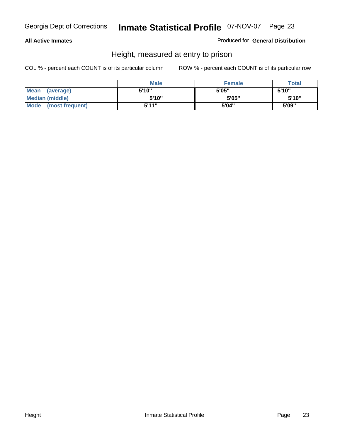#### **All Active Inmates**

#### Produced for **General Distribution**

### Height, measured at entry to prison

|                      | <b>Male</b> | <b>Female</b> | <b>Total</b> |
|----------------------|-------------|---------------|--------------|
| Mean (average)       | 5'10"       | 5'05"         | 5'10''       |
| Median (middle)      | 5'10"       | 5'05"         | 5'10"        |
| Mode (most frequent) | 5'11"       | 5'04"         | 5'09"        |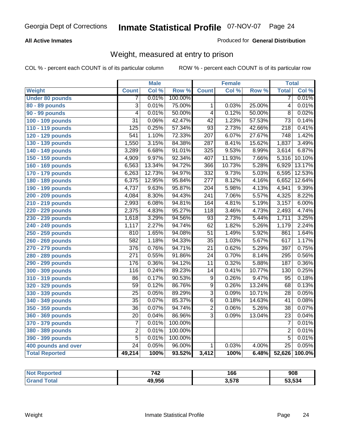#### **All Active Inmates**

#### Produced for **General Distribution**

### Weight, measured at entry to prison

|                        |                  | <b>Male</b> |         |                  | <b>Female</b> |        | <b>Total</b>     |        |
|------------------------|------------------|-------------|---------|------------------|---------------|--------|------------------|--------|
| <b>Weight</b>          | <b>Count</b>     | Col %       | Row %   | <b>Count</b>     | Col %         | Row %  | <b>Total</b>     | Col %  |
| <b>Under 80 pounds</b> | 7                | 0.01%       | 100.00% |                  |               |        | 7                | 0.01%  |
| 80 - 89 pounds         | $\overline{3}$   | 0.01%       | 75.00%  | 1                | 0.03%         | 25.00% | $\overline{4}$   | 0.01%  |
| 90 - 99 pounds         | $\overline{4}$   | 0.01%       | 50.00%  | $\overline{4}$   | 0.12%         | 50.00% | $\overline{8}$   | 0.02%  |
| 100 - 109 pounds       | $\overline{31}$  | 0.06%       | 42.47%  | $\overline{42}$  | 1.23%         | 57.53% | $\overline{73}$  | 0.14%  |
| 110 - 119 pounds       | $\overline{125}$ | 0.25%       | 57.34%  | $\overline{93}$  | 2.73%         | 42.66% | $\overline{218}$ | 0.41%  |
| 120 - 129 pounds       | $\overline{541}$ | 1.10%       | 72.33%  | $\overline{207}$ | 6.07%         | 27.67% | 748              | 1.42%  |
| 130 - 139 pounds       | 1,550            | 3.15%       | 84.38%  | 287              | 8.41%         | 15.62% | 1,837            | 3.49%  |
| 140 - 149 pounds       | 3,289            | 6.68%       | 91.01%  | 325              | 9.53%         | 8.99%  | 3,614            | 6.87%  |
| 150 - 159 pounds       | 4,909            | 9.97%       | 92.34%  | 407              | 11.93%        | 7.66%  | 5,316            | 10.10% |
| 160 - 169 pounds       | 6,563            | 13.34%      | 94.72%  | 366              | 10.73%        | 5.28%  | 6,929            | 13.17% |
| 170 - 179 pounds       | 6,263            | 12.73%      | 94.97%  | 332              | 9.73%         | 5.03%  | 6,595            | 12.53% |
| 180 - 189 pounds       | 6,375            | 12.95%      | 95.84%  | $\overline{277}$ | 8.12%         | 4.16%  | 6,652            | 12.64% |
| 190 - 199 pounds       | 4,737            | 9.63%       | 95.87%  | $\overline{204}$ | 5.98%         | 4.13%  | 4,941            | 9.39%  |
| 200 - 209 pounds       | 4,084            | 8.30%       | 94.43%  | $\overline{241}$ | 7.06%         | 5.57%  | 4,325            | 8.22%  |
| 210 - 219 pounds       | 2,993            | 6.08%       | 94.81%  | 164              | 4.81%         | 5.19%  | 3,157            | 6.00%  |
| 220 - 229 pounds       | 2,375            | 4.83%       | 95.27%  | $\overline{118}$ | 3.46%         | 4.73%  | 2,493            | 4.74%  |
| 230 - 239 pounds       | 1,618            | 3.29%       | 94.56%  | $\overline{93}$  | 2.73%         | 5.44%  | 1,711            | 3.25%  |
| 240 - 249 pounds       | 1,117            | 2.27%       | 94.74%  | 62               | 1.82%         | 5.26%  | 1,179            | 2.24%  |
| 250 - 259 pounds       | 810              | 1.65%       | 94.08%  | $\overline{51}$  | 1.49%         | 5.92%  | 861              | 1.64%  |
| 260 - 269 pounds       | 582              | 1.18%       | 94.33%  | $\overline{35}$  | 1.03%         | 5.67%  | 617              | 1.17%  |
| 270 - 279 pounds       | 376              | 0.76%       | 94.71%  | $\overline{21}$  | 0.62%         | 5.29%  | 397              | 0.75%  |
| 280 - 289 pounds       | $\overline{271}$ | 0.55%       | 91.86%  | $\overline{24}$  | 0.70%         | 8.14%  | 295              | 0.56%  |
| 290 - 299 pounds       | 176              | 0.36%       | 94.12%  | $\overline{11}$  | 0.32%         | 5.88%  | 187              | 0.36%  |
| 300 - 309 pounds       | 116              | 0.24%       | 89.23%  | $\overline{14}$  | 0.41%         | 10.77% | 130              | 0.25%  |
| 310 - 319 pounds       | 86               | 0.17%       | 90.53%  | $\overline{9}$   | 0.26%         | 9.47%  | 95               | 0.18%  |
| 320 - 329 pounds       | $\overline{59}$  | 0.12%       | 86.76%  | $\overline{9}$   | 0.26%         | 13.24% | 68               | 0.13%  |
| 330 - 339 pounds       | $\overline{25}$  | 0.05%       | 89.29%  | $\overline{3}$   | 0.09%         | 10.71% | $\overline{28}$  | 0.05%  |
| 340 - 349 pounds       | $\overline{35}$  | 0.07%       | 85.37%  | $\overline{6}$   | 0.18%         | 14.63% | 41               | 0.08%  |
| 350 - 359 pounds       | $\overline{36}$  | 0.07%       | 94.74%  | $\overline{2}$   | 0.06%         | 5.26%  | $\overline{38}$  | 0.07%  |
| 360 - 369 pounds       | 20               | 0.04%       | 86.96%  | $\overline{3}$   | 0.09%         | 13.04% | $\overline{23}$  | 0.04%  |
| 370 - 379 pounds       | $\overline{7}$   | 0.01%       | 100.00% |                  |               |        | 7                | 0.01%  |
| 380 - 389 pounds       | $\overline{2}$   | 0.01%       | 100.00% |                  |               |        | $\overline{2}$   | 0.01%  |
| 390 - 399 pounds       | $\overline{5}$   | 0.01%       | 100.00% |                  |               |        | $\overline{5}$   | 0.01%  |
| 400 pounds and over    | $\overline{24}$  | 0.05%       | 96.00%  | $\mathbf{1}$     | 0.03%         | 4.00%  | $\overline{25}$  | 0.05%  |
| <b>Total Reported</b>  | 49,214           | 100%        | 93.52%  | 3,412            | 100%          | 6.48%  | 52,626           | 100.0% |

| <b>Reported</b><br>NO. | 742    | 166   | 908    |
|------------------------|--------|-------|--------|
| <b>ota</b>             | 49.956 | 3,578 | 53.534 |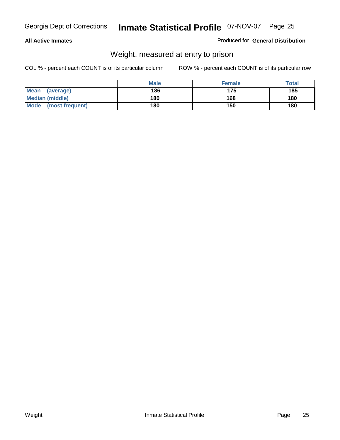#### **All Active Inmates**

#### Produced for **General Distribution**

### Weight, measured at entry to prison

|                                | <b>Male</b> | <b>Female</b> | Total |
|--------------------------------|-------------|---------------|-------|
| <b>Mean</b><br>(average)       | 186         | 175           | 185   |
| <b>Median (middle)</b>         | 180         | 168           | 180   |
| <b>Mode</b><br>(most frequent) | 180         | 150           | 180   |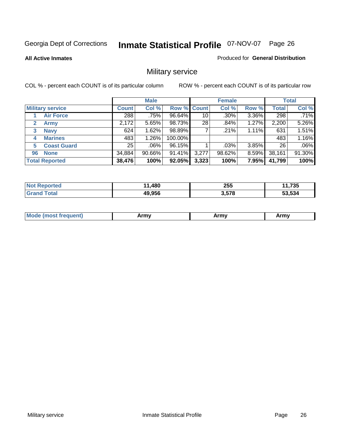**All Active Inmates**

Produced for **General Distribution**

### Military service

|    |                         |              | <b>Male</b> |             |       | <b>Female</b> |          |              | <b>Total</b> |
|----|-------------------------|--------------|-------------|-------------|-------|---------------|----------|--------------|--------------|
|    | <b>Military service</b> | <b>Count</b> | Col %       | Row % Count |       | Col %         | Row %    | <b>Total</b> | Col %        |
|    | <b>Air Force</b>        | 288          | .75%        | 96.64%      | 10    | $.30\%$       | 3.36%    | 298          | .71%         |
| 2  | <b>Army</b>             | 2,172        | 5.65%       | 98.73%      | 28    | .84%          | 1.27%    | 2,200        | 5.26%        |
| 3  | <b>Navy</b>             | 624          | 1.62%       | 98.89%      |       | .21%          | 1.11%    | 631          | 1.51%        |
| 4  | <b>Marines</b>          | 483          | $1.26\%$    | 100.00%     |       |               |          | 483          | 1.16%        |
| 5  | <b>Coast Guard</b>      | 25           | $.06\%$     | 96.15%      |       | $.03\%$       | 3.85%    | 26           | .06%         |
| 96 | <b>None</b>             | 34,884       | $90.66\%$   | 91.41%      | 3,277 | 98.62%        | $8.59\%$ | 38,161       | 91.30%       |
|    | <b>Total Reported</b>   | 38,476       | 100%        | 92.05%      | 3,323 | 100%          | 7.95%    | 41,799       | 100%         |

| orted        | 1,480<br>44 | 255   | ,735   |
|--------------|-------------|-------|--------|
| <b>Total</b> | 49,956      | 3,578 | 53,534 |

|  | <b>Mou</b> | Army | Army | Army |
|--|------------|------|------|------|
|--|------------|------|------|------|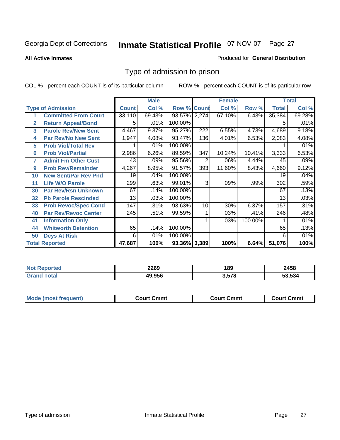#### **All Active Inmates**

#### Produced for **General Distribution**

### Type of admission to prison

|                |                             |              | <b>Male</b> |                    |     | <b>Female</b> |         |              | <b>Total</b> |
|----------------|-----------------------------|--------------|-------------|--------------------|-----|---------------|---------|--------------|--------------|
|                | <b>Type of Admission</b>    | <b>Count</b> | Col %       | <b>Row % Count</b> |     | Col %         | Row %   | <b>Total</b> | Col %        |
|                | <b>Committed From Court</b> | 33,110       | 69.43%      | 93.57% 2,274       |     | 67.10%        | 6.43%   | 35,384       | 69.28%       |
| $\overline{2}$ | <b>Return Appeal/Bond</b>   | 5            | .01%        | 100.00%            |     |               |         | 5            | .01%         |
| 3              | <b>Parole Rev/New Sent</b>  | 4,467        | 9.37%       | 95.27%             | 222 | 6.55%         | 4.73%   | 4,689        | 9.18%        |
| 4              | <b>Par Rev/No New Sent</b>  | 1,947        | 4.08%       | 93.47%             | 136 | 4.01%         | 6.53%   | 2,083        | 4.08%        |
| 5              | <b>Prob Viol/Total Rev</b>  |              | .01%        | 100.00%            |     |               |         |              | .01%         |
| 6              | <b>Prob Viol/Partial</b>    | 2,986        | 6.26%       | 89.59%             | 347 | 10.24%        | 10.41%  | 3,333        | 6.53%        |
| 7              | <b>Admit Fm Other Cust</b>  | 43           | .09%        | 95.56%             | 2   | .06%          | 4.44%   | 45           | .09%         |
| 9              | <b>Prob Rev/Remainder</b>   | 4,267        | 8.95%       | 91.57%             | 393 | 11.60%        | 8.43%   | 4,660        | 9.12%        |
| 10             | <b>New Sent/Par Rev Pnd</b> | 19           | .04%        | 100.00%            |     |               |         | 19           | .04%         |
| 11             | <b>Life W/O Parole</b>      | 299          | .63%        | 99.01%             | 3   | .09%          | .99%    | 302          | .59%         |
| 30             | <b>Par Rev/Rsn Unknown</b>  | 67           | .14%        | 100.00%            |     |               |         | 67           | .13%         |
| 32             | <b>Pb Parole Rescinded</b>  | 13           | .03%        | 100.00%            |     |               |         | 13           | .03%         |
| 33             | <b>Prob Revoc/Spec Cond</b> | 147          | .31%        | 93.63%             | 10  | .30%          | 6.37%   | 157          | .31%         |
| 40             | <b>Par Rev/Revoc Center</b> | 245          | .51%        | 99.59%             |     | .03%          | .41%    | 246          | .48%         |
| 41             | <b>Information Only</b>     |              |             |                    |     | .03%          | 100.00% |              | .01%         |
| 44             | <b>Whitworth Detention</b>  | 65           | .14%        | 100.00%            |     |               |         | 65           | .13%         |
| 50             | <b>Dcys At Risk</b>         | 6            | .01%        | 100.00%            |     |               |         | 6            | .01%         |
|                | <b>Total Reported</b>       | 47,687       | 100%        | 93.36% 3,389       |     | 100%          | 6.64%   | 51,076       | 100%         |

| <b>Not</b><br>oorted<br>NGI | 2269   | 189   | 2458  |
|-----------------------------|--------|-------|-------|
| otal                        | 49.956 | 3,578 | 3.534 |

| <b>Mode (most frequent)</b> | <b>Court Cmmt</b> | <b>Court Cmmt</b> | <b>Court Cmmt</b> |
|-----------------------------|-------------------|-------------------|-------------------|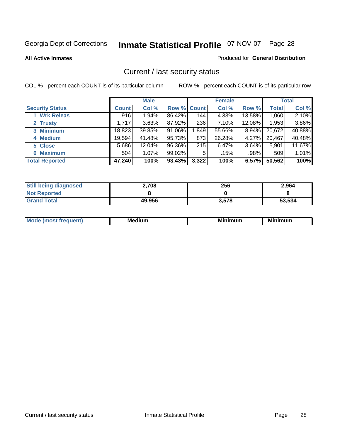**All Active Inmates**

#### Produced for **General Distribution**

### Current / last security status

|                        |              | <b>Male</b> |                    |       | <b>Female</b> |        |              | <b>Total</b> |
|------------------------|--------------|-------------|--------------------|-------|---------------|--------|--------------|--------------|
| <b>Security Status</b> | <b>Count</b> | Col %       | <b>Row % Count</b> |       | Col %         | Row %  | <b>Total</b> | Col %        |
| 1 Wrk Releas           | 916          | 1.94%       | 86.42%             | 144   | 4.33%         | 13.58% | 1,060        | 2.10%        |
| 2 Trusty               | 1,717        | 3.63%       | 87.92%             | 236   | 7.10%         | 12.08% | 1,953        | 3.86%        |
| 3 Minimum              | 18,823       | 39.85%      | 91.06%             | 1,849 | 55.66%        | 8.94%  | 20,672       | 40.88%       |
| 4 Medium               | 19,594       | 41.48%      | 95.73%             | 873   | 26.28%        | 4.27%  | 20,467       | 40.48%       |
| 5 Close                | 5,686        | 12.04%      | 96.36%             | 215   | 6.47%         | 3.64%  | 5,901        | 11.67%       |
| 6 Maximum              | 504          | 1.07%       | 99.02%             | 5     | .15%          | .98%   | 509          | 1.01%        |
| <b>Total Reported</b>  | 47,240       | 100%        | 93.43%             | 3,322 | 100%          | 6.57%  | 50,562       | 100%         |

| <b>Still being diagnosed</b> | 2,708  | 256   | 2,964  |
|------------------------------|--------|-------|--------|
| <b>Not Reported</b>          |        |       |        |
| <b>Grand Total</b>           | 49,956 | 3,578 | 53,534 |

| M | в.<br>- - - - | <br>-- | .<br>. |
|---|---------------|--------|--------|
|   |               |        |        |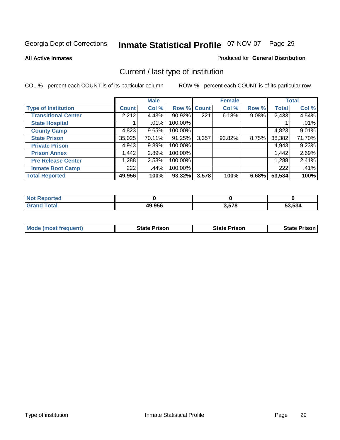**All Active Inmates**

#### Produced for **General Distribution**

### Current / last type of institution

|                            |              | <b>Male</b> |             |       | <b>Female</b> |       |              | <b>Total</b> |
|----------------------------|--------------|-------------|-------------|-------|---------------|-------|--------------|--------------|
| <b>Type of Institution</b> | <b>Count</b> | Col %       | Row % Count |       | Col %         | Row % | <b>Total</b> | Col %        |
| <b>Transitional Center</b> | 2,212        | 4.43%       | 90.92%      | 221   | 6.18%         | 9.08% | 2,433        | 4.54%        |
| <b>State Hospital</b>      |              | $.01\%$     | 100.00%     |       |               |       |              | .01%         |
| <b>County Camp</b>         | 4,823        | 9.65%       | 100.00%     |       |               |       | 4,823        | 9.01%        |
| <b>State Prison</b>        | 35,025       | 70.11%      | 91.25%      | 3,357 | $93.82\%$     | 8.75% | 38,382       | 71.70%       |
| <b>Private Prison</b>      | 4,943        | 9.89%       | 100.00%     |       |               |       | 4,943        | 9.23%        |
| <b>Prison Annex</b>        | 1,442        | 2.89%       | 100.00%     |       |               |       | 1,442        | 2.69%        |
| <b>Pre Release Center</b>  | 1,288        | 2.58%       | 100.00%     |       |               |       | 1,288        | 2.41%        |
| <b>Inmate Boot Camp</b>    | 222          | .44%        | 100.00%     |       |               |       | 222          | .41%         |
| <b>Total Reported</b>      | 49,956       | 100%        | 93.32%      | 3,578 | 100%          | 6.68% | 53,534       | 100%         |

| <b>Not</b><br>Reported |        |       |        |
|------------------------|--------|-------|--------|
| <b>Grand Total</b>     | 49,956 | 3,578 | 53.534 |

| <b>Mode (most frequent)</b> | State Prison | <b>State Prison</b> | <b>State Prison I</b> |
|-----------------------------|--------------|---------------------|-----------------------|
|                             |              |                     |                       |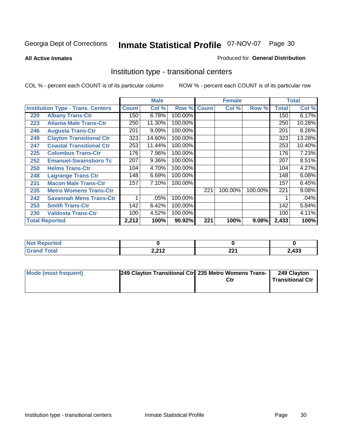**All Active Inmates**

#### Produced for **General Distribution**

### Institution type - transitional centers

|     |                                          |              | <b>Male</b> |         |              | <b>Female</b> |         |              | <b>Total</b> |
|-----|------------------------------------------|--------------|-------------|---------|--------------|---------------|---------|--------------|--------------|
|     | <b>Institution Type - Trans. Centers</b> | <b>Count</b> | Col %       | Row %   | <b>Count</b> | Col %         | Row %   | <b>Total</b> | Col %        |
| 220 | <b>Albany Trans-Ctr</b>                  | 150          | 6.78%       | 100.00% |              |               |         | 150          | 6.17%        |
| 223 | <b>Atlanta Male Trans-Ctr</b>            | 250          | 11.30%      | 100.00% |              |               |         | 250          | 10.28%       |
| 246 | <b>Augusta Trans-Ctr</b>                 | 201          | 9.09%       | 100.00% |              |               |         | 201          | 8.26%        |
| 249 | <b>Clayton Transitional Ctr</b>          | 323          | 14.60%      | 100.00% |              |               |         | 323          | 13.28%       |
| 247 | <b>Coastal Transitional Ctr</b>          | 253          | 11.44%      | 100.00% |              |               |         | 253          | 10.40%       |
| 225 | <b>Columbus Trans-Ctr</b>                | 176          | 7.96%       | 100.00% |              |               |         | 176          | 7.23%        |
| 252 | <b>Emanuel-Swainsboro Tc</b>             | 207          | 9.36%       | 100.00% |              |               |         | 207          | 8.51%        |
| 250 | <b>Helms Trans-Ctr</b>                   | 104          | 4.70%       | 100.00% |              |               |         | 104          | 4.27%        |
| 248 | <b>Lagrange Trans Ctr</b>                | 148          | 6.69%       | 100.00% |              |               |         | 148          | 6.08%        |
| 231 | <b>Macon Male Trans-Ctr</b>              | 157          | 7.10%       | 100.00% |              |               |         | 157          | 6.45%        |
| 235 | <b>Metro Womens Trans-Ctr</b>            |              |             |         | 221          | 100.00%       | 100.00% | 221          | 9.08%        |
| 242 | <b>Savannah Mens Trans-Ctr</b>           | 1            | .05%        | 100.00% |              |               |         |              | .04%         |
| 253 | <b>Smith Trans-Ctr</b>                   | 142          | 6.42%       | 100.00% |              |               |         | 142          | 5.84%        |
| 230 | <b>Valdosta Trans-Ctr</b>                | 100          | 4.52%       | 100.00% |              |               |         | 100          | 4.11%        |
|     | <b>Total Reported</b>                    | 2,212        | 100%        | 90.92%  | 221          | 100%          | 9.08%   | 2,433        | 100%         |

| المناسب بالتعبين<br>portea<br>m. |                         |                    |      |
|----------------------------------|-------------------------|--------------------|------|
| int                              | <b>2.212</b><br>4.4 L L | nn,<br><u>__</u> 1 | ,433 |

| Mode (most frequent) | 249 Clayton Transitional Ctr 235 Metro Womens Trans- | 249 Clayton<br><b>Transitional Ctr</b> |
|----------------------|------------------------------------------------------|----------------------------------------|
|                      |                                                      |                                        |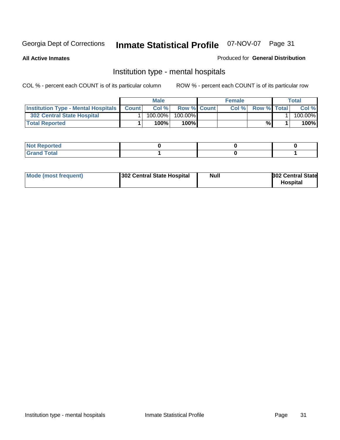**All Active Inmates**

#### Produced for **General Distribution**

### Institution type - mental hospitals

|                                                  | <b>Male</b> |                    | <b>Female</b> |                    | Total   |
|--------------------------------------------------|-------------|--------------------|---------------|--------------------|---------|
| <b>Institution Type - Mental Hospitals Count</b> | Col%        | <b>Row % Count</b> | Col%          | <b>Row % Total</b> | Col %   |
| 302 Central State Hospital                       | $100.00\%$  | 100.00%            |               |                    | 100.00% |
| <b>Total Reported</b>                            | 100%        | 100%               |               | %                  | 100%    |

| Not Reported |  |  |
|--------------|--|--|
| <b>otal</b>  |  |  |

| Mode (most frequent)<br>302 Central State Hospital | Null | <b>302 Central State</b><br><b>Hospital</b> |
|----------------------------------------------------|------|---------------------------------------------|
|----------------------------------------------------|------|---------------------------------------------|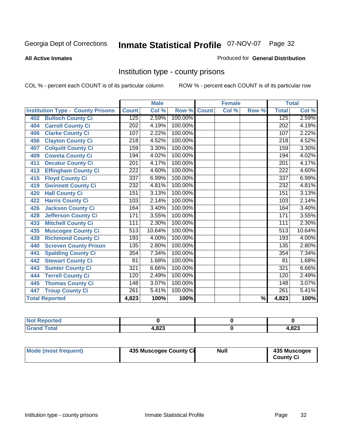#### **All Active Inmates**

#### Produced for **General Distribution**

### Institution type - county prisons

|                                          |                  | <b>Male</b> |         |              | <b>Female</b>             |                          |                  | <b>Total</b> |
|------------------------------------------|------------------|-------------|---------|--------------|---------------------------|--------------------------|------------------|--------------|
| <b>Institution Type - County Prisons</b> | <b>Count</b>     | Col %       | Row %   | <b>Count</b> | $\overline{\text{Col}}$ % | Row %                    | <b>Total</b>     | Col %        |
| <b>Bulloch County Ci</b><br>402          | 125              | 2.59%       | 100.00% |              |                           |                          | 125              | 2.59%        |
| <b>Carroll County Ci</b><br>404          | $\overline{202}$ | 4.19%       | 100.00% |              |                           |                          | $\overline{20}2$ | 4.19%        |
| <b>Clarke County Ci</b><br>406           | 107              | 2.22%       | 100.00% |              |                           |                          | 107              | 2.22%        |
| <b>Clayton County Ci</b><br>456          | 218              | 4.52%       | 100.00% |              |                           |                          | 218              | 4.52%        |
| <b>Colquitt County Ci</b><br>407         | 159              | 3.30%       | 100.00% |              |                           |                          | 159              | 3.30%        |
| <b>Coweta County Ci</b><br>409           | 194              | 4.02%       | 100.00% |              |                           |                          | 194              | 4.02%        |
| <b>Decatur County Ci</b><br>411          | 201              | 4.17%       | 100.00% |              |                           |                          | 201              | 4.17%        |
| <b>Effingham County Ci</b><br>413        | $\overline{222}$ | 4.60%       | 100.00% |              |                           |                          | $\overline{222}$ | 4.60%        |
| <b>Floyd County Ci</b><br>415            | 337              | 6.99%       | 100.00% |              |                           |                          | 337              | 6.99%        |
| <b>Gwinnett County Ci</b><br>419         | $\overline{232}$ | 4.81%       | 100.00% |              |                           |                          | 232              | 4.81%        |
| <b>Hall County Ci</b><br>420             | 151              | 3.13%       | 100.00% |              |                           |                          | 151              | 3.13%        |
| <b>Harris County Ci</b><br>422           | 103              | 2.14%       | 100.00% |              |                           |                          | 103              | 2.14%        |
| Jackson County Ci<br>426                 | 164              | 3.40%       | 100.00% |              |                           |                          | 164              | 3.40%        |
| <b>Jefferson County Ci</b><br>428        | 171              | 3.55%       | 100.00% |              |                           |                          | 171              | 3.55%        |
| <b>Mitchell County Ci</b><br>433         | 111              | 2.30%       | 100.00% |              |                           |                          | 111              | 2.30%        |
| <b>Muscogee County Ci</b><br>435         | 513              | 10.64%      | 100.00% |              |                           |                          | 513              | 10.64%       |
| <b>Richmond County Ci</b><br>439         | 193              | 4.00%       | 100.00% |              |                           |                          | 193              | 4.00%        |
| <b>Screven County Prison</b><br>440      | 135              | 2.80%       | 100.00% |              |                           |                          | 135              | 2.80%        |
| <b>Spalding County Ci</b><br>441         | 354              | 7.34%       | 100.00% |              |                           |                          | 354              | 7.34%        |
| <b>Stewart County Ci</b><br>442          | 81               | 1.68%       | 100.00% |              |                           |                          | 81               | 1.68%        |
| <b>Sumter County Ci</b><br>443           | 321              | 6.66%       | 100.00% |              |                           |                          | 321              | 6.66%        |
| <b>Terrell County Ci</b><br>444          | 120              | 2.49%       | 100.00% |              |                           |                          | 120              | 2.49%        |
| <b>Thomas County Ci</b><br>445           | 148              | 3.07%       | 100.00% |              |                           |                          | 148              | 3.07%        |
| <b>Troup County Ci</b><br>447            | $\overline{261}$ | 5.41%       | 100.00% |              |                           |                          | 261              | 5.41%        |
| <b>Total Reported</b>                    | 4,823            | 100%        | 100%    |              |                           | $\overline{\frac{9}{6}}$ | 4,823            | 100%         |

| τeα                                |             |             |
|------------------------------------|-------------|-------------|
| $\sim$ $\sim$ $\sim$ $\sim$ $\sim$ | റാ<br>7.OZJ | ററ<br>د∡ס,ו |

| Mode (most frequent) | 435 Muscogee County Ci | <b>Null</b> | 435 Muscogee     |
|----------------------|------------------------|-------------|------------------|
|                      |                        |             | <b>County Ci</b> |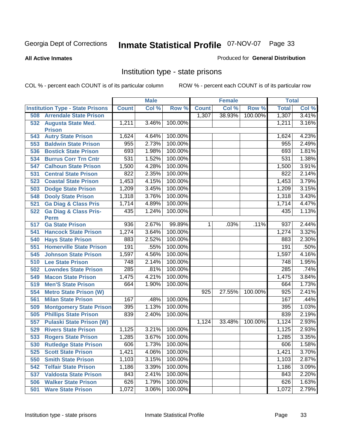**All Active Inmates**

#### Produced for **General Distribution**

### Institution type - state prisons

|     |                                            |              | <b>Male</b> |         |              | <b>Female</b> |         | <b>Total</b>     |       |
|-----|--------------------------------------------|--------------|-------------|---------|--------------|---------------|---------|------------------|-------|
|     | <b>Institution Type - State Prisons</b>    | <b>Count</b> | Col %       | Row %   | <b>Count</b> | Col %         | Row %   | <b>Total</b>     | Col % |
| 508 | <b>Arrendale State Prison</b>              |              |             |         | 1,307        | 38.93%        | 100.00% | 1,307            | 3.41% |
| 532 | <b>Augusta State Med.</b><br><b>Prison</b> | 1,211        | 3.46%       | 100.00% |              |               |         | 1,211            | 3.16% |
| 543 | <b>Autry State Prison</b>                  | 1,624        | 4.64%       | 100.00% |              |               |         | 1,624            | 4.23% |
| 553 | <b>Baldwin State Prison</b>                | 955          | 2.73%       | 100.00% |              |               |         | 955              | 2.49% |
| 536 | <b>Bostick State Prison</b>                | 693          | 1.98%       | 100.00% |              |               |         | 693              | 1.81% |
| 534 | <b>Burrus Corr Trn Cntr</b>                | 531          | 1.52%       | 100.00% |              |               |         | 531              | 1.38% |
| 547 | <b>Calhoun State Prison</b>                | 1,500        | 4.28%       | 100.00% |              |               |         | 1,500            | 3.91% |
| 531 | <b>Central State Prison</b>                | 822          | 2.35%       | 100.00% |              |               |         | 822              | 2.14% |
| 523 | <b>Coastal State Prison</b>                | 1,453        | 4.15%       | 100.00% |              |               |         | 1,453            | 3.79% |
| 503 | <b>Dodge State Prison</b>                  | 1,209        | 3.45%       | 100.00% |              |               |         | 1,209            | 3.15% |
| 548 | <b>Dooly State Prison</b>                  | 1,318        | 3.76%       | 100.00% |              |               |         | 1,318            | 3.43% |
| 521 | <b>Ga Diag &amp; Class Pris</b>            | 1,714        | 4.89%       | 100.00% |              |               |         | 1,714            | 4.47% |
| 522 | <b>Ga Diag &amp; Class Pris-</b>           | 435          | 1.24%       | 100.00% |              |               |         | 435              | 1.13% |
|     | <b>Perm</b>                                |              |             |         |              |               |         |                  |       |
| 517 | <b>Ga State Prison</b>                     | 936          | 2.67%       | 99.89%  | 1.           | .03%          | .11%    | 937              | 2.44% |
| 541 | <b>Hancock State Prison</b>                | 1,274        | 3.64%       | 100.00% |              |               |         | 1,274            | 3.32% |
| 540 | <b>Hays State Prison</b>                   | 883          | 2.52%       | 100.00% |              |               |         | 883              | 2.30% |
| 551 | <b>Homerville State Prison</b>             | 191          | .55%        | 100.00% |              |               |         | 191              | .50%  |
| 545 | <b>Johnson State Prison</b>                | 1,597        | 4.56%       | 100.00% |              |               |         | 1,597            | 4.16% |
| 510 | <b>Lee State Prison</b>                    | 748          | 2.14%       | 100.00% |              |               |         | 748              | 1.95% |
| 502 | <b>Lowndes State Prison</b>                | 285          | .81%        | 100.00% |              |               |         | 285              | .74%  |
| 549 | <b>Macon State Prison</b>                  | 1,475        | 4.21%       | 100.00% |              |               |         | 1,475            | 3.84% |
| 519 | <b>Men'S State Prison</b>                  | 664          | 1.90%       | 100.00% |              |               |         | 664              | 1.73% |
| 554 | <b>Metro State Prison (W)</b>              |              |             |         | 925          | 27.55%        | 100.00% | $\overline{925}$ | 2.41% |
| 561 | <b>Milan State Prison</b>                  | 167          | .48%        | 100.00% |              |               |         | 167              | .44%  |
| 509 | <b>Montgomery State Prison</b>             | 395          | 1.13%       | 100.00% |              |               |         | 395              | 1.03% |
| 505 | <b>Phillips State Prison</b>               | 839          | 2.40%       | 100.00% |              |               |         | 839              | 2.19% |
| 557 | <b>Pulaski State Prison (W)</b>            |              |             |         | 1,124        | 33.48%        | 100.00% | 1,124            | 2.93% |
| 529 | <b>Rivers State Prison</b>                 | 1,125        | 3.21%       | 100.00% |              |               |         | 1,125            | 2.93% |
| 533 | <b>Rogers State Prison</b>                 | 1,285        | 3.67%       | 100.00% |              |               |         | 1,285            | 3.35% |
| 530 | <b>Rutledge State Prison</b>               | 606          | 1.73%       | 100.00% |              |               |         | 606              | 1.58% |
| 525 | <b>Scott State Prison</b>                  | 1,421        | 4.06%       | 100.00% |              |               |         | 1,421            | 3.70% |
| 550 | <b>Smith State Prison</b>                  | 1,103        | 3.15%       | 100.00% |              |               |         | 1,103            | 2.87% |
| 542 | <b>Telfair State Prison</b>                | 1,186        | 3.39%       | 100.00% |              |               |         | 1,186            | 3.09% |
| 537 | <b>Valdosta State Prison</b>               | 843          | 2.41%       | 100.00% |              |               |         | 843              | 2.20% |
| 506 | <b>Walker State Prison</b>                 | 626          | 1.79%       | 100.00% |              |               |         | 626              | 1.63% |
| 501 | <b>Ware State Prison</b>                   | 1,072        | 3.06%       | 100.00% |              |               |         | 1,072            | 2.79% |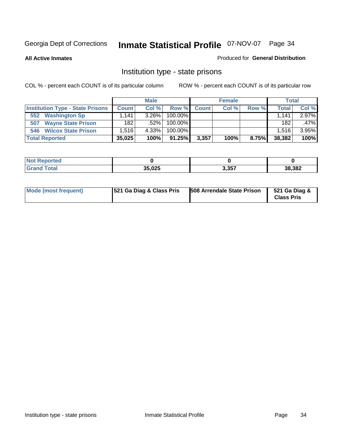**All Active Inmates**

#### Produced for **General Distribution**

### Institution type - state prisons

|                                         |              | <b>Male</b> |            |              | <b>Female</b> |       | <b>Total</b> |       |
|-----------------------------------------|--------------|-------------|------------|--------------|---------------|-------|--------------|-------|
| <b>Institution Type - State Prisons</b> | <b>Count</b> | Col%        | Row %      | <b>Count</b> | Col %         | Row % | Total        | Col % |
| <b>Washington Sp</b><br>552             | .141         | $3.26\%$    | $100.00\%$ |              |               |       | 1.141        | 2.97% |
| <b>Wayne State Prison</b><br>507        | 182          | .52%        | $100.00\%$ |              |               |       | 182          | .47%  |
| <b>Wilcox State Prison</b><br>546       | .516         | 4.33%       | $100.00\%$ |              |               |       | 1.516        | 3.95% |
| <b>Total Reported</b>                   | 35,025       | 100%        | 91.25%     | 3,357        | 100%          | 8.75% | 38,382       | 100%  |

| <b>No</b><br>Reported |        |       |        |
|-----------------------|--------|-------|--------|
| <b>Total</b>          | 35.025 | 3,357 | 38,382 |

| Mode (most frequent) | 521 Ga Diag & Class Pris | 508 Arrendale State Prison | 521 Ga Diag &<br><b>Class Pris</b> |
|----------------------|--------------------------|----------------------------|------------------------------------|
|----------------------|--------------------------|----------------------------|------------------------------------|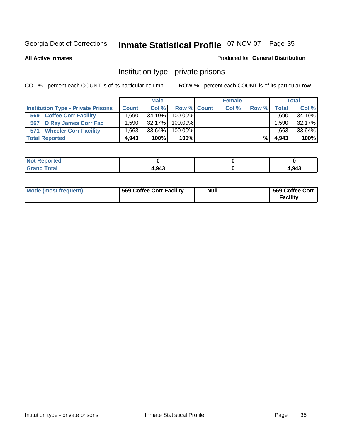**All Active Inmates**

#### Produced for **General Distribution**

### Institution type - private prisons

|                                           |                   | <b>Male</b> |             | <b>Female</b> |                    |         | <b>Total</b> |
|-------------------------------------------|-------------------|-------------|-------------|---------------|--------------------|---------|--------------|
| <b>Institution Type - Private Prisons</b> | <b>Count</b>      | Col %       | Row % Count | Col %         | Row %              | Total   | Col %        |
| <b>Coffee Corr Facility</b><br>569        | .690 <sup>1</sup> | 34.19%      | 100.00%     |               |                    | ' 690.، | 34.19%       |
| 567 D Ray James Corr Fac                  | ا 590. ا          | 32.17%      | 100.00%     |               |                    | .590    | 32.17%       |
| <b>Wheeler Corr Facility</b><br>571       | .663⊥             | 33.64%      | 100.00%     |               |                    | 1.663   | 33.64%       |
| <b>Total Reported</b>                     | 4.943             | 100%        | 100%        |               | $%$ $\blacksquare$ | 4,943   | 100%         |

| Reported<br><b>Not</b>                      |       |       |
|---------------------------------------------|-------|-------|
| <b>Total</b><br>$\mathbf{v}$ . $\mathbf{u}$ | 4,943 | 1,943 |

| <b>Mode (most frequent)</b> | 569 Coffee Corr Facility | <b>Null</b> | 569 Coffee Corr<br><b>Facility</b> |
|-----------------------------|--------------------------|-------------|------------------------------------|
|-----------------------------|--------------------------|-------------|------------------------------------|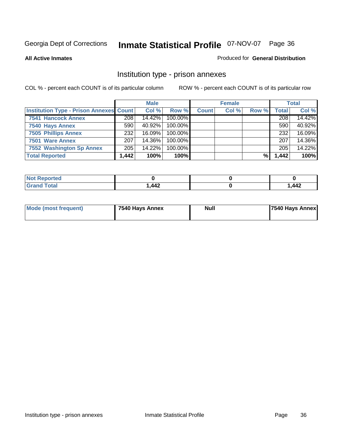#### **All Active Inmates**

#### Produced for **General Distribution**

### Institution type - prison annexes

|                                                |       | <b>Male</b> |            |              | <b>Female</b> |       |       | <b>Total</b> |
|------------------------------------------------|-------|-------------|------------|--------------|---------------|-------|-------|--------------|
| <b>Institution Type - Prison Annexes Count</b> |       | Col %       | Row %      | <b>Count</b> | Col %         | Row % | Total | Col %        |
| 7541 Hancock Annex                             | 208   | 14.42%      | 100.00%    |              |               |       | 208   | 14.42%       |
| 7540 Hays Annex                                | 590   | 40.92%      | $100.00\%$ |              |               |       | 590   | 40.92%       |
| <b>7505 Phillips Annex</b>                     | 232   | $16.09\%$   | 100.00%    |              |               |       | 232   | 16.09%       |
| 7501 Ware Annex                                | 207   | 14.36%      | $100.00\%$ |              |               |       | 207   | 14.36%       |
| 7552 Washington Sp Annex                       | 205   | 14.22%      | 100.00%    |              |               |       | 205   | 14.22%       |
| <b>Total Reported</b>                          | 1,442 | 100%        | 100%       |              |               | %     | 1,442 | 100%         |

| <b>Reported</b><br>NOT 1     |      |       |
|------------------------------|------|-------|
| <b>Total</b><br><b>Grand</b> | .442 | 1,442 |

| <b>Mode (most frequent)</b> | 7540 Hays Annex | <b>Null</b> | 7540 Hays Annex |
|-----------------------------|-----------------|-------------|-----------------|
|                             |                 |             |                 |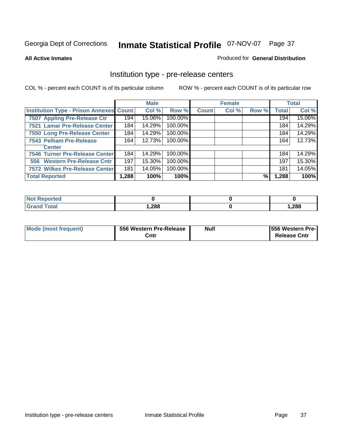#### **All Active Inmates**

## Produced for **General Distribution**

## Institution type - pre-release centers

|                                         |        | <b>Male</b> |         |              | <b>Female</b> |       |              | <b>Total</b> |
|-----------------------------------------|--------|-------------|---------|--------------|---------------|-------|--------------|--------------|
| Institution Type - Prison Annexes Count |        | Col %       | Row %   | <b>Count</b> | Col %         | Row % | <b>Total</b> | Col %        |
| 7507 Appling Pre-Release Ctr            | 194    | 15.06%      | 100.00% |              |               |       | 194          | 15.06%       |
| 7521 Lamar Pre-Release Center           | 184    | 14.29%      | 100.00% |              |               |       | 184          | 14.29%       |
| 7550 Long Pre-Release Center            | 184    | 14.29%      | 100.00% |              |               |       | 184          | 14.29%       |
| 7543 Pelham Pre-Release                 | 164    | 12.73%      | 100.00% |              |               |       | 164          | 12.73%       |
| <b>Center</b>                           |        |             |         |              |               |       |              |              |
| 7546 Turner Pre-Release Center          | 184    | 14.29%      | 100.00% |              |               |       | 184          | 14.29%       |
| 556 Western Pre-Release Cntr            | 197    | 15.30%      | 100.00% |              |               |       | 197          | 15.30%       |
| 7572 Wilkes Pre-Release Center          | 181    | 14.05%      | 100.00% |              |               |       | 181          | 14.05%       |
| <b>Total Reported</b>                   | 288. ا | 100%        | 100%    |              |               | %     | 1,288        | 100%         |

| eported<br>NOT |      |       |
|----------------|------|-------|
| <b>Total</b>   | ,288 | 1,288 |

| Mode (most frequent) | 556 Western Pre-Release | <b>Null</b> | <b>1556 Western Pre-I</b> |
|----------------------|-------------------------|-------------|---------------------------|
|                      | Cntı                    |             | <b>Release Cntr</b>       |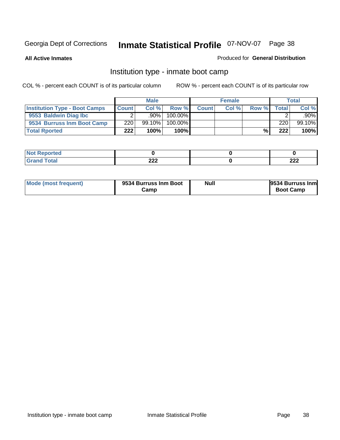**All Active Inmates**

## Produced for **General Distribution**

## Institution type - inmate boot camp

|                                      |              | <b>Male</b> |               |              | <b>Female</b> |       |        | <b>Total</b> |
|--------------------------------------|--------------|-------------|---------------|--------------|---------------|-------|--------|--------------|
| <b>Institution Type - Boot Camps</b> | <b>Count</b> | Col%        | Row %         | <b>Count</b> | Col %         | Row % | Totall | Col %        |
| 9553 Baldwin Diag Ibc                |              | .90%        | $100.00\%$    |              |               |       |        | .90%         |
| 9534 Burruss Inm Boot Camp           | 220          | $99.10\%$   | 100.00%       |              |               |       | 220    | 99.10%       |
| <b>Total Rported</b>                 | 222          | 100%        | 100% <b>I</b> |              |               | %     | 222    | 100%         |

| <b>rted</b> |      |     |
|-------------|------|-----|
| <b>otal</b> | ົາາາ | າາາ |
| $\sim$      | LLL  | LLL |

| Mode (most frequent) | 9534 Burruss Inm Boot<br>בΣamp | <b>Null</b> | 9534 Burruss Inml<br><b>Boot Camp</b> |
|----------------------|--------------------------------|-------------|---------------------------------------|
|----------------------|--------------------------------|-------------|---------------------------------------|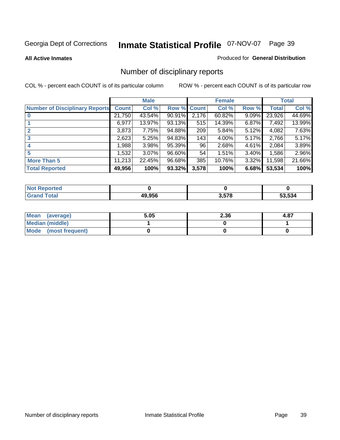#### **All Active Inmates**

#### Produced for **General Distribution**

# Number of disciplinary reports

|                                       |              | <b>Male</b> |        |              | <b>Female</b> |          |              | <b>Total</b> |
|---------------------------------------|--------------|-------------|--------|--------------|---------------|----------|--------------|--------------|
| <b>Number of Disciplinary Reports</b> | <b>Count</b> | Col %       | Row %  | <b>Count</b> | Col %         | Row %    | <b>Total</b> | Col %        |
|                                       | 21,750       | 43.54%      | 90.91% | 2,176        | 60.82%        | $9.09\%$ | 23,926       | 44.69%       |
|                                       | 6,977        | 13.97%      | 93.13% | 515          | 14.39%        | $6.87\%$ | 7,492        | 13.99%       |
| 2                                     | 3,873        | 7.75%       | 94.88% | 209          | 5.84%         | $5.12\%$ | 4,082        | 7.63%        |
| 3                                     | 2,623        | 5.25%       | 94.83% | 143          | 4.00%         | $5.17\%$ | 2,766        | 5.17%        |
|                                       | .988         | 3.98%       | 95.39% | 96           | 2.68%         | $4.61\%$ | 2,084        | 3.89%        |
| 5                                     | ,532         | $3.07\%$    | 96.60% | 54           | 1.51%         | 3.40%    | 1,586        | 2.96%        |
| <b>More Than 5</b>                    | 11,213       | 22.45%      | 96.68% | 385          | 10.76%        | $3.32\%$ | 11,598       | 21.66%       |
| <b>Total Reported</b>                 | 49,956       | 100%        | 93.32% | 3,578        | 100%          | 6.68%    | 53,534       | 100%         |

| orted<br>NO  |       |       |      |
|--------------|-------|-------|------|
| <b>Total</b> | AQQFE | 3.578 | .534 |

| Mean (average)       | 5.05 | 2.36 | 4.87 |
|----------------------|------|------|------|
| Median (middle)      |      |      |      |
| Mode (most frequent) |      |      |      |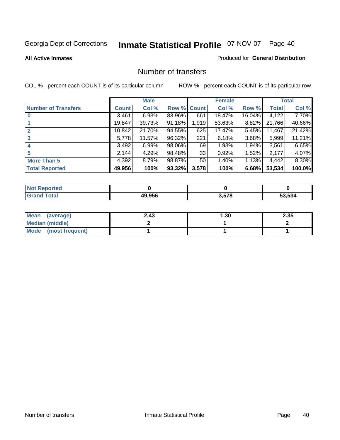**All Active Inmates**

#### Produced for **General Distribution**

## Number of transfers

|                            |         | <b>Male</b> |        |              | <b>Female</b> |        |              | <b>Total</b> |
|----------------------------|---------|-------------|--------|--------------|---------------|--------|--------------|--------------|
| <b>Number of Transfers</b> | Count l | Col %       | Row %  | <b>Count</b> | Col %         | Row %  | <b>Total</b> | Col %        |
|                            | 3,461   | 6.93%       | 83.96% | 661          | 18.47%        | 16.04% | 4,122        | 7.70%        |
|                            | 19,847  | 39.73%      | 91.18% | 1,919        | 53.63%        | 8.82%  | 21,766       | 40.66%       |
|                            | 10,842  | 21.70%      | 94.55% | 625          | 17.47%        | 5.45%  | 11,467       | 21.42%       |
| 3                          | 5,778   | 11.57%      | 96.32% | 221          | 6.18%         | 3.68%  | 5,999        | 11.21%       |
|                            | 3,492   | 6.99%       | 98.06% | 69           | 1.93%         | 1.94%  | 3,561        | 6.65%        |
| 5                          | 2,144   | 4.29%       | 98.48% | 33           | 0.92%         | 1.52%  | 2,177        | 4.07%        |
| <b>More Than 5</b>         | 4,392   | 8.79%       | 98.87% | 50           | 1.40%         | 1.13%  | 4,442        | 8.30%        |
| <b>Total Reported</b>      | 49,956  | 100%        | 93.32% | 3,578        | 100%          | 6.68%  | 53,534       | 100.0%       |

| بعد بعد بالا<br>N |               |      |                  |
|-------------------|---------------|------|------------------|
| $int^{\bullet}$   | <b>AQ 056</b> | 2572 | .<br>.<br>.<br>. |

| Mean (average)       | 2.43 | 1.30 | 2.35 |
|----------------------|------|------|------|
| Median (middle)      |      |      |      |
| Mode (most frequent) |      |      |      |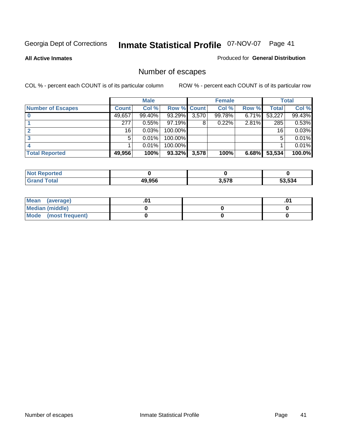**All Active Inmates**

#### Produced for **General Distribution**

# Number of escapes

|                          |              | <b>Male</b> |                    |       | <b>Female</b> |       |        | <b>Total</b> |
|--------------------------|--------------|-------------|--------------------|-------|---------------|-------|--------|--------------|
| <b>Number of Escapes</b> | <b>Count</b> | Col %       | <b>Row % Count</b> |       | Col %         | Row % | Total  | Col %        |
|                          | 49,657       | 99.40%      | 93.29%             | 3,570 | 99.78%        | 6.71% | 53,227 | 99.43%       |
|                          | 277          | 0.55%       | 97.19%             | 8     | 0.22%         | 2.81% | 285    | 0.53%        |
|                          | 16           | 0.03%       | 100.00%            |       |               |       | 16     | 0.03%        |
|                          | 5            | 0.01%       | 100.00%            |       |               |       | 5      | 0.01%        |
|                          |              | 0.01%       | $100.00\%$         |       |               |       |        | 0.01%        |
| <b>Total Reported</b>    | 49,956       | 100%        | 93.32%             | 3,578 | 100%          | 6.68% | 53,534 | 100.0%       |

| <b>Reported</b><br><b>Not</b> |        |       |        |
|-------------------------------|--------|-------|--------|
| <b>Total</b>                  | 49.956 | 3.578 | 53.534 |

| Mean (average)         |  | $.0^{\prime}$ |
|------------------------|--|---------------|
| <b>Median (middle)</b> |  |               |
| Mode (most frequent)   |  |               |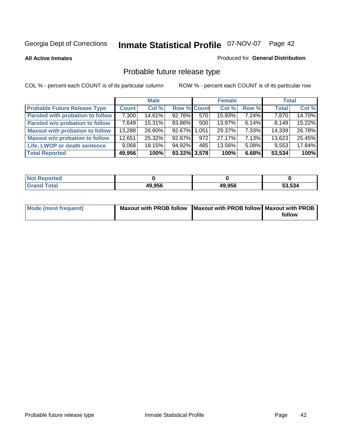**All Active Inmates**

#### Produced for **General Distribution**

# Probable future release type

|                                         |              | <b>Male</b> |                    |                  | <b>Female</b> |          | <b>Total</b> |        |
|-----------------------------------------|--------------|-------------|--------------------|------------------|---------------|----------|--------------|--------|
| <b>Probable Future Release Type</b>     | <b>Count</b> | Col %       | <b>Row % Count</b> |                  | Col %         | Row %    | <b>Total</b> | Col %  |
| <b>Paroled with probation to follow</b> | 7,300        | 14.61%      | 92.76%             | 570              | 15.93%        | 7.24%    | 7,870        | 14.70% |
| Paroled w/o probation to follow         | 7.649        | 15.31%      | 93.86%             | 500 <sub>1</sub> | $13.97\%$     | $6.14\%$ | 8.149        | 15.22% |
| <b>Maxout with probation to follow</b>  | 13,288       | 26.60%      | 92.67% 1.051       |                  | 29.37%        | $7.33\%$ | 14,339       | 26.78% |
| <b>Maxout w/o probation to follow</b>   | 12,651       | 25.32%      | $92.87\%$          | 972              | 27.17%        | $7.13\%$ | 13,623       | 25.45% |
| Life, LWOP or death sentence            | 9,068        | 18.15%      | 94.92%             | 485              | 13.56%        | $5.08\%$ | 9,553        | 17.84% |
| <b>Total Reported</b>                   | 49,956       | 100%        | 93.32% 3,578       |                  | 100%          | 6.68%    | 53,534       | 100%   |

| <b>Not</b><br>Reported       |        |        |        |
|------------------------------|--------|--------|--------|
| <b>Total</b><br><b>Grand</b> | 49,956 | 49,956 | 53,534 |

| Mode (most frequent) | Maxout with PROB follow   Maxout with PROB follow   Maxout with PROB |        |
|----------------------|----------------------------------------------------------------------|--------|
|                      |                                                                      | follow |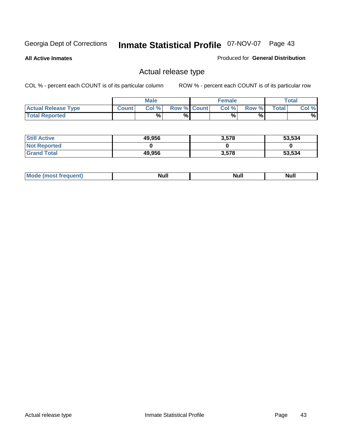**All Active Inmates**

## Produced for **General Distribution**

## Actual release type

|                            |              | <b>Male</b> |                    | <b>Female</b> |       |              | $\tau$ otal |
|----------------------------|--------------|-------------|--------------------|---------------|-------|--------------|-------------|
| <b>Actual Release Type</b> | <b>Count</b> | Col %       | <b>Row % Count</b> | Col %         | Row % | <b>Total</b> | Col %       |
| <b>Total Reported</b>      |              | $\%$        | %                  | %             | %     |              | %           |

| <b>Still Active</b> | 49,956 | 3,578 | 53,534 |
|---------------------|--------|-------|--------|
| <b>Not Reported</b> |        |       |        |
| <b>Grand Total</b>  | 49,956 | 3,578 | 53,534 |

| M<br>_____<br>_____ | NI | Null | $\cdots$ |
|---------------------|----|------|----------|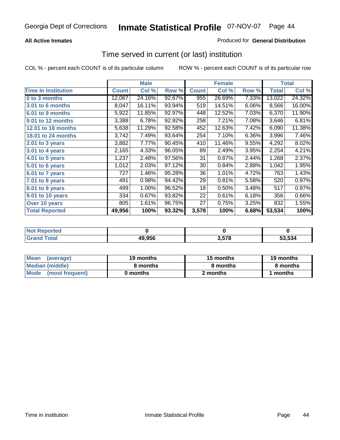## **All Active Inmates**

## Produced for **General Distribution**

## Time served in current (or last) institution

|                              |              | <b>Male</b> |        |              | <b>Female</b> |       |              | <b>Total</b> |
|------------------------------|--------------|-------------|--------|--------------|---------------|-------|--------------|--------------|
| <b>Time In Institution</b>   | <b>Count</b> | Col %       | Row %  | <b>Count</b> | Col %         | Row % | <b>Total</b> | Col %        |
| 0 to 3 months                | 12,067       | 24.16%      | 92.67% | 955          | 26.69%        | 7.33% | 13,022       | 24.32%       |
| <b>3.01 to 6 months</b>      | 8,047        | 16.11%      | 93.94% | 519          | 14.51%        | 6.06% | 8,566        | 16.00%       |
| 6.01 to 9 months             | 5,922        | 11.85%      | 92.97% | 448          | 12.52%        | 7.03% | 6,370        | 11.90%       |
| 9.01 to 12 months            | 3,388        | 6.78%       | 92.92% | 258          | 7.21%         | 7.08% | 3,646        | 6.81%        |
| <b>12.01 to 18 months</b>    | 5,638        | 11.29%      | 92.58% | 452          | 12.63%        | 7.42% | 6,090        | 11.38%       |
| <b>18.01 to 24 months</b>    | 3,742        | 7.49%       | 93.64% | 254          | 7.10%         | 6.36% | 3,996        | 7.46%        |
| 2.01 to 3 years              | 3,882        | 7.77%       | 90.45% | 410          | 11.46%        | 9.55% | 4,292        | 8.02%        |
| 3.01 to 4 years              | 2,165        | 4.33%       | 96.05% | 89           | 2.49%         | 3.95% | 2,254        | 4.21%        |
| $\overline{4.01}$ to 5 years | 1,237        | 2.48%       | 97.56% | 31           | 0.87%         | 2.44% | 1,268        | 2.37%        |
| 5.01 to 6 years              | 1,012        | 2.03%       | 97.12% | 30           | 0.84%         | 2.88% | 1,042        | 1.95%        |
| 6.01 to 7 years              | 727          | 1.46%       | 95.28% | 36           | 1.01%         | 4.72% | 763          | 1.43%        |
| 7.01 to 8 years              | 491          | 0.98%       | 94.42% | 29           | 0.81%         | 5.58% | 520          | 0.97%        |
| 8.01 to 9 years              | 499          | 1.00%       | 96.52% | 18           | 0.50%         | 3.48% | 517          | 0.97%        |
| 9.01 to 10 years             | 334          | 0.67%       | 93.82% | 22           | 0.61%         | 6.18% | 356          | 0.66%        |
| Over 10 years                | 805          | 1.61%       | 96.75% | 27           | 0.75%         | 3.25% | 832          | 1.55%        |
| <b>Total Reported</b>        | 49,956       | 100%        | 93.32% | 3,578        | 100%          | 6.68% | 53,534       | 100%         |

| <b>Not Reported</b> |        |     |        |
|---------------------|--------|-----|--------|
| <b>Total</b>        | 49,956 | 578 | 53.534 |

| <b>Mean</b><br>(average) | 19 months | 15 months | 19 months |  |
|--------------------------|-----------|-----------|-----------|--|
| Median (middle)          | 8 months  | 8 months  | 8 months  |  |
| Mode<br>(most frequent)  | 0 months  | 2 months  | months    |  |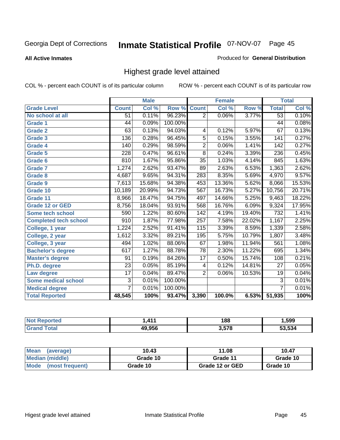**All Active Inmates**

### Produced for **General Distribution**

## Highest grade level attained

|                              |                 | <b>Male</b> |         |                  | <b>Female</b> |        |                  | <b>Total</b> |
|------------------------------|-----------------|-------------|---------|------------------|---------------|--------|------------------|--------------|
| <b>Grade Level</b>           | <b>Count</b>    | Col %       | Row %   | <b>Count</b>     | Col %         | Row %  | <b>Total</b>     | Col %        |
| No school at all             | 51              | 0.11%       | 96.23%  | $\overline{2}$   | 0.06%         | 3.77%  | $\overline{53}$  | 0.10%        |
| Grade 1                      | 44              | 0.09%       | 100.00% |                  |               |        | 44               | 0.08%        |
| <b>Grade 2</b>               | 63              | 0.13%       | 94.03%  | 4                | 0.12%         | 5.97%  | 67               | 0.13%        |
| <b>Grade 3</b>               | 136             | 0.28%       | 96.45%  | 5                | 0.15%         | 3.55%  | 141              | 0.27%        |
| Grade 4                      | 140             | 0.29%       | 98.59%  | $\overline{2}$   | 0.06%         | 1.41%  | $\overline{142}$ | 0.27%        |
| Grade 5                      | 228             | 0.47%       | 96.61%  | $\overline{8}$   | 0.24%         | 3.39%  | 236              | 0.45%        |
| <b>Grade 6</b>               | 810             | 1.67%       | 95.86%  | $\overline{35}$  | 1.03%         | 4.14%  | 845              | 1.63%        |
| <b>Grade 7</b>               | 1,274           | 2.62%       | 93.47%  | 89               | 2.63%         | 6.53%  | 1,363            | 2.62%        |
| Grade 8                      | 4,687           | 9.65%       | 94.31%  | 283              | 8.35%         | 5.69%  | 4,970            | 9.57%        |
| Grade 9                      | 7,613           | 15.68%      | 94.38%  | 453              | 13.36%        | 5.62%  | 8,066            | 15.53%       |
| Grade 10                     | 10,189          | 20.99%      | 94.73%  | 567              | 16.73%        | 5.27%  | 10,756           | 20.71%       |
| Grade 11                     | 8,966           | 18.47%      | 94.75%  | 497              | 14.66%        | 5.25%  | 9,463            | 18.22%       |
| Grade 12 or GED              | 8,756           | 18.04%      | 93.91%  | 568              | 16.76%        | 6.09%  | 9,324            | 17.95%       |
| <b>Some tech school</b>      | 590             | 1.22%       | 80.60%  | $\overline{142}$ | 4.19%         | 19.40% | 732              | 1.41%        |
| <b>Completed tech school</b> | 910             | 1.87%       | 77.98%  | 257              | 7.58%         | 22.02% | 1,167            | 2.25%        |
| College, 1 year              | 1,224           | 2.52%       | 91.41%  | 115              | 3.39%         | 8.59%  | 1,339            | 2.58%        |
| College, 2 year              | 1,612           | 3.32%       | 89.21%  | 195              | 5.75%         | 10.79% | 1,807            | 3.48%        |
| College, 3 year              | 494             | 1.02%       | 88.06%  | 67               | 1.98%         | 11.94% | 561              | 1.08%        |
| <b>Bachelor's degree</b>     | 617             | 1.27%       | 88.78%  | $\overline{78}$  | 2.30%         | 11.22% | 695              | 1.34%        |
| <b>Master's degree</b>       | 91              | 0.19%       | 84.26%  | 17               | 0.50%         | 15.74% | 108              | 0.21%        |
| Ph.D. degree                 | $\overline{23}$ | 0.05%       | 85.19%  | 4                | 0.12%         | 14.81% | 27               | 0.05%        |
| Law degree                   | $\overline{17}$ | 0.04%       | 89.47%  | $\overline{2}$   | 0.06%         | 10.53% | 19               | 0.04%        |
| <b>Some medical school</b>   | $\overline{3}$  | 0.01%       | 100.00% |                  |               |        | $\overline{3}$   | 0.01%        |
| <b>Medical degree</b>        | $\overline{7}$  | 0.01%       | 100.00% |                  |               |        | $\overline{7}$   | 0.01%        |
| <b>Total Reported</b>        | 48,545          | 100%        | 93.47%  | 3,390            | 100.0%        | 6.53%  | 51,935           | 100%         |

| 111      | 188        | ,599               |
|----------|------------|--------------------|
| 10 O.E.C | <b>E70</b> | $\sim$ ro $\prime$ |

| <b>Mean</b><br>(average)       | 10.43    | 11.08           | 10.47    |
|--------------------------------|----------|-----------------|----------|
| Median (middle)                | Grade 10 | Grade 11        | Grade 10 |
| <b>Mode</b><br>(most frequent) | Grade 10 | Grade 12 or GED | Grade 10 |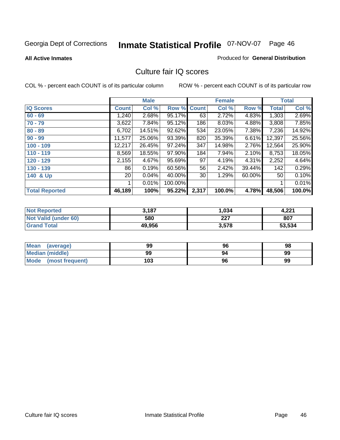Produced for **General Distribution**

#### **All Active Inmates**

## Culture fair IQ scores

|                       |              | <b>Male</b> |         |              | <b>Female</b> |        |        | <b>Total</b> |
|-----------------------|--------------|-------------|---------|--------------|---------------|--------|--------|--------------|
| <b>IQ Scores</b>      | <b>Count</b> | Col %       | Row %   | <b>Count</b> | Col %         | Row %  | Total  | Col %        |
| $60 - 69$             | 1,240        | 2.68%       | 95.17%  | 63           | 2.72%         | 4.83%  | 1,303  | 2.69%        |
| $70 - 79$             | 3,622        | 7.84%       | 95.12%  | 186          | 8.03%         | 4.88%  | 3,808  | 7.85%        |
| $80 - 89$             | 6,702        | 14.51%      | 92.62%  | 534          | 23.05%        | 7.38%  | 7,236  | 14.92%       |
| $90 - 99$             | 11,577       | 25.06%      | 93.39%  | 820          | 35.39%        | 6.61%  | 12,397 | 25.56%       |
| $100 - 109$           | 12,217       | 26.45%      | 97.24%  | 347          | 14.98%        | 2.76%  | 12,564 | 25.90%       |
| $110 - 119$           | 8,569        | 18.55%      | 97.90%  | 184          | 7.94%         | 2.10%  | 8,753  | 18.05%       |
| 120 - 129             | 2,155        | 4.67%       | 95.69%  | 97           | 4.19%         | 4.31%  | 2,252  | 4.64%        |
| 130 - 139             | 86           | 0.19%       | 60.56%  | 56           | 2.42%         | 39.44% | 142    | 0.29%        |
| 140 & Up              | 20           | 0.04%       | 40.00%  | 30           | 1.29%         | 60.00% | 50     | 0.10%        |
|                       |              | 0.01%       | 100.00% |              |               |        | 1      | 0.01%        |
| <b>Total Reported</b> | 46,189       | 100%        | 95.22%  | 2,317        | 100.0%        | 4.78%  | 48,506 | 100.0%       |

| <b>Not Reported</b>  | 3,187  | 1,034 | 4.221  |
|----------------------|--------|-------|--------|
| Not Valid (under 60) | 580    | 227   | 807    |
| <b>Grand Total</b>   | 49,956 | 3,578 | 53,534 |

| Mean<br>(average)       | 99  | 96 | 98 |
|-------------------------|-----|----|----|
| <b>Median (middle)</b>  | 99  | 94 | 99 |
| Mode<br>(most frequent) | 103 | 96 | 99 |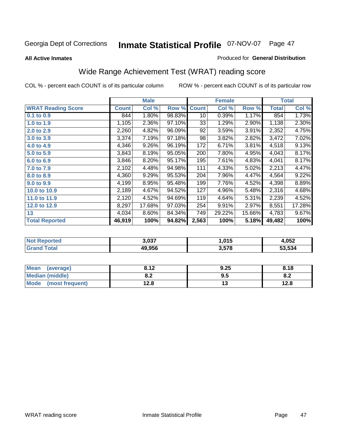#### **All Active Inmates**

#### Produced for **General Distribution**

# Wide Range Achievement Test (WRAT) reading score

|                           |              | <b>Male</b> |        |              | <b>Female</b> |        |              | <b>Total</b> |
|---------------------------|--------------|-------------|--------|--------------|---------------|--------|--------------|--------------|
| <b>WRAT Reading Score</b> | <b>Count</b> | Col %       | Row %  | <b>Count</b> | Col %         | Row %  | <b>Total</b> | Col %        |
| $0.1$ to $0.9$            | 844          | $1.80\%$    | 98.83% | 10           | 0.39%         | 1.17%  | 854          | 1.73%        |
| 1.0 to 1.9                | 1,105        | 2.36%       | 97.10% | 33           | 1.29%         | 2.90%  | 1,138        | 2.30%        |
| 2.0 to 2.9                | 2,260        | 4.82%       | 96.09% | 92           | 3.59%         | 3.91%  | 2,352        | 4.75%        |
| 3.0 to 3.9                | 3,374        | 7.19%       | 97.18% | 98           | 3.82%         | 2.82%  | 3,472        | 7.02%        |
| 4.0 to 4.9                | 4,346        | 9.26%       | 96.19% | 172          | 6.71%         | 3.81%  | 4,518        | 9.13%        |
| 5.0 to 5.9                | 3,843        | 8.19%       | 95.05% | 200          | 7.80%         | 4.95%  | 4,043        | 8.17%        |
| 6.0 to 6.9                | 3,846        | 8.20%       | 95.17% | 195          | 7.61%         | 4.83%  | 4,041        | 8.17%        |
| 7.0 to 7.9                | 2,102        | 4.48%       | 94.98% | 111          | 4.33%         | 5.02%  | 2,213        | 4.47%        |
| 8.0 to 8.9                | 4,360        | 9.29%       | 95.53% | 204          | 7.96%         | 4.47%  | 4,564        | 9.22%        |
| 9.0 to 9.9                | 4,199        | 8.95%       | 95.48% | 199          | 7.76%         | 4.52%  | 4,398        | 8.89%        |
| 10.0 to 10.9              | 2,189        | 4.67%       | 94.52% | 127          | 4.96%         | 5.48%  | 2,316        | 4.68%        |
| 11.0 to 11.9              | 2,120        | 4.52%       | 94.69% | 119          | 4.64%         | 5.31%  | 2,239        | 4.52%        |
| 12.0 to 12.9              | 8,297        | 17.68%      | 97.03% | 254          | 9.91%         | 2.97%  | 8,551        | 17.28%       |
| 13                        | 4,034        | 8.60%       | 84.34% | 749          | 29.22%        | 15.66% | 4,783        | 9.67%        |
| <b>Total Reported</b>     | 46,919       | 100%        | 94.82% | 2,563        | 100%          | 5.18%  | 49,482       | 100%         |
|                           |              |             |        |              |               |        |              |              |

| <b>Not Reported</b> | 3,037  | . 015. ، | 1.052  |
|---------------------|--------|----------|--------|
| <b>Grand Total</b>  | 49,956 | 3,578    | 53,534 |

| Mean (average)       | 8.12       | 9.25 | 8.18      |
|----------------------|------------|------|-----------|
| Median (middle)      | י ס<br>o.z | 9.5  | ററ<br>o.z |
| Mode (most frequent) | 12.8       | ں ו  | 12.8      |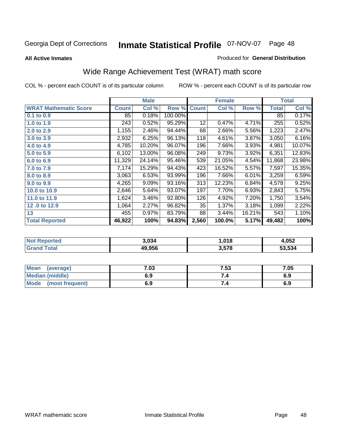## Georgia Dept of Corrections 07-NOV-07 Page **Inmate Statistical Profile** 48

**All Active Inmates**

#### Produced for **General Distribution**

## Wide Range Achievement Test (WRAT) math score

|                              |              | <b>Male</b> |         |              | <b>Female</b> |        |              | <b>Total</b> |
|------------------------------|--------------|-------------|---------|--------------|---------------|--------|--------------|--------------|
| <b>WRAT Mathematic Score</b> | <b>Count</b> | Col %       | Row %   | <b>Count</b> | Col %         | Row %  | <b>Total</b> | Col %        |
| 0.1 to 0.9                   | 85           | 0.18%       | 100.00% |              |               |        | 85           | 0.17%        |
| 1.0 to 1.9                   | 243          | 0.52%       | 95.29%  | 12           | 0.47%         | 4.71%  | 255          | 0.52%        |
| 2.0 to 2.9                   | 1,155        | 2.46%       | 94.44%  | 68           | 2.66%         | 5.56%  | 1,223        | 2.47%        |
| 3.0 to 3.9                   | 2,932        | 6.25%       | 96.13%  | 118          | 4.61%         | 3.87%  | 3,050        | 6.16%        |
| 4.0 to 4.9                   | 4,785        | 10.20%      | 96.07%  | 196          | 7.66%         | 3.93%  | 4,981        | 10.07%       |
| 5.0 to 5.9                   | 6,102        | 13.00%      | 96.08%  | 249          | 9.73%         | 3.92%  | 6,351        | 12.83%       |
| 6.0 to 6.9                   | 11,329       | 24.14%      | 95.46%  | 539          | 21.05%        | 4.54%  | 11,868       | 23.98%       |
| 7.0 to 7.9                   | 7,174        | 15.29%      | 94.43%  | 423          | 16.52%        | 5.57%  | 7,597        | 15.35%       |
| 8.0 to 8.9                   | 3,063        | 6.53%       | 93.99%  | 196          | 7.66%         | 6.01%  | 3,259        | 6.59%        |
| 9.0 to 9.9                   | 4,265        | 9.09%       | 93.16%  | 313          | 12.23%        | 6.84%  | 4,578        | 9.25%        |
| 10.0 to 10.9                 | 2,646        | 5.64%       | 93.07%  | 197          | 7.70%         | 6.93%  | 2,843        | 5.75%        |
| 11.0 to 11.9                 | 1,624        | 3.46%       | 92.80%  | 126          | 4.92%         | 7.20%  | 1,750        | 3.54%        |
| 12.0 to 12.9                 | 1,064        | 2.27%       | 96.82%  | 35           | 1.37%         | 3.18%  | 1,099        | 2.22%        |
| 13                           | 455          | 0.97%       | 83.79%  | 88           | 3.44%         | 16.21% | 543          | 1.10%        |
| <b>Total Reported</b>        | 46,922       | 100%        | 94.83%  | 2,560        | 100.0%        | 5.17%  | 49,482       | 100%         |

| NG | 3.034  | 018, ، | l.052  |
|----|--------|--------|--------|
|    | 49.956 | 3,578  | 53.534 |

| <b>Mean</b><br>(average)       | 7.03 | 7.53 | 7.05 |
|--------------------------------|------|------|------|
| <b>Median (middle)</b>         | 6.9  |      | 6.9  |
| <b>Mode</b><br>(most frequent) | 6.9  | 7.4  | 6.9  |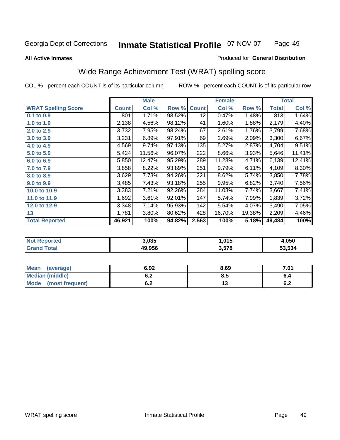**All Active Inmates**

#### Produced for **General Distribution**

## Wide Range Achievement Test (WRAT) spelling score

|                            |              | <b>Male</b> |        |              | <b>Female</b> |        |                    | <b>Total</b> |
|----------------------------|--------------|-------------|--------|--------------|---------------|--------|--------------------|--------------|
| <b>WRAT Spelling Score</b> | <b>Count</b> | Col %       | Row %  | <b>Count</b> | Col %         | Row %  | <b>Total</b>       | Col %        |
| 0.1 to 0.9                 | 801          | 1.71%       | 98.52% | 12           | 0.47%         | 1.48%  | 813                | 1.64%        |
| 1.0 to 1.9                 | 2,138        | 4.56%       | 98.12% | 41           | 1.60%         | 1.88%  | 2,179              | 4.40%        |
| 2.0 to 2.9                 | 3,732        | 7.95%       | 98.24% | 67           | 2.61%         | 1.76%  | 3,799              | 7.68%        |
| 3.0 to 3.9                 | 3,231        | 6.89%       | 97.91% | 69           | 2.69%         | 2.09%  | 3,300              | 6.67%        |
| 4.0 to 4.9                 | 4,569        | 9.74%       | 97.13% | 135          | 5.27%         | 2.87%  | 4,704              | 9.51%        |
| 5.0 to 5.9                 | 5,424        | 11.56%      | 96.07% | 222          | 8.66%         | 3.93%  | 5,646              | 11.41%       |
| 6.0 to 6.9                 | 5,850        | 12.47%      | 95.29% | 289          | 11.28%        | 4.71%  | 6,139              | 12.41%       |
| 7.0 to 7.9                 | 3,858        | 8.22%       | 93.89% | 251          | 9.79%         | 6.11%  | 4,109              | 8.30%        |
| 8.0 to 8.9                 | 3,629        | 7.73%       | 94.26% | 221          | 8.62%         | 5.74%  | $\overline{3,850}$ | 7.78%        |
| 9.0 to 9.9                 | 3,485        | 7.43%       | 93.18% | 255          | 9.95%         | 6.82%  | 3,740              | 7.56%        |
| 10.0 to 10.9               | 3,383        | 7.21%       | 92.26% | 284          | 11.08%        | 7.74%  | 3,667              | 7.41%        |
| 11.0 to 11.9               | 1,692        | 3.61%       | 92.01% | 147          | 5.74%         | 7.99%  | 1,839              | 3.72%        |
| 12.0 to 12.9               | 3,348        | 7.14%       | 95.93% | 142          | 5.54%         | 4.07%  | 3,490              | 7.05%        |
| 13                         | 1,781        | 3.80%       | 80.62% | 428          | 16.70%        | 19.38% | 2,209              | 4.46%        |
| <b>Total Reported</b>      | 46,921       | 100%        | 94.82% | 2,563        | 100%          | 5.18%  | 49,484             | 100%         |

| 3.035  | . 015. ، | .050   |
|--------|----------|--------|
| 49.956 | 3,578    | 53.534 |

| <b>Mean</b><br>(average)       | 6.92       | 8.69 | 7.01       |
|--------------------------------|------------|------|------------|
| <b>Median (middle)</b>         | v.z        | ტ.J  | o.4        |
| <b>Mode</b><br>(most frequent) | . .<br>v.z | ں ،  | . .<br>0.Z |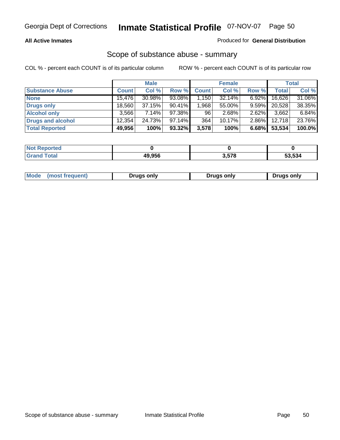### **All Active Inmates**

## Produced for **General Distribution**

## Scope of substance abuse - summary

|                        |              | <b>Male</b> |           |                | <b>Female</b> |          |              | <b>Total</b> |
|------------------------|--------------|-------------|-----------|----------------|---------------|----------|--------------|--------------|
| <b>Substance Abuse</b> | <b>Count</b> | Col %       | Row %     | <b>Count</b>   | Col %         | Row %    | <b>Total</b> | Col %        |
| <b>None</b>            | 15.476       | 30.98%      | 93.08%    | $\sqrt{1,150}$ | 32.14%        | $6.92\%$ | 16,626       | 31.06%       |
| <b>Drugs only</b>      | 18.560       | 37.15%      | $90.41\%$ | 1,968          | 55.00%        | $9.59\%$ | 20,528       | 38.35%       |
| <b>Alcohol only</b>    | 3.566        | $7.14\%$    | 97.38%    | 96             | 2.68%         | $2.62\%$ | 3,662        | 6.84%        |
| Drugs and alcohol      | 12,354       | 24.73%      | $97.14\%$ | 364            | $10.17\%$     | $2.86\%$ | 12,718       | 23.76%       |
| <b>Total Reported</b>  | 49,956       | 100%        | 93.32%    | 3,578          | 100%          | 6.68%    | 53,534       | 100.0%       |

| <b>Not</b><br><b>Reported</b> |        |       |        |
|-------------------------------|--------|-------|--------|
| <b>Grand Total</b>            | 49.956 | 3,578 | 53.534 |

| Drugs only | Mode<br>(most frequent) | Drugs only | Drugs only |
|------------|-------------------------|------------|------------|
|------------|-------------------------|------------|------------|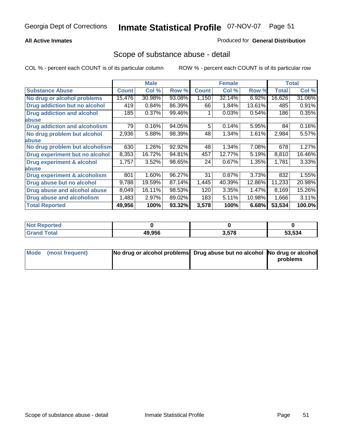## **All Active Inmates**

## Produced for **General Distribution**

## Scope of substance abuse - detail

|                                      |              | <b>Male</b> |        |              | <b>Female</b> |        |              | <b>Total</b> |
|--------------------------------------|--------------|-------------|--------|--------------|---------------|--------|--------------|--------------|
| <b>Substance Abuse</b>               | <b>Count</b> | Col %       | Row %  | <b>Count</b> | Col %         | Row %  | <b>Total</b> | Col %        |
| No drug or alcohol problems          | 15,476       | 30.98%      | 93.08% | 1,150        | 32.14%        | 6.92%  | 16,626       | 31.06%       |
| Drug addiction but no alcohol        | 419          | 0.84%       | 86.39% | 66           | 1.84%         | 13.61% | 485          | 0.91%        |
| <b>Drug addiction and alcohol</b>    | 185          | 0.37%       | 99.46% |              | 0.03%         | 0.54%  | 186          | 0.35%        |
| abuse                                |              |             |        |              |               |        |              |              |
| <b>Drug addiction and alcoholism</b> | 79           | 0.16%       | 94.05% | 5            | 0.14%         | 5.95%  | 84           | 0.16%        |
| No drug problem but alcohol          | 2,936        | 5.88%       | 98.39% | 48           | 1.34%         | 1.61%  | 2,984        | 5.57%        |
| <b>labuse</b>                        |              |             |        |              |               |        |              |              |
| No drug problem but alcoholism       | 630          | 1.26%       | 92.92% | 48           | 1.34%         | 7.08%  | 678          | 1.27%        |
| Drug experiment but no alcohol       | 8,353        | 16.72%      | 94.81% | 457          | 12.77%        | 5.19%  | 8,810        | 16.46%       |
| <b>Drug experiment &amp; alcohol</b> | 1,757        | 3.52%       | 98.65% | 24           | 0.67%         | 1.35%  | 1,781        | 3.33%        |
| <b>labuse</b>                        |              |             |        |              |               |        |              |              |
| Drug experiment & alcoholism         | 801          | 1.60%       | 96.27% | 31           | 0.87%         | 3.73%  | 832          | 1.55%        |
| Drug abuse but no alcohol            | 9,788        | 19.59%      | 87.14% | 1,445        | 40.39%        | 12.86% | 11,233       | 20.98%       |
| Drug abuse and alcohol abuse         | 8,049        | 16.11%      | 98.53% | 120          | 3.35%         | 1.47%  | 8,169        | 15.26%       |
| <b>Drug abuse and alcoholism</b>     | 1,483        | 2.97%       | 89.02% | 183          | 5.11%         | 10.98% | 1,666        | 3.11%        |
| <b>Total Reported</b>                | 49,956       | 100%        | 93.32% | 3,578        | 100%          | 6.68%  | 53,534       | 100.0%       |

| <b>Not Reported</b> |        |       |        |
|---------------------|--------|-------|--------|
| <b>otal</b>         | 49.956 | 3,578 | 53.534 |

| Mode (most frequent) | No drug or alcohol problems Drug abuse but no alcohol No drug or alcohol |          |
|----------------------|--------------------------------------------------------------------------|----------|
|                      |                                                                          | problems |
|                      |                                                                          |          |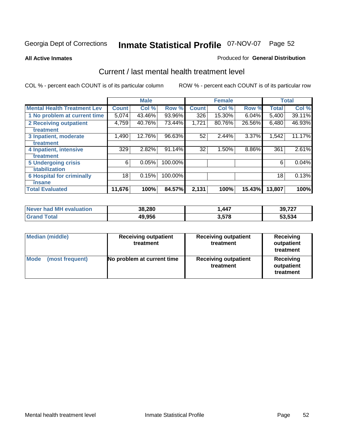#### **All Active Inmates**

#### Produced for **General Distribution**

## Current / last mental health treatment level

|                                    |              | <b>Male</b> |         |              | <b>Female</b> |          |              | <b>Total</b> |
|------------------------------------|--------------|-------------|---------|--------------|---------------|----------|--------------|--------------|
| <b>Mental Health Treatment Lev</b> | <b>Count</b> | Col %       | Row %   | <b>Count</b> | Col %         | Row %    | <b>Total</b> | Col %        |
| 1 No problem at current time       | 5,074        | 43.46%      | 93.96%  | 326          | 15.30%        | $6.04\%$ | 5,400        | 39.11%       |
| 2 Receiving outpatient             | 4,759        | 40.76%      | 73.44%  | 1,721        | 80.76%        | 26.56%   | 6,480        | 46.93%       |
| treatment                          |              |             |         |              |               |          |              |              |
| 3 Inpatient, moderate              | 1,490        | 12.76%      | 96.63%  | 52           | 2.44%         | $3.37\%$ | 1,542        | 11.17%       |
| treatment                          |              |             |         |              |               |          |              |              |
| 4 Inpatient, intensive             | 329          | 2.82%       | 91.14%  | 32           | 1.50%         | 8.86%    | 361          | 2.61%        |
| treatment                          |              |             |         |              |               |          |              |              |
| <b>5 Undergoing crisis</b>         | 6            | 0.05%       | 100.00% |              |               |          | 6            | 0.04%        |
| stabilization                      |              |             |         |              |               |          |              |              |
| <b>6 Hospital for criminally</b>   | 18           | 0.15%       | 100.00% |              |               |          | 18           | 0.13%        |
| insane                             |              |             |         |              |               |          |              |              |
| <b>Total Evaluated</b>             | 11,676       | 100%        | 84.57%  | 2,131        | 100%          | 15.43%   | 13,807       | 100%         |

| Never had MH evaluation | 38,280 | 447. ا | 39,727 |
|-------------------------|--------|--------|--------|
| $\tau$ otal<br>Grand    | 49,956 | 3,578  | 53,534 |

| <b>Median (middle)</b>  | <b>Receiving outpatient</b><br>treatment | <b>Receiving outpatient</b><br>treatment | <b>Receiving</b><br>outpatient<br>treatment |
|-------------------------|------------------------------------------|------------------------------------------|---------------------------------------------|
| Mode<br>(most frequent) | No problem at current time               | <b>Receiving outpatient</b><br>treatment | Receiving<br>outpatient<br>treatment        |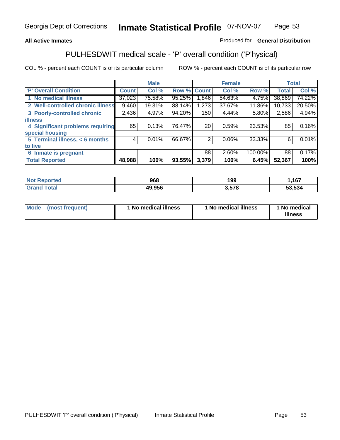## **All Active Inmates**

## Produced for **General Distribution**

# PULHESDWIT medical scale - 'P' overall condition ('P'hysical)

|                                   |              | <b>Male</b> |        |                 | <b>Female</b> |         |              | <b>Total</b> |
|-----------------------------------|--------------|-------------|--------|-----------------|---------------|---------|--------------|--------------|
| 'P' Overall Condition             | <b>Count</b> | Col %       | Row %  | <b>Count</b>    | Col %         | Row %   | <b>Total</b> | Col %        |
| 1 No medical illness              | 37,023       | 75.58%      | 95.25% | 1,846           | 54.63%        | 4.75%   | 38,869       | 74.22%       |
| 2 Well-controlled chronic illness | 9,460        | 19.31%      | 88.14% | 1,273           | 37.67%        | 11.86%  | 10,733       | 20.50%       |
| 3 Poorly-controlled chronic       | 2,436        | 4.97%       | 94.20% | 150             | 4.44%         | 5.80%   | 2,586        | 4.94%        |
| <b>illness</b>                    |              |             |        |                 |               |         |              |              |
| 4 Significant problems requiring  | 65           | 0.13%       | 76.47% | 20 <sub>1</sub> | 0.59%         | 23.53%  | 85           | 0.16%        |
| special housing                   |              |             |        |                 |               |         |              |              |
| 5 Terminal illness, < 6 months    | 4            | 0.01%       | 66.67% | 2               | $0.06\%$      | 33.33%  | 6            | 0.01%        |
| to live                           |              |             |        |                 |               |         |              |              |
| 6 Inmate is pregnant              |              |             |        | 88              | 2.60%         | 100.00% | 88           | 0.17%        |
| <b>Total Reported</b>             | 48,988       | 100%        | 93.55% | 3,379           | 100%          | 6.45%   | 52,367       | 100%         |

| тес | 968    | 199        | 1C7    |
|-----|--------|------------|--------|
|     | 49.956 | <b>E70</b> | 53.534 |

| Mode | (most frequent) | 1 No medical illness | 1 No medical illness | 1 No medical<br>illness |
|------|-----------------|----------------------|----------------------|-------------------------|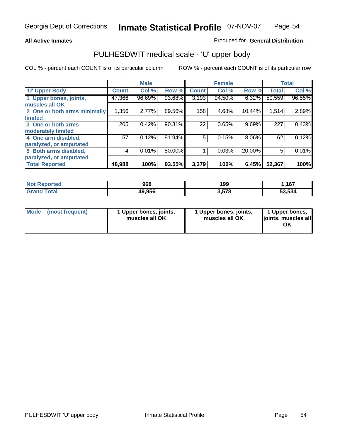## **All Active Inmates**

## Produced for **General Distribution**

## PULHESDWIT medical scale - 'U' upper body

|                              |              | <b>Male</b> |        |              | <b>Female</b> |        |              | <b>Total</b> |
|------------------------------|--------------|-------------|--------|--------------|---------------|--------|--------------|--------------|
| <b>U' Upper Body</b>         | <b>Count</b> | Col %       | Row %  | <b>Count</b> | Col %         | Row %  | <b>Total</b> | Col %        |
| 1 Upper bones, joints,       | 47,366       | 96.69%      | 93.68% | 3,193        | 94.50%        | 6.32%  | 50,559       | 96.55%       |
| muscles all OK               |              |             |        |              |               |        |              |              |
| 2 One or both arms minimally | 1,356        | 2.77%       | 89.56% | 158          | 4.68%         | 10.44% | 1,514        | 2.89%        |
| limited                      |              |             |        |              |               |        |              |              |
| 3 One or both arms           | 205          | 0.42%       | 90.31% | 22           | 0.65%         | 9.69%  | 227          | 0.43%        |
| moderately limited           |              |             |        |              |               |        |              |              |
| 4 One arm disabled,          | 57           | 0.12%       | 91.94% | 5            | 0.15%         | 8.06%  | 62           | 0.12%        |
| paralyzed, or amputated      |              |             |        |              |               |        |              |              |
| 5 Both arms disabled,        | 4            | 0.01%       | 80.00% |              | 0.03%         | 20.00% | 5            | 0.01%        |
| paralyzed, or amputated      |              |             |        |              |               |        |              |              |
| <b>Total Reported</b>        | 48,988       | 100%        | 93.55% | 3,379        | 100%          | 6.45%  | 52,367       | 100%         |

| <b>Not Reported</b>  | 968    | 199   | .167   |
|----------------------|--------|-------|--------|
| $\tau$ otal<br>Grand | 49,956 | 3.578 | 53,534 |

| <b>Mode</b> | (most frequent) | 1 Upper bones, joints,<br>muscles all OK | 1 Upper bones, joints,<br>muscles all OK | 1 Upper bones,<br>joints, muscles all<br>ΟK |
|-------------|-----------------|------------------------------------------|------------------------------------------|---------------------------------------------|
|-------------|-----------------|------------------------------------------|------------------------------------------|---------------------------------------------|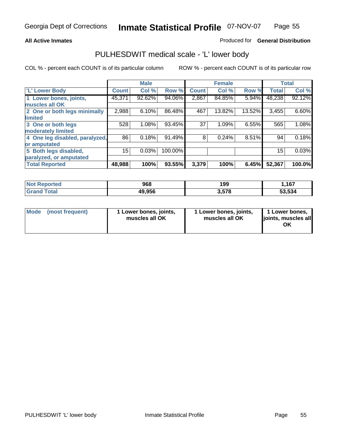## **All Active Inmates**

## Produced for **General Distribution**

## PULHESDWIT medical scale - 'L' lower body

|                                |              | <b>Male</b> |         |              | <b>Female</b> |        |              | <b>Total</b> |
|--------------------------------|--------------|-------------|---------|--------------|---------------|--------|--------------|--------------|
| 'L' Lower Body                 | <b>Count</b> | Col %       | Row %   | <b>Count</b> | Col %         | Row %  | <b>Total</b> | Col %        |
| 1 Lower bones, joints,         | 45,371       | 92.62%      | 94.06%  | 2,867        | 84.85%        | 5.94%  | 48,238       | 92.12%       |
| muscles all OK                 |              |             |         |              |               |        |              |              |
| 2 One or both legs minimally   | 2,988        | 6.10%       | 86.48%  | 467          | 13.82%        | 13.52% | 3,455        | 6.60%        |
| limited                        |              |             |         |              |               |        |              |              |
| 3 One or both legs             | 528          | 1.08%       | 93.45%  | 37           | 1.09%         | 6.55%  | 565          | 1.08%        |
| moderately limited             |              |             |         |              |               |        |              |              |
| 4 One leg disabled, paralyzed, | 86           | 0.18%       | 91.49%  | 8            | 0.24%         | 8.51%  | 94           | 0.18%        |
| or amputated                   |              |             |         |              |               |        |              |              |
| 5 Both legs disabled,          | 15           | 0.03%       | 100.00% |              |               |        | 15           | 0.03%        |
| paralyzed, or amputated        |              |             |         |              |               |        |              |              |
| <b>Total Reported</b>          | 48,988       | 100%        | 93.55%  | 3,379        | 100%          | 6.45%  | 52,367       | 100.0%       |

| <b>Not Reported</b>  | 968    | 199   | 167, ا |
|----------------------|--------|-------|--------|
| $\tau$ otal<br>Grand | 49,956 | 3,578 | 53,534 |

|  | Mode (most frequent) | 1 Lower bones, joints,<br>muscles all OK | 1 Lower bones, joints,<br>muscles all OK | 1 Lower bones,<br>joints, muscles all<br>ОK |
|--|----------------------|------------------------------------------|------------------------------------------|---------------------------------------------|
|--|----------------------|------------------------------------------|------------------------------------------|---------------------------------------------|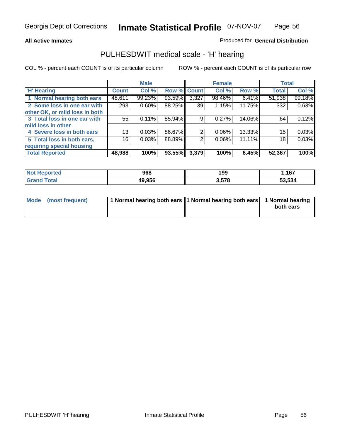#### **All Active Inmates**

## Produced for **General Distribution**

## PULHESDWIT medical scale - 'H' hearing

|                                |              | <b>Male</b> |             |       | <b>Female</b> |        | <b>Total</b> |        |
|--------------------------------|--------------|-------------|-------------|-------|---------------|--------|--------------|--------|
| <b>H'</b> Hearing              | <b>Count</b> | Col %       | Row % Count |       | Col %         | Row %  | <b>Total</b> | Col %  |
| 1 Normal hearing both ears     | 48,611       | 99.23%      | 93.59%      | 3,327 | 98.46%        | 6.41%  | 51,938       | 99.18% |
| 2 Some loss in one ear with    | 293          | 0.60%       | 88.25%      | 39    | 1.15%         | 11.75% | 332          | 0.63%  |
| other OK, or mild loss in both |              |             |             |       |               |        |              |        |
| 3 Total loss in one ear with   | 55           | 0.11%       | 85.94%      | 9     | $0.27\%$      | 14.06% | 64           | 0.12%  |
| mild loss in other             |              |             |             |       |               |        |              |        |
| 4 Severe loss in both ears     | 13           | 0.03%       | 86.67%      | 2     | $0.06\%$      | 13.33% | 15           | 0.03%  |
| 5 Total loss in both ears,     | 16           | 0.03%       | 88.89%      | 2     | $0.06\%$      | 11.11% | 18           | 0.03%  |
| requiring special housing      |              |             |             |       |               |        |              |        |
| <b>Total Reported</b>          | 48,988       | 100%        | 93.55%      | 3,379 | 100%          | 6.45%  | 52,367       | 100%   |

| orted     | 968    | 199            | ,167   |
|-----------|--------|----------------|--------|
| $\sim$ 40 | 49.956 | 578<br>ם ו ט.ו | 53.534 |

| Mode (most frequent) | 1 Normal hearing both ears 11 Normal hearing both ears | 1 Normal hearing |
|----------------------|--------------------------------------------------------|------------------|
|                      |                                                        | both ears        |
|                      |                                                        |                  |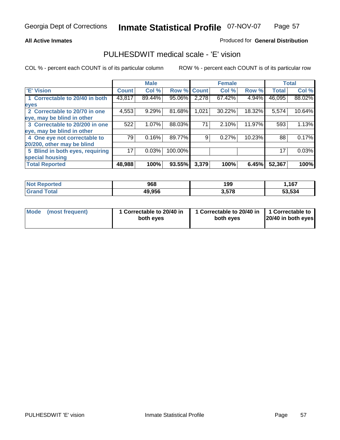## **All Active Inmates**

## Produced for **General Distribution**

## PULHESDWIT medical scale - 'E' vision

|                                 |              | <b>Male</b> |             |       | <b>Female</b> |        |              | <b>Total</b> |
|---------------------------------|--------------|-------------|-------------|-------|---------------|--------|--------------|--------------|
| 'E' Vision                      | <b>Count</b> | Col %       | Row % Count |       | Col %         | Row %  | <b>Total</b> | Col %        |
| 1 Correctable to 20/40 in both  | 43,817       | 89.44%      | 95.06%      | 2,278 | 67.42%        | 4.94%  | 46,095       | 88.02%       |
| eyes                            |              |             |             |       |               |        |              |              |
| 2 Correctable to 20/70 in one   | 4,553        | 9.29%       | 81.68%      | 1,021 | 30.22%        | 18.32% | 5,574        | 10.64%       |
| eye, may be blind in other      |              |             |             |       |               |        |              |              |
| 3 Correctable to 20/200 in one  | 522          | 1.07%       | 88.03%      | 71    | 2.10%         | 11.97% | 593          | 1.13%        |
| eye, may be blind in other      |              |             |             |       |               |        |              |              |
| 4 One eye not correctable to    | 79           | 0.16%       | 89.77%      | 9     | 0.27%         | 10.23% | 88           | 0.17%        |
| 20/200, other may be blind      |              |             |             |       |               |        |              |              |
| 5 Blind in both eyes, requiring | 17           | 0.03%       | 100.00%     |       |               |        | 17           | 0.03%        |
| special housing                 |              |             |             |       |               |        |              |              |
| <b>Total Reported</b>           | 48,988       | 100%        | 93.55%      | 3,379 | 100%          | 6.45%  | 52,367       | 100%         |

| <b>Not Reported</b> | 968    | 199   | 167, ا |
|---------------------|--------|-------|--------|
| Tota'<br>Gran       | 49,956 | 3,578 | 53.534 |

|  | Mode (most frequent) | 1 Correctable to 20/40 in<br>both eves | 1 Correctable to 20/40 in   1 Correctable to<br>both eves | 20/40 in both eyes |
|--|----------------------|----------------------------------------|-----------------------------------------------------------|--------------------|
|--|----------------------|----------------------------------------|-----------------------------------------------------------|--------------------|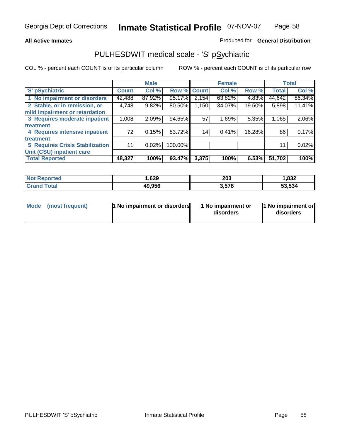## **All Active Inmates**

## Produced for **General Distribution**

## PULHESDWIT medical scale - 'S' pSychiatric

|                                        |              | <b>Male</b> |         |              | <b>Female</b> |        |              | <b>Total</b> |
|----------------------------------------|--------------|-------------|---------|--------------|---------------|--------|--------------|--------------|
| 'S' pSychiatric                        | <b>Count</b> | Col %       | Row %   | <b>Count</b> | Col %         | Row %  | <b>Total</b> | Col %        |
| 1 No impairment or disorders           | 42,488       | 87.92%      | 95.17%  | 2,154        | 63.82%        | 4.83%  | 44,642       | 86.34%       |
| 2 Stable, or in remission, or          | 4,748        | 9.82%       | 80.50%  | 1,150        | 34.07%        | 19.50% | 5,898        | 11.41%       |
| mild impairment or retardation         |              |             |         |              |               |        |              |              |
| 3 Requires moderate inpatient          | 1,008        | 2.09%       | 94.65%  | 57           | 1.69%         | 5.35%  | 1,065        | 2.06%        |
| treatment                              |              |             |         |              |               |        |              |              |
| 4 Requires intensive inpatient         | 72           | 0.15%       | 83.72%  | 14           | 0.41%         | 16.28% | 86           | 0.17%        |
| treatment                              |              |             |         |              |               |        |              |              |
| <b>5 Requires Crisis Stabilization</b> | 11           | 0.02%       | 100.00% |              |               |        | 11           | 0.02%        |
| Unit (CSU) inpatient care              |              |             |         |              |               |        |              |              |
| <b>Total Reported</b>                  | 48,327       | 100%        | 93.47%  | 3,375        | 100%          | 6.53%  | 51,702       | 100%         |

| <b>Not Reported</b> | 629. ا | 203   | 1,832  |
|---------------------|--------|-------|--------|
| <b>Grand Total</b>  | 49,956 | 3,578 | 53,534 |

| Mode (most frequent) | <b>1</b> No impairment or disorders | 1 No impairment or<br>disorders | 1 No impairment or<br>disorders |
|----------------------|-------------------------------------|---------------------------------|---------------------------------|
|                      |                                     |                                 |                                 |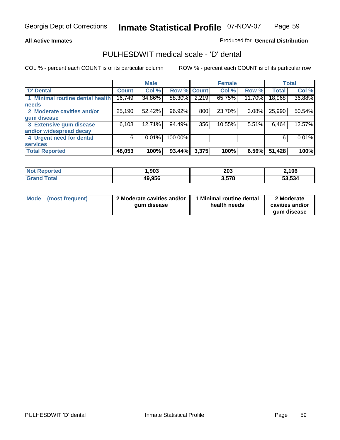#### **All Active Inmates**

## Produced for **General Distribution**

## PULHESDWIT medical scale - 'D' dental

|                                 |              | <b>Male</b> |         |             | <b>Female</b> |          |              | <b>Total</b> |
|---------------------------------|--------------|-------------|---------|-------------|---------------|----------|--------------|--------------|
| 'D' Dental                      | <b>Count</b> | Col %       |         | Row % Count | Col %         | Row %    | <b>Total</b> | Col %        |
| 1 Minimal routine dental health | 16,749       | 34.86%      | 88.30%  | 2,219       | 65.75%        | 11.70%   | 18,968       | 36.88%       |
| <b>needs</b>                    |              |             |         |             |               |          |              |              |
| 2 Moderate cavities and/or      | 25,190       | 52.42%      | 96.92%  | 800         | 23.70%        | $3.08\%$ | 25,990       | 50.54%       |
| gum disease                     |              |             |         |             |               |          |              |              |
| 3 Extensive gum disease         | 6,108        | 12.71%      | 94.49%  | 356         | 10.55%        | 5.51%    | 6,464        | 12.57%       |
| and/or widespread decay         |              |             |         |             |               |          |              |              |
| 4 Urgent need for dental        | 6            | 0.01%       | 100.00% |             |               |          | 6            | $0.01\%$     |
| <b>services</b>                 |              |             |         |             |               |          |              |              |
| <b>Total Reported</b>           | 48,053       | 100%        | 93.44%  | 3,375       | 100%          | 6.56%    | 51,428       | 100%         |

| rted   | ,903   | 203                     | 2,106  |
|--------|--------|-------------------------|--------|
| $\sim$ | 49,956 | $\sim$ $ \sim$<br>3.578 | 53,534 |

| <b>Mode</b> | (most frequent) | 2 Moderate cavities and/or<br>qum disease | <b>Minimal routine dental</b><br>health needs | 2 Moderate<br>cavities and/or |
|-------------|-----------------|-------------------------------------------|-----------------------------------------------|-------------------------------|
|             |                 |                                           |                                               | qum disease                   |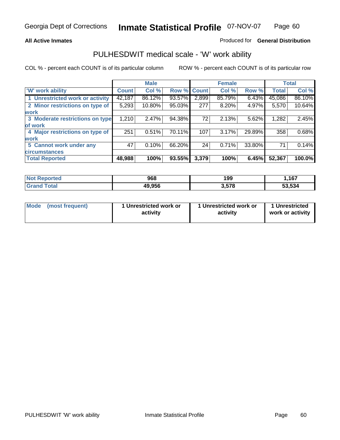### **All Active Inmates**

### Produced for **General Distribution**

## PULHESDWIT medical scale - 'W' work ability

|                                 |              | <b>Male</b> |        |              | <b>Female</b> |        |              | <b>Total</b> |
|---------------------------------|--------------|-------------|--------|--------------|---------------|--------|--------------|--------------|
| W' work ability                 | <b>Count</b> | Col %       | Row %  | <b>Count</b> | Col %         | Row %  | <b>Total</b> | Col %        |
| 1 Unrestricted work or activity | 42,187       | 86.12%      | 93.57% | 2,899        | 85.79%        | 6.43%  | 45,086       | 86.10%       |
| 2 Minor restrictions on type of | 5,293        | 10.80%      | 95.03% | 277          | 8.20%         | 4.97%  | 5,570        | 10.64%       |
| <b>work</b>                     |              |             |        |              |               |        |              |              |
| 3 Moderate restrictions on type | 1,210        | 2.47%       | 94.38% | 72           | 2.13%         | 5.62%  | 1,282        | 2.45%        |
| of work                         |              |             |        |              |               |        |              |              |
| 4 Major restrictions on type of | 251          | 0.51%       | 70.11% | 107          | 3.17%         | 29.89% | 358          | 0.68%        |
| <b>work</b>                     |              |             |        |              |               |        |              |              |
| 5 Cannot work under any         | 47           | 0.10%       | 66.20% | 24           | 0.71%         | 33.80% | 71           | 0.14%        |
| <b>circumstances</b>            |              |             |        |              |               |        |              |              |
| <b>Total Reported</b>           | 48,988       | 100%        | 93.55% | 3,379        | 100%          | 6.45%  | 52,367       | 100.0%       |

| <b>Not Reported</b>          | 968    | 199   | .167   |
|------------------------------|--------|-------|--------|
| <b>Total</b><br><b>Grand</b> | 49,956 | 3,578 | 53,534 |

| Mode            | 1 Unrestricted work or | 1 Unrestricted work or | 1 Unrestricted   |
|-----------------|------------------------|------------------------|------------------|
| (most frequent) | activity               | activity               | work or activity |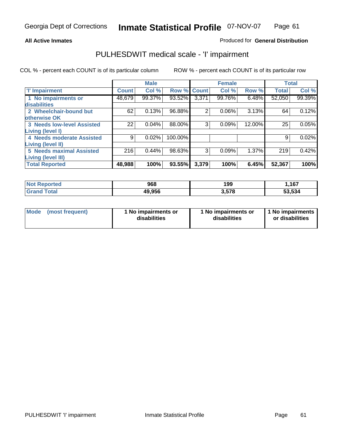#### **All Active Inmates**

## Produced for **General Distribution**

## PULHESDWIT medical scale - 'I' impairment

|                                   |              | <b>Male</b> |             |                | <b>Female</b> |          |              | <b>Total</b> |
|-----------------------------------|--------------|-------------|-------------|----------------|---------------|----------|--------------|--------------|
| 'l' Impairment                    | <b>Count</b> | Col %       | Row % Count |                | Col %         | Row %    | <b>Total</b> | Col %        |
| 1 No impairments or               | 48,679       | 99.37%      | 93.52%      | 3,371          | 99.76%        | $6.48\%$ | 52,050       | 99.39%       |
| disabilities                      |              |             |             |                |               |          |              |              |
| 2 Wheelchair-bound but            | 62           | 0.13%       | 96.88%      | $\overline{2}$ | 0.06%         | 3.13%    | 64           | 0.12%        |
| otherwise OK                      |              |             |             |                |               |          |              |              |
| <b>3 Needs low-level Assisted</b> | 22           | 0.04%       | 88.00%      | 3              | 0.09%         | 12.00%   | 25           | 0.05%        |
| Living (level I)                  |              |             |             |                |               |          |              |              |
| 4 Needs moderate Assisted         | 9            | 0.02%       | 100.00%     |                |               |          | 9            | 0.02%        |
| <b>Living (level II)</b>          |              |             |             |                |               |          |              |              |
| <b>5 Needs maximal Assisted</b>   | 216          | 0.44%       | 98.63%      | 3              | 0.09%         | 1.37%    | 219          | 0.42%        |
| <b>Living (level III)</b>         |              |             |             |                |               |          |              |              |
| <b>Total Reported</b>             | 48,988       | 100%        | 93.55%      | 3,379          | 100%          | 6.45%    | 52,367       | 100%         |

| <b>Not</b><br>Reported | 968    | 199   | ,167   |
|------------------------|--------|-------|--------|
| ⊺otal<br>'Granc        | 49,956 | 3.578 | 53,534 |

| Mode | (most frequent) | 1 No impairments or<br>disabilities | 1 No impairments or<br>disabilities | 1 1 No impairments<br>or disabilities |
|------|-----------------|-------------------------------------|-------------------------------------|---------------------------------------|
|------|-----------------|-------------------------------------|-------------------------------------|---------------------------------------|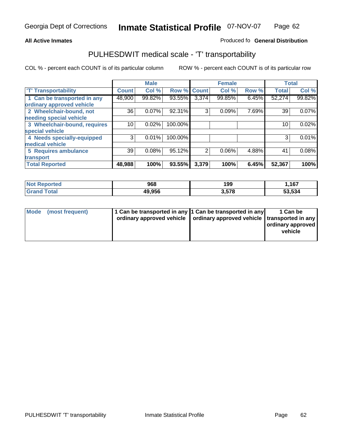#### **Inmate Statistical Profile** 07-NOV-07 Page Page 62

## **All Active Inmates Allowski** Produced fo **General Distribution**

## PULHESDWIT medical scale - 'T' transportability

|                              |              | <b>Male</b> |         |              | <b>Female</b> |       | <b>Total</b> |        |
|------------------------------|--------------|-------------|---------|--------------|---------------|-------|--------------|--------|
| <b>T' Transportability</b>   | <b>Count</b> | Col %       | Row %   | <b>Count</b> | Col %         | Row % | <b>Total</b> | Col %  |
| 1 Can be transported in any  | 48,900       | 99.82%      | 93.55%  | 3,374        | 99.85%        | 6.45% | 52,274       | 99.82% |
| ordinary approved vehicle    |              |             |         |              |               |       |              |        |
| 2 Wheelchair-bound, not      | 36           | 0.07%       | 92.31%  | 3            | 0.09%         | 7.69% | 39           | 0.07%  |
| needing special vehicle      |              |             |         |              |               |       |              |        |
| 3 Wheelchair-bound, requires | 10           | 0.02%       | 100.00% |              |               |       | 10           | 0.02%  |
| special vehicle              |              |             |         |              |               |       |              |        |
| 4 Needs specially-equipped   | 3            | 0.01%       | 100.00% |              |               |       | 3            | 0.01%  |
| medical vehicle              |              |             |         |              |               |       |              |        |
| <b>5 Requires ambulance</b>  | 39           | 0.08%       | 95.12%  | 2            | 0.06%         | 4.88% | 41           | 0.08%  |
| transport                    |              |             |         |              |               |       |              |        |
| <b>Total Reported</b>        | 48,988       | 100%        | 93.55%  | 3,379        | 100%          | 6.45% | 52,367       | 100%   |

| <b>Not</b><br>Reported | 968    | 199   | ,167   |
|------------------------|--------|-------|--------|
| Γotal<br><b>Grand</b>  | 49,956 | 3,578 | 53,534 |

| Mode (most frequent) | 1 Can be transported in any 1 Can be transported in any | ordinary approved vehicle   ordinary approved vehicle   transported in any | 1 Can be<br>ordinary approved<br>vehicle |
|----------------------|---------------------------------------------------------|----------------------------------------------------------------------------|------------------------------------------|
|                      |                                                         |                                                                            |                                          |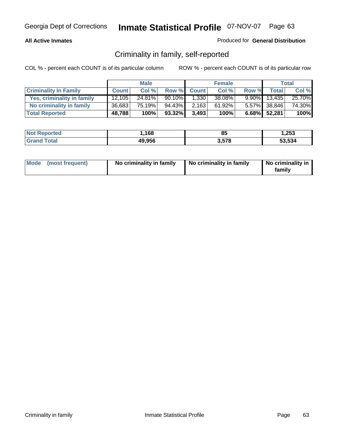## **All Active Inmates**

## Produced for **General Distribution**

## Criminality in family, self-reported

|                              |              | <b>Male</b> |        |              | <b>Female</b> |       |                 | <b>Total</b> |
|------------------------------|--------------|-------------|--------|--------------|---------------|-------|-----------------|--------------|
| <b>Criminality In Family</b> | <b>Count</b> | Col %       | Row %  | <b>Count</b> | Col %         | Row % | <b>Total</b>    | Col %        |
| Yes, criminality in family   | 12.105       | 24.81%      | 90.10% | 1,330        | 38.08%        |       | $9.90\%$ 13,435 | 25.70%       |
| No criminality in family     | 36,683       | 75.19%      | 94.43% | 2,163        | 61.92%        |       | 5.57% 38,846    | 74.30%       |
| <b>Total Reported</b>        | 48,788       | 100%        | 93.32% | 3,493        | 100%          |       | $6.68\%$ 52,281 | 100%         |

| <b>Not Reported</b>          | .168،  | 85    | 1,253  |
|------------------------------|--------|-------|--------|
| <b>Total</b><br><b>Grand</b> | 49,956 | 3,578 | 53,534 |

|  | Mode (most frequent) | No criminality in family | No criminality in family | No criminality in<br>familv |
|--|----------------------|--------------------------|--------------------------|-----------------------------|
|--|----------------------|--------------------------|--------------------------|-----------------------------|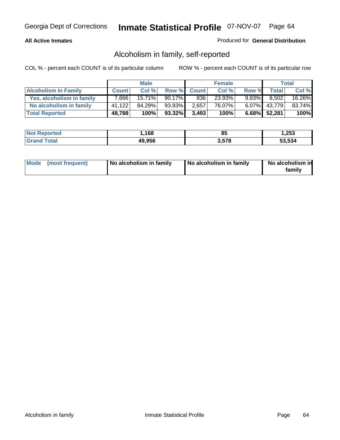## **All Active Inmates**

## Produced for **General Distribution**

## Alcoholism in family, self-reported

|                             |              | <b>Male</b> |        |              | <b>Female</b> |          |                 | <b>Total</b> |
|-----------------------------|--------------|-------------|--------|--------------|---------------|----------|-----------------|--------------|
| <b>Alcoholism In Family</b> | <b>Count</b> | Col %       | Row %  | <b>Count</b> | Col %         | Row %    | <b>Total</b>    | Col %        |
| Yes, alcoholism in family   | 7.666        | 15.71%      | 90.17% | 836          | 23.93%        | $9.83\%$ | 8,502           | 16.26%       |
| No alcoholism in family     | 41.122       | 84.29%      | 93.93% | 2,657        | 76.07%        |          | $6.07\%$ 43,779 | 83.74%       |
| <b>Total Reported</b>       | 48,788       | 100%        | 93.32% | 3,493        | 100%          |          | 6.68% 52,281    | 100%         |

| <b>Not Reported</b>          | .168،  | 85    | 1,253  |
|------------------------------|--------|-------|--------|
| <b>Total</b><br><b>Grand</b> | 49,956 | 3,578 | 53,534 |

|  | Mode (most frequent) | No alcoholism in family | No alcoholism in family | No alcoholism in<br>familv |
|--|----------------------|-------------------------|-------------------------|----------------------------|
|--|----------------------|-------------------------|-------------------------|----------------------------|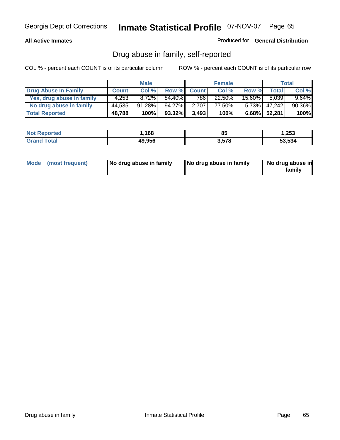## **All Active Inmates**

Produced for **General Distribution**

## Drug abuse in family, self-reported

|                           |              | <b>Male</b> |        |              | <b>Female</b> |           |              | <b>Total</b> |
|---------------------------|--------------|-------------|--------|--------------|---------------|-----------|--------------|--------------|
| Drug Abuse In Family      | <b>Count</b> | Col %       | Row %  | <b>Count</b> | Col %         | Row %     | <b>Total</b> | Col %        |
| Yes, drug abuse in family | 4.253        | 8.72%       | 84.40% | 786          | 22.50%        | $15.60\%$ | 5.039        | $9.64\%$     |
| No drug abuse in family   | 44.535       | 91.28%      | 94.27% | 2.707        | 77.50%        | $5.73\%$  | 47,242       | 90.36%       |
| <b>Total Reported</b>     | 48,788       | 100%        | 93.32% | 3,493        | 100%          |           | 6.68% 52,281 | 100%         |

| <b>Not Reported</b>          | .168،  | 85    | 1,253  |
|------------------------------|--------|-------|--------|
| <b>Total</b><br><b>Grand</b> | 49,956 | 3,578 | 53,534 |

|  | Mode (most frequent) | No drug abuse in family | No drug abuse in family | No drug abuse in<br>family |
|--|----------------------|-------------------------|-------------------------|----------------------------|
|--|----------------------|-------------------------|-------------------------|----------------------------|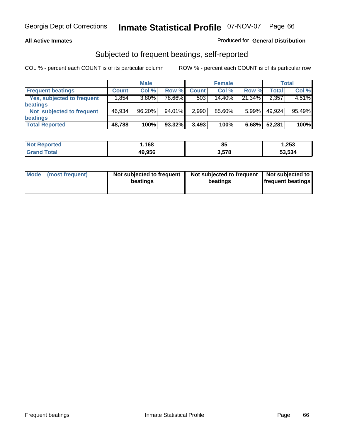## **All Active Inmates**

## Produced for **General Distribution**

## Subjected to frequent beatings, self-reported

|                                   |              | <b>Male</b> |        |              | <b>Female</b> |          |         | Total  |
|-----------------------------------|--------------|-------------|--------|--------------|---------------|----------|---------|--------|
| <b>Frequent beatings</b>          | <b>Count</b> | Col%        | Row %  | <b>Count</b> | Col%          | Row %    | Total I | Col %  |
| <b>Yes, subjected to frequent</b> | ا 854. ا     | 3.80%       | 78.66% | 503          | $14.40\%$     | 21.34%   | 2,357   | 4.51%  |
| beatings                          |              |             |        |              |               |          |         |        |
| Not subjected to frequent         | 46.934       | 96.20%      | 94.01% | 2,990        | 85.60%        | $5.99\%$ | 49.924  | 95.49% |
| beatings                          |              |             |        |              |               |          |         |        |
| <b>Total Reported</b>             | 48,788       | 100%        | 93.32% | 3,493        | 100%          | 6.68%    | 52,281  | 100%   |

| วrtea<br>NO. | .168،  | 85    | 1,253  |
|--------------|--------|-------|--------|
| $f$ of $g'$  | 49,956 | 3.578 | 53.534 |

| <b>Mode</b> | (most frequent) | Not subjected to frequent<br>beatings | Not subjected to frequent<br>beatings | Not subjected to<br>frequent beatings |
|-------------|-----------------|---------------------------------------|---------------------------------------|---------------------------------------|
|             |                 |                                       |                                       |                                       |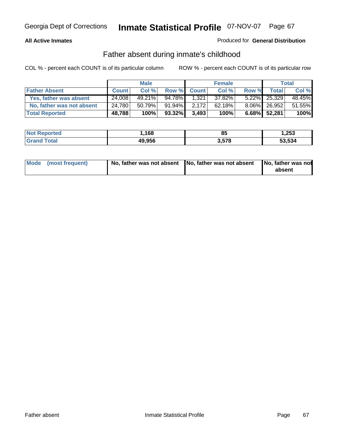## **All Active Inmates**

## Produced for **General Distribution**

## Father absent during inmate's childhood

|                           |              | <b>Male</b> |        |              | <b>Female</b> |       |                    | Total  |
|---------------------------|--------------|-------------|--------|--------------|---------------|-------|--------------------|--------|
| <b>Father Absent</b>      | <b>Count</b> | Col %       | Row %  | <b>Count</b> | Col %         | Row % | Total <sub>1</sub> | Col %  |
| Yes, father was absent    | 24.008       | $49.21\%$   | 94.78% | 1,321        | 37.82%        |       | $5.22\%$ 25,329    | 48.45% |
| No, father was not absent | 24,780       | 50.79%      | 91.94% | 2,172        | 62.18%        |       | 8.06% 26.952       | 51.55% |
| <b>Total Reported</b>     | 48,788       | 100%        | 93.32% | 3,493        | 100%          |       | 6.68% 52,281       | 100%   |

| <b>Not Reported</b> | .168.، | 85    | 253. ا |
|---------------------|--------|-------|--------|
| <b>Grand Total</b>  | 49,956 | 3,578 | 53,534 |

| Mode (most frequent) |  | 「No, father was not absent ┃No, father was not absent ┃No, father was not | absent |
|----------------------|--|---------------------------------------------------------------------------|--------|
|----------------------|--|---------------------------------------------------------------------------|--------|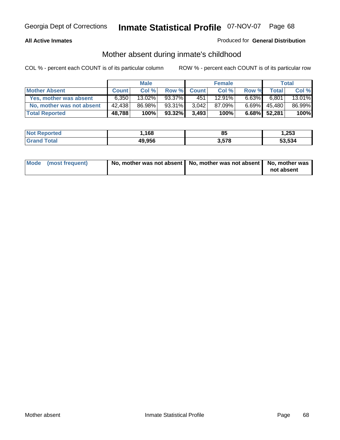## **All Active Inmates**

## Produced for **General Distribution**

## Mother absent during inmate's childhood

|                           |              | <b>Male</b> |        |              | <b>Female</b> |          |              | Total  |
|---------------------------|--------------|-------------|--------|--------------|---------------|----------|--------------|--------|
| <b>Mother Absent</b>      | <b>Count</b> | Col %       | Row %  | <b>Count</b> | Col %         | Row %    | Total        | Col %  |
| Yes, mother was absent    | 6,350        | 13.02%      | 93.37% | 451          | 12.91%        | $6.63\%$ | 6,801        | 13.01% |
| No, mother was not absent | 42,438       | 86.98%      | 93.31% | 3.042        | 87.09%        | $6.69\%$ | 45,480       | 86.99% |
| <b>Total Reported</b>     | 48,788       | 100%        | 93.32% | 3,493        | 100%          |          | 6.68% 52,281 | 100%   |

| <b>Not Reported</b> | .168،  | 85    | 1,253  |
|---------------------|--------|-------|--------|
| <b>Grand Total</b>  | 49,956 | 3,578 | 53,534 |

| Mode (most frequent) | No, mother was not absent $\vert$ No, mother was not absent $\vert$ No, mother was | not absent |
|----------------------|------------------------------------------------------------------------------------|------------|
|                      |                                                                                    |            |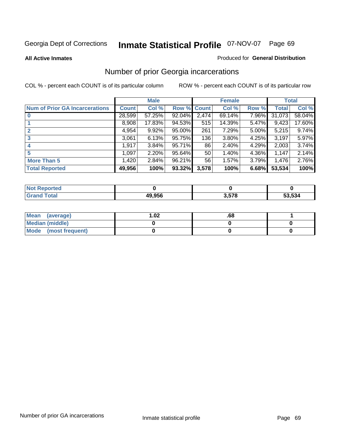#### **All Active Inmates**

#### Produced for **General Distribution**

## Number of prior Georgia incarcerations

|                                       |              | <b>Male</b> |                    |                 | <b>Female</b> |       |        | <b>Total</b> |
|---------------------------------------|--------------|-------------|--------------------|-----------------|---------------|-------|--------|--------------|
| <b>Num of Prior GA Incarcerations</b> | <b>Count</b> | Col %       | <b>Row % Count</b> |                 | Col %         | Row % | Total  | Col %        |
| $\bf{0}$                              | 28,599       | 57.25%      | 92.04%             | 2,474           | 69.14%        | 7.96% | 31,073 | 58.04%       |
|                                       | 8,908        | 17.83%      | 94.53%             | 515             | 14.39%        | 5.47% | 9,423  | 17.60%       |
|                                       | 4,954        | 9.92%       | 95.00%             | 261             | 7.29%         | 5.00% | 5,215  | 9.74%        |
| 3                                     | 3,061        | 6.13%       | 95.75%             | 136             | 3.80%         | 4.25% | 3,197  | 5.97%        |
|                                       | 1,917        | 3.84%       | 95.71%             | 86              | 2.40%         | 4.29% | 2,003  | 3.74%        |
| 5                                     | 1,097        | 2.20%       | 95.64%             | 50 <sub>1</sub> | 1.40%         | 4.36% | 1,147  | 2.14%        |
| <b>More Than 5</b>                    | 1,420        | 2.84%       | 96.21%             | 56              | 1.57%         | 3.79% | 1,476  | 2.76%        |
| <b>Total Reported</b>                 | 49,956       | 100%        | 93.32%             | 3,578           | 100%          | 6.68% | 53,534 | 100%         |

| orted<br>NO         |        |     |        |
|---------------------|--------|-----|--------|
| <b>otal</b><br>. Gr | 49.956 | 578 | 53.534 |

| Mean (average)       | l.O2 | .oo |  |
|----------------------|------|-----|--|
| Median (middle)      |      |     |  |
| Mode (most frequent) |      |     |  |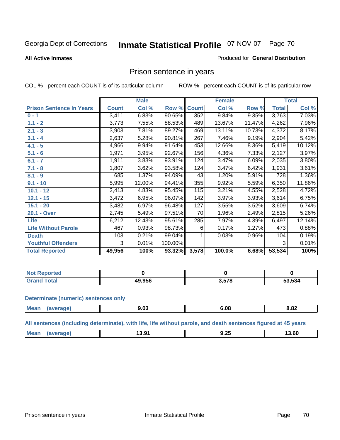#### **All Active Inmates**

#### Produced for **General Distribution**

## Prison sentence in years

COL % - percent each COUNT is of its particular column ROW % - percent each COUNT is of its particular row

|                                 |              | <b>Male</b> |         |              | <b>Female</b> |        |                    | <b>Total</b> |
|---------------------------------|--------------|-------------|---------|--------------|---------------|--------|--------------------|--------------|
| <b>Prison Sentence In Years</b> | <b>Count</b> | Col %       | Row %   | <b>Count</b> | Col %         | Row %  | <b>Total</b>       | Col %        |
| $0 - 1$                         | 3,411        | 6.83%       | 90.65%  | 352          | 9.84%         | 9.35%  | 3,763              | 7.03%        |
| $1.1 - 2$                       | 3,773        | 7.55%       | 88.53%  | 489          | 13.67%        | 11.47% | 4,262              | 7.96%        |
| $2.1 - 3$                       | 3,903        | 7.81%       | 89.27%  | 469          | 13.11%        | 10.73% | 4,372              | 8.17%        |
| $3.1 - 4$                       | 2,637        | 5.28%       | 90.81%  | 267          | 7.46%         | 9.19%  | $\overline{2,904}$ | 5.42%        |
| $4.1 - 5$                       | 4,966        | 9.94%       | 91.64%  | 453          | 12.66%        | 8.36%  | 5,419              | 10.12%       |
| $5.1 - 6$                       | 1,971        | 3.95%       | 92.67%  | 156          | 4.36%         | 7.33%  | 2,127              | 3.97%        |
| $6.1 - 7$                       | 1,911        | 3.83%       | 93.91%  | 124          | 3.47%         | 6.09%  | 2,035              | 3.80%        |
| $7.1 - 8$                       | 1,807        | 3.62%       | 93.58%  | 124          | 3.47%         | 6.42%  | 1,931              | 3.61%        |
| $8.1 - 9$                       | 685          | 1.37%       | 94.09%  | 43           | 1.20%         | 5.91%  | 728                | 1.36%        |
| $9.1 - 10$                      | 5,995        | 12.00%      | 94.41%  | 355          | 9.92%         | 5.59%  | 6,350              | 11.86%       |
| $10.1 - 12$                     | 2,413        | 4.83%       | 95.45%  | 115          | 3.21%         | 4.55%  | 2,528              | 4.72%        |
| $12.1 - 15$                     | 3,472        | 6.95%       | 96.07%  | 142          | 3.97%         | 3.93%  | 3,614              | 6.75%        |
| $15.1 - 20$                     | 3,482        | 6.97%       | 96.48%  | 127          | 3.55%         | 3.52%  | 3,609              | 6.74%        |
| 20.1 - Over                     | 2,745        | 5.49%       | 97.51%  | 70           | 1.96%         | 2.49%  | 2,815              | 5.26%        |
| <b>Life</b>                     | 6,212        | 12.43%      | 95.61%  | 285          | 7.97%         | 4.39%  | 6,497              | 12.14%       |
| <b>Life Without Parole</b>      | 467          | 0.93%       | 98.73%  | 6            | 0.17%         | 1.27%  | 473                | 0.88%        |
| <b>Death</b>                    | 103          | 0.21%       | 99.04%  |              | 0.03%         | 0.96%  | 104                | 0.19%        |
| <b>Youthful Offenders</b>       | 3            | 0.01%       | 100.00% |              |               |        | 3                  | 0.01%        |
| <b>Total Reported</b>           | 49,956       | 100%        | 93.32%  | 3,578        | 100.0%        | 6.68%  | 53,534             | 100%         |

| <b>Not Reported</b> |                 |     |        |
|---------------------|-----------------|-----|--------|
| `otal<br>-Grot      | 0.0EC<br>19.930 | E70 | 53,534 |

#### **Determinate (numeric) sentences only**

| <b>Mean</b><br>$\sim$ $\sim$ $\sim$ $\sim$ $\sim$ | апе | טי | …<br>JY. | 8.82 |
|---------------------------------------------------|-----|----|----------|------|
|                                                   |     |    |          |      |

**All sentences (including determinate), with life, life without parole, and death sentences figured at 45 years**

| <b>Mean</b><br>$\mathbf{r}$<br>13.91<br>הה הו<br>13. OU<br>9.ZJ<br>me<br>____<br>____<br>$ -$ |
|-----------------------------------------------------------------------------------------------|
|-----------------------------------------------------------------------------------------------|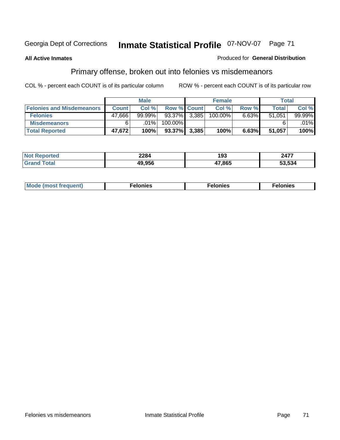#### **All Active Inmates**

#### Produced for **General Distribution**

# Primary offense, broken out into felonies vs misdemeanors

|                                  |              | <b>Male</b> |                    | <b>Female</b> |          | Total        |         |
|----------------------------------|--------------|-------------|--------------------|---------------|----------|--------------|---------|
| <b>Felonies and Misdemeanors</b> | <b>Count</b> | Col %       | <b>Row % Count</b> | Col %         | Row %    | <b>Total</b> | Col%    |
| <b>Felonies</b>                  | 47.666       | $99.99\%$   | $93.37\%$ 3,385    | 100.00%       | $6.63\%$ | 51,051       | 99.99%  |
| <b>Misdemeanors</b>              |              | $.01\%$     | 100.00%            |               |          |              | $.01\%$ |
| <b>Total Reported</b>            | 47,672       | 100%        | 93.37% 3,385       | 100%          | 6.63%    | 51,057       | 100%    |

| <b>Not</b><br>ted | 2284 | י ה<br>. .<br>נט ו | 2477       |
|-------------------|------|--------------------|------------|
|                   | .956 | 17,865             | .<br>. 534 |

| Mode (most frequent) | elonies | elonies | onies<br>-е к |
|----------------------|---------|---------|---------------|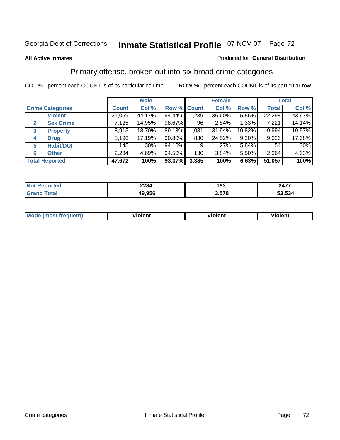#### **All Active Inmates**

#### Produced for **General Distribution**

## Primary offense, broken out into six broad crime categories

|                                  |              | <b>Male</b> |                    |       | <b>Female</b> |        |              | <b>Total</b> |
|----------------------------------|--------------|-------------|--------------------|-------|---------------|--------|--------------|--------------|
| <b>Crime Categories</b>          | <b>Count</b> | Col %       | <b>Row % Count</b> |       | Col %         | Row %  | <b>Total</b> | Col %        |
| <b>Violent</b>                   | 21,059       | 44.17%      | 94.44%             | 1,239 | 36.60%        | 5.56%  | 22,298       | 43.67%       |
| <b>Sex Crime</b><br>$\mathbf{2}$ | 7,125        | 14.95%      | 98.67%             | 96    | 2.84%         | 1.33%  | 7,221        | 14.14%       |
| $\mathbf{3}$<br><b>Property</b>  | 8,913        | 18.70%      | 89.18%             | 1,081 | 31.94%        | 10.82% | 9,994        | 19.57%       |
| <b>Drug</b><br>4                 | 8,196        | 17.19%      | 90.80%             | 830   | 24.52%        | 9.20%  | 9,026        | 17.68%       |
| <b>Habit/DUI</b><br>5            | 145          | .30%        | 94.16%             | 9     | .27%          | 5.84%  | 154          | $.30\%$      |
| <b>Other</b><br>6                | 2,234        | 4.69%       | 94.50%             | 130   | 3.84%         | 5.50%  | 2,364        | 4.63%        |
| <b>Total Reported</b>            | 47,672       | 100%        | 93.37%             | 3,385 | 100%          | 6.63%  | 51,057       | 100%         |

| 2284<br>--- - | 193 | $\overline{a}$<br>٦Д.<br>. TI |
|---------------|-----|-------------------------------|
| .956          | 579 | .534                          |

| <b>Mou</b> | .<br>วient | วlent | ent |
|------------|------------|-------|-----|
|            |            |       |     |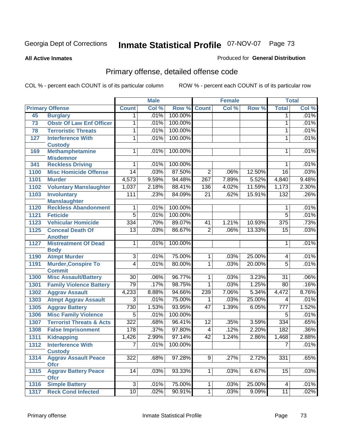**All Active Inmates**

#### Produced for **General Distribution**

# Primary offense, detailed offense code

|      |                                     | <b>Male</b>     |       |         |                 | <b>Female</b> | <b>Total</b> |                  |       |
|------|-------------------------------------|-----------------|-------|---------|-----------------|---------------|--------------|------------------|-------|
|      | <b>Primary Offense</b>              | <b>Count</b>    | Col % | Row %   | <b>Count</b>    | Col %         | Row %        | <b>Total</b>     | Col % |
| 45   | <b>Burglary</b>                     | 1               | .01%  | 100.00% |                 |               |              | 1                | .01%  |
| 73   | <b>Obstr Of Law Enf Officer</b>     | 1               | .01%  | 100.00% |                 |               |              | 1                | .01%  |
| 78   | <b>Terroristic Threats</b>          | 1               | .01%  | 100.00% |                 |               |              | 1                | .01%  |
| 127  | <b>Interference With</b>            | 1               | .01%  | 100.00% |                 |               |              | 1                | .01%  |
|      | <b>Custody</b>                      |                 |       |         |                 |               |              |                  |       |
| 169  | <b>Methamphetamine</b>              | 1               | .01%  | 100.00% |                 |               |              | 1                | .01%  |
|      | <b>Misdemnor</b>                    |                 |       |         |                 |               |              |                  |       |
| 341  | <b>Reckless Driving</b>             | 1               | .01%  | 100.00% |                 |               |              | 1                | .01%  |
| 1100 | <b>Misc Homicide Offense</b>        | $\overline{14}$ | .03%  | 87.50%  | $\overline{2}$  | .06%          | 12.50%       | $\overline{16}$  | .03%  |
| 1101 | <b>Murder</b>                       | 4,573           | 9.59% | 94.48%  | 267             | 7.89%         | 5.52%        | 4,840            | 9.48% |
| 1102 | <b>Voluntary Manslaughter</b>       | 1,037           | 2.18% | 88.41%  | 136             | 4.02%         | 11.59%       | 1,173            | 2.30% |
| 1103 | <b>Involuntary</b>                  | 111             | .23%  | 84.09%  | $\overline{21}$ | .62%          | 15.91%       | 132              | .26%  |
|      | <b>Manslaughter</b>                 |                 |       |         |                 |               |              |                  |       |
| 1120 | <b>Reckless Abandonment</b>         | 1               | .01%  | 100.00% |                 |               |              | 1                | .01%  |
| 1121 | <b>Feticide</b>                     | $\overline{5}$  | .01%  | 100.00% |                 |               |              | $\overline{5}$   | .01%  |
| 1123 | <b>Vehicular Homicide</b>           | 334             | .70%  | 89.07%  | 41              | 1.21%         | 10.93%       | $\overline{375}$ | .73%  |
| 1125 | <b>Conceal Death Of</b>             | $\overline{13}$ | .03%  | 86.67%  | $\overline{2}$  | .06%          | 13.33%       | $\overline{15}$  | .03%  |
|      | <b>Another</b>                      |                 |       |         |                 |               |              |                  |       |
| 1127 | <b>Mistreatment Of Dead</b>         | 1               | .01%  | 100.00% |                 |               |              | 1                | .01%  |
| 1190 | <b>Body</b><br><b>Atmpt Murder</b>  | $\overline{3}$  | .01%  | 75.00%  | 1               | .03%          | 25.00%       | 4                | .01%  |
| 1191 | <b>Murder, Conspire To</b>          | 4               | .01%  | 80.00%  | 1               | .03%          | 20.00%       | 5                | .01%  |
|      | <b>Commit</b>                       |                 |       |         |                 |               |              |                  |       |
| 1300 | <b>Misc Assault/Battery</b>         | $\overline{30}$ | .06%  | 96.77%  | $\mathbf 1$     | .03%          | 3.23%        | $\overline{31}$  | .06%  |
| 1301 | <b>Family Violence Battery</b>      | 79              | .17%  | 98.75%  | 1               | .03%          | 1.25%        | 80               | .16%  |
| 1302 | <b>Aggrav Assault</b>               | 4,233           | 8.88% | 94.66%  | 239             | 7.06%         | 5.34%        | 4,472            | 8.76% |
| 1303 | <b>Atmpt Aggrav Assault</b>         | $\overline{3}$  | .01%  | 75.00%  | 1               | .03%          | 25.00%       | 4                | .01%  |
| 1305 | <b>Aggrav Battery</b>               | 730             | 1.53% | 93.95%  | 47              | 1.39%         | 6.05%        | $\overline{777}$ | 1.52% |
| 1306 | <b>Misc Family Violence</b>         | $\overline{5}$  | .01%  | 100.00% |                 |               |              | $\overline{5}$   | .01%  |
| 1307 | <b>Terrorist Threats &amp; Acts</b> | 322             | .68%  | 96.41%  | $\overline{12}$ | .35%          | 3.59%        | 334              | .65%  |
| 1308 | <b>False Imprisonment</b>           | 178             | .37%  | 97.80%  | $\overline{4}$  | .12%          | 2.20%        | 182              | .36%  |
| 1311 | <b>Kidnapping</b>                   | 1,426           | 2.99% | 97.14%  | 42              | 1.24%         | 2.86%        | 1,468            | 2.88% |
| 1312 | <b>Interference With</b>            | $\overline{7}$  | .01%  | 100.00% |                 |               |              | $\overline{7}$   | .01%  |
|      | <b>Custody</b>                      |                 |       |         |                 |               |              |                  |       |
| 1314 | <b>Aggrav Assault Peace</b>         | 322             | .68%  | 97.28%  | 9               | .27%          | 2.72%        | 331              | .65%  |
|      | <b>Ofcr</b>                         |                 |       |         |                 |               |              |                  |       |
| 1315 | <b>Aggrav Battery Peace</b>         | 14              | .03%  | 93.33%  | 1 <sup>1</sup>  | .03%          | 6.67%        | 15               | .03%  |
|      | <b>Ofcr</b>                         |                 |       |         |                 |               |              |                  |       |
| 1316 | <b>Simple Battery</b>               | $\overline{3}$  | .01%  | 75.00%  | $\mathbf 1$     | .03%          | 25.00%       | 4                | .01%  |
| 1317 | <b>Reck Cond Infected</b>           | 10              | .02%  | 90.91%  | $\overline{1}$  | .03%          | 9.09%        | 11               | .02%  |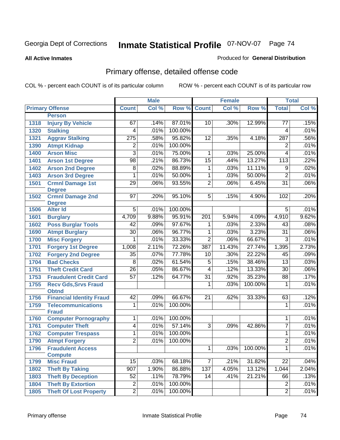**All Active Inmates**

#### Produced for **General Distribution**

# Primary offense, detailed offense code

|      |                                             |                  | <b>Male</b> |         |                 | <b>Female</b> |         |                          | <b>Total</b> |
|------|---------------------------------------------|------------------|-------------|---------|-----------------|---------------|---------|--------------------------|--------------|
|      | <b>Primary Offense</b>                      | <b>Count</b>     | Col %       | Row %   | <b>Count</b>    | Col %         | Row %   | <b>Total</b>             | Col %        |
|      | <b>Person</b>                               |                  |             |         |                 |               |         |                          |              |
| 1318 | <b>Injury By Vehicle</b>                    | 67               | .14%        | 87.01%  | 10              | .30%          | 12.99%  | 77                       | .15%         |
| 1320 | <b>Stalking</b>                             | 4                | .01%        | 100.00% |                 |               |         | 4                        | .01%         |
| 1321 | <b>Aggrav Stalking</b>                      | $\overline{275}$ | .58%        | 95.82%  | 12              | .35%          | 4.18%   | 287                      | .56%         |
| 1390 | <b>Atmpt Kidnap</b>                         | 2                | .01%        | 100.00% |                 |               |         | $\overline{2}$           | .01%         |
| 1400 | <b>Arson Misc</b>                           | $\overline{3}$   | .01%        | 75.00%  | 1               | .03%          | 25.00%  | $\overline{\mathcal{A}}$ | .01%         |
| 1401 | <b>Arson 1st Degree</b>                     | $\overline{98}$  | .21%        | 86.73%  | $\overline{15}$ | .44%          | 13.27%  | 113                      | .22%         |
| 1402 | <b>Arson 2nd Degree</b>                     | $\overline{8}$   | .02%        | 88.89%  | 1               | .03%          | 11.11%  | 9                        | .02%         |
| 1403 | <b>Arson 3rd Degree</b>                     | 1                | .01%        | 50.00%  | 1               | .03%          | 50.00%  | $\overline{2}$           | .01%         |
| 1501 | <b>Crmnl Damage 1st</b>                     | $\overline{29}$  | .06%        | 93.55%  | $\overline{2}$  | .06%          | 6.45%   | $\overline{31}$          | .06%         |
|      | <b>Degree</b>                               |                  |             |         |                 |               |         |                          |              |
| 1502 | <b>Crmnl Damage 2nd</b>                     | $\overline{97}$  | .20%        | 95.10%  | $\overline{5}$  | .15%          | 4.90%   | 102                      | .20%         |
| 1506 | <b>Degree</b><br><b>Alter Id</b>            | $\overline{5}$   | .01%        | 100.00% |                 |               |         | $\overline{5}$           | .01%         |
| 1601 | <b>Burglary</b>                             | 4,709            | 9.88%       | 95.91%  | 201             | 5.94%         | 4.09%   | 4,910                    | 9.62%        |
| 1602 | <b>Poss Burglar Tools</b>                   | 42               | .09%        | 97.67%  | 1               | .03%          | 2.33%   | 43                       | .08%         |
| 1690 | <b>Atmpt Burglary</b>                       | $\overline{30}$  | .06%        | 96.77%  | $\overline{1}$  | .03%          | 3.23%   | $\overline{31}$          | .06%         |
| 1700 | <b>Misc Forgery</b>                         | $\overline{1}$   | .01%        | 33.33%  | $\overline{2}$  | .06%          | 66.67%  | $\overline{3}$           | .01%         |
| 1701 | <b>Forgery 1st Degree</b>                   | 1,008            | 2.11%       | 72.26%  | 387             | 11.43%        | 27.74%  | 1,395                    | 2.73%        |
| 1702 | <b>Forgery 2nd Degree</b>                   | $\overline{35}$  | .07%        | 77.78%  | $\overline{10}$ | .30%          | 22.22%  | $\overline{45}$          | .09%         |
| 1704 | <b>Bad Checks</b>                           | $\overline{8}$   | .02%        | 61.54%  | $\overline{5}$  | .15%          | 38.46%  | 13                       | .03%         |
| 1751 | <b>Theft Credit Card</b>                    | $\overline{26}$  | .05%        | 86.67%  | 4               | .12%          | 13.33%  | $\overline{30}$          | .06%         |
|      | <b>Fraudulent Credit Card</b>               | $\overline{57}$  | .12%        | 64.77%  | $\overline{31}$ | .92%          | 35.23%  | 88                       | .17%         |
| 1753 |                                             |                  |             |         | $\overline{1}$  | .03%          | 100.00% | $\overline{1}$           | .01%         |
| 1755 | <b>Recv Gds, Srvs Fraud</b><br><b>Obtnd</b> |                  |             |         |                 |               |         |                          |              |
| 1756 | <b>Financial Identity Fraud</b>             | 42               | .09%        | 66.67%  | 21              | .62%          | 33.33%  | 63                       | .12%         |
| 1759 | <b>Telecommunications</b>                   | $\overline{1}$   | .01%        | 100.00% |                 |               |         | 1                        | .01%         |
|      | <b>Fraud</b>                                |                  |             |         |                 |               |         |                          |              |
| 1760 | <b>Computer Pornography</b>                 | 1                | .01%        | 100.00% |                 |               |         | 1                        | .01%         |
| 1761 | <b>Computer Theft</b>                       | $\overline{4}$   | .01%        | 57.14%  | $\overline{3}$  | .09%          | 42.86%  | $\overline{7}$           | .01%         |
| 1762 | <b>Computer Trespass</b>                    | 1                | .01%        | 100.00% |                 |               |         | 1                        | .01%         |
| 1790 | <b>Atmpt Forgery</b>                        | $\overline{2}$   | .01%        | 100.00% |                 |               |         | $\overline{2}$           | .01%         |
| 1796 | <b>Fraudulent Access</b>                    |                  |             |         | 1               | .03%          | 100.00% | 1                        | .01%         |
|      | <b>Compute</b>                              |                  |             |         |                 |               |         |                          |              |
| 1799 | <b>Misc Fraud</b>                           | 15               | .03%        | 68.18%  | $\overline{7}$  | .21%          | 31.82%  | 22                       | .04%         |
| 1802 | <b>Theft By Taking</b>                      | 907              | 1.90%       | 86.88%  | 137             | 4.05%         | 13.12%  | 1,044                    | 2.04%        |
| 1803 | <b>Theft By Deception</b>                   | 52               | .11%        | 78.79%  | 14              | .41%          | 21.21%  | 66                       | .13%         |
| 1804 | <b>Theft By Extortion</b>                   | $\overline{2}$   | .01%        | 100.00% |                 |               |         | $\overline{2}$           | .01%         |
| 1805 | <b>Theft Of Lost Property</b>               | $\overline{2}$   | .01%        | 100.00% |                 |               |         | $\overline{2}$           | .01%         |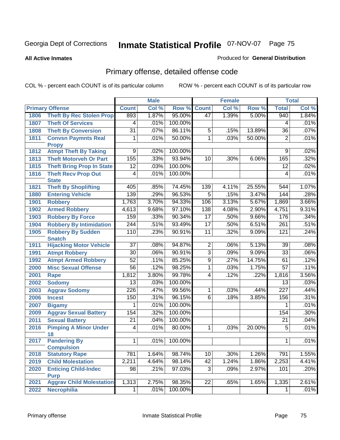#### **All Active Inmates**

#### Produced for **General Distribution**

# Primary offense, detailed offense code

|      |                                                | <b>Male</b>      |       |         | <b>Female</b>   | <b>Total</b> |        |                  |       |
|------|------------------------------------------------|------------------|-------|---------|-----------------|--------------|--------|------------------|-------|
|      | <b>Primary Offense</b>                         | <b>Count</b>     | Col % | Row %   | <b>Count</b>    | Col %        | Row %  | <b>Total</b>     | Col % |
| 1806 | <b>Theft By Rec Stolen Prop</b>                | 893              | 1.87% | 95.00%  | 47              | 1.39%        | 5.00%  | 940              | 1.84% |
| 1807 | <b>Theft Of Services</b>                       | 4                | .01%  | 100.00% |                 |              |        | 4                | .01%  |
| 1808 | <b>Theft By Conversion</b>                     | $\overline{31}$  | .07%  | 86.11%  | $\,$ 5 $\,$     | .15%         | 13.89% | 36               | .07%  |
| 1811 | <b>Convsn Paymnts Real</b>                     | 1                | .01%  | 50.00%  | $\overline{1}$  | .03%         | 50.00% | $\overline{2}$   | .01%  |
|      | <b>Propy</b>                                   |                  |       |         |                 |              |        |                  |       |
| 1812 | <b>Atmpt Theft By Taking</b>                   | $\overline{9}$   | .02%  | 100.00% |                 |              |        | $\overline{9}$   | .02%  |
| 1813 | <b>Theft Motorveh Or Part</b>                  | 155              | .33%  | 93.94%  | 10              | .30%         | 6.06%  | 165              | .32%  |
| 1815 | <b>Theft Bring Prop In State</b>               | $\overline{12}$  | .03%  | 100.00% |                 |              |        | $\overline{12}$  | .02%  |
| 1816 | <b>Theft Recv Prop Out</b><br><b>State</b>     | $\overline{4}$   | .01%  | 100.00% |                 |              |        | 4                | .01%  |
| 1821 | <b>Theft By Shoplifting</b>                    | 405              | .85%  | 74.45%  | 139             | 4.11%        | 25.55% | 544              | 1.07% |
| 1880 | <b>Entering Vehicle</b>                        | 139              | .29%  | 96.53%  | $\overline{5}$  | .15%         | 3.47%  | 144              | .28%  |
| 1901 | <b>Robbery</b>                                 | 1,763            | 3.70% | 94.33%  | 106             | 3.13%        | 5.67%  | 1,869            | 3.66% |
| 1902 | <b>Armed Robbery</b>                           | 4,613            | 9.68% | 97.10%  | 138             | 4.08%        | 2.90%  | 4,751            | 9.31% |
| 1903 | <b>Robbery By Force</b>                        | 159              | .33%  | 90.34%  | $\overline{17}$ | .50%         | 9.66%  | 176              | .34%  |
| 1904 | <b>Robbery By Intimidation</b>                 | $\overline{244}$ | .51%  | 93.49%  | $\overline{17}$ | .50%         | 6.51%  | $\overline{261}$ | .51%  |
| 1905 | <b>Robbery By Sudden</b>                       | 110              | .23%  | 90.91%  | 11              | .32%         | 9.09%  | 121              | .24%  |
|      | <b>Snatch</b>                                  |                  |       |         |                 |              |        |                  |       |
| 1911 | <b>Hijacking Motor Vehicle</b>                 | $\overline{37}$  | .08%  | 94.87%  | $\overline{2}$  | .06%         | 5.13%  | $\overline{39}$  | .08%  |
| 1991 | <b>Atmpt Robbery</b>                           | $\overline{30}$  | .06%  | 90.91%  | $\overline{3}$  | .09%         | 9.09%  | $\overline{33}$  | .06%  |
| 1992 | <b>Atmpt Armed Robbery</b>                     | $\overline{52}$  | .11%  | 85.25%  | $\overline{9}$  | .27%         | 14.75% | 61               | .12%  |
| 2000 | <b>Misc Sexual Offense</b>                     | $\overline{56}$  | .12%  | 98.25%  | 1               | .03%         | 1.75%  | $\overline{57}$  | .11%  |
| 2001 | Rape                                           | 1,812            | 3.80% | 99.78%  | $\overline{4}$  | .12%         | .22%   | 1,816            | 3.56% |
| 2002 | <b>Sodomy</b>                                  | $\overline{13}$  | .03%  | 100.00% |                 |              |        | 13               | .03%  |
| 2003 | <b>Aggrav Sodomy</b>                           | 226              | .47%  | 99.56%  | $\mathbf{1}$    | .03%         | .44%   | $\overline{227}$ | .44%  |
| 2006 | <b>Incest</b>                                  | 150              | .31%  | 96.15%  | 6               | .18%         | 3.85%  | 156              | .31%  |
| 2007 | <b>Bigamy</b>                                  | 1                | .01%  | 100.00% |                 |              |        | 1                | .01%  |
| 2009 | <b>Aggrav Sexual Battery</b>                   | 154              | .32%  | 100.00% |                 |              |        | 154              | .30%  |
| 2011 | <b>Sexual Battery</b>                          | $\overline{21}$  | .04%  | 100.00% |                 |              |        | $\overline{21}$  | .04%  |
| 2016 | <b>Pimping A Minor Under</b><br>18             | 4                | .01%  | 80.00%  | $\mathbf{1}$    | .03%         | 20.00% | $\overline{5}$   | .01%  |
| 2017 | <b>Pandering By</b>                            | 1                | .01%  | 100.00% |                 |              |        | 1                | .01%  |
|      | <b>Compulsion</b>                              |                  |       |         |                 |              |        |                  |       |
| 2018 | <b>Statutory Rape</b>                          | 781              | 1.64% | 98.74%  | 10              | .30%         | 1.26%  | 791              | 1.55% |
| 2019 | <b>Child Molestation</b>                       | 2,211            | 4.64% | 98.14%  | 42              | 1.24%        | 1.86%  | 2,253            | 4.41% |
| 2020 | <b>Enticing Child-Indec</b>                    | 98               | .21%  | 97.03%  | $\overline{3}$  | .09%         | 2.97%  | 101              | .20%  |
|      | <b>Purp</b><br><b>Aggrav Child Molestation</b> | 1,313            | 2.75% | 98.35%  | $\overline{22}$ | .65%         | 1.65%  | 1,335            | 2.61% |
| 2021 | <b>Necrophilia</b>                             | $\mathbf 1$      |       | 100.00% |                 |              |        |                  |       |
| 2022 |                                                |                  | .01%  |         |                 |              |        |                  | .01%  |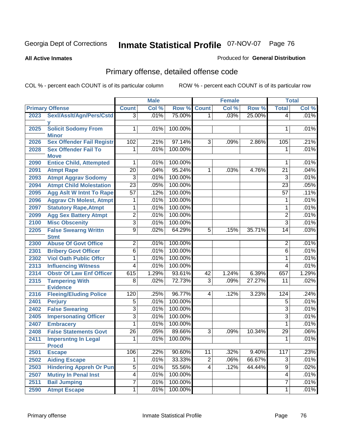**All Active Inmates**

#### Produced for **General Distribution**

# Primary offense, detailed offense code

|      |                                            |                 | <b>Male</b> |         |                | <b>Female</b> |        |                 | <b>Total</b> |  |
|------|--------------------------------------------|-----------------|-------------|---------|----------------|---------------|--------|-----------------|--------------|--|
|      | <b>Primary Offense</b>                     | <b>Count</b>    | Col %       | Row %   | <b>Count</b>   | Col %         | Row %  | <b>Total</b>    | Col %        |  |
| 2023 | Sexl/Asslt/Agn/Pers/Cstd                   | $\overline{3}$  | .01%        | 75.00%  | 1 <sup>1</sup> | .03%          | 25.00% | 4               | .01%         |  |
| 2025 | <b>Solicit Sodomy From</b><br><b>Minor</b> | 1               | .01%        | 100.00% |                |               |        | 1               | .01%         |  |
| 2026 | <b>Sex Offender Fail Registr</b>           | 102             | .21%        | 97.14%  | $\overline{3}$ | .09%          | 2.86%  | 105             | .21%         |  |
| 2028 | <b>Sex Offender Fail To</b><br><b>Move</b> | 1               | .01%        | 100.00% |                |               |        | 1               | .01%         |  |
| 2090 | <b>Entice Child, Attempted</b>             | 1               | .01%        | 100.00% |                |               |        | 1               | .01%         |  |
| 2091 | <b>Atmpt Rape</b>                          | $\overline{20}$ | .04%        | 95.24%  | 1              | .03%          | 4.76%  | $\overline{21}$ | .04%         |  |
| 2093 | <b>Atmpt Aggrav Sodomy</b>                 | 3               | .01%        | 100.00% |                |               |        | $\overline{3}$  | .01%         |  |
| 2094 | <b>Atmpt Child Molestation</b>             | $\overline{23}$ | .05%        | 100.00% |                |               |        | $\overline{23}$ | .05%         |  |
| 2095 | <b>Agg Aslt W Intnt To Rape</b>            | $\overline{57}$ | .12%        | 100.00% |                |               |        | 57              | .11%         |  |
| 2096 | <b>Aggrav Ch Molest, Atmpt</b>             | 1               | .01%        | 100.00% |                |               |        | 1               | .01%         |  |
| 2097 | <b>Statutory Rape, Atmpt</b>               | 1               | .01%        | 100.00% |                |               |        | 1               | .01%         |  |
| 2099 | <b>Agg Sex Battery Atmpt</b>               | $\overline{2}$  | .01%        | 100.00% |                |               |        | $\overline{2}$  | .01%         |  |
| 2100 | <b>Misc Obscenity</b>                      | $\overline{3}$  | .01%        | 100.00% |                |               |        | 3               | .01%         |  |
| 2205 | <b>False Swearng Writtn</b><br><b>Stmt</b> | $\overline{9}$  | .02%        | 64.29%  | $\overline{5}$ | .15%          | 35.71% | $\overline{14}$ | .03%         |  |
| 2300 | <b>Abuse Of Govt Office</b>                | $\overline{2}$  | .01%        | 100.00% |                |               |        | $\overline{2}$  | .01%         |  |
| 2301 | <b>Bribery Govt Officer</b>                | $\overline{6}$  | .01%        | 100.00% |                |               |        | 6               | .01%         |  |
| 2302 | <b>Viol Oath Public Offcr</b>              | 1               | .01%        | 100.00% |                |               |        | $\mathbf{1}$    | .01%         |  |
| 2313 | <b>Influencing Witness</b>                 | $\overline{4}$  | .01%        | 100.00% |                |               |        | 4               | .01%         |  |
| 2314 | <b>Obstr Of Law Enf Officer</b>            | 615             | 1.29%       | 93.61%  | 42             | 1.24%         | 6.39%  | 657             | 1.29%        |  |
| 2315 | <b>Tampering With</b><br><b>Evidence</b>   | 8               | .02%        | 72.73%  | $\overline{3}$ | .09%          | 27.27% | 11              | .02%         |  |
| 2316 | <b>Fleeing/Eluding Police</b>              | 120             | .25%        | 96.77%  | 4              | .12%          | 3.23%  | 124             | .24%         |  |
| 2401 | <b>Perjury</b>                             | $\overline{5}$  | .01%        | 100.00% |                |               |        | $\overline{5}$  | .01%         |  |
| 2402 | <b>False Swearing</b>                      | 3               | .01%        | 100.00% |                |               |        | 3               | .01%         |  |
| 2405 | <b>Impersonating Officer</b>               | $\overline{3}$  | .01%        | 100.00% |                |               |        | 3               | .01%         |  |
| 2407 | <b>Embracery</b>                           | 1               | .01%        | 100.00% |                |               |        | 1               | .01%         |  |
| 2408 | <b>False Statements Govt</b>               | $\overline{26}$ | .05%        | 89.66%  | $\overline{3}$ | .09%          | 10.34% | 29              | .06%         |  |
| 2411 | <b>Impersntng In Legal</b><br><b>Procd</b> | 1               | .01%        | 100.00% |                |               |        | 1               | .01%         |  |
| 2501 | <b>Escape</b>                              | 106             | .22%        | 90.60%  | 11             | .32%          | 9.40%  | 117             | .23%         |  |
| 2502 | <b>Aiding Escape</b>                       |                 | .01%        | 33.33%  | $\overline{2}$ | .06%          | 66.67% | $\overline{3}$  | .01%         |  |
| 2503 | <b>Hindering Appreh Or Pun</b>             | $\overline{5}$  | .01%        | 55.56%  | $\overline{4}$ | .12%          | 44.44% | $\overline{9}$  | .02%         |  |
| 2507 | <b>Mutiny In Penal Inst</b>                | $\overline{4}$  | .01%        | 100.00% |                |               |        | $\overline{4}$  | .01%         |  |
| 2511 | <b>Bail Jumping</b>                        | $\overline{7}$  | .01%        | 100.00% |                |               |        | $\overline{7}$  | .01%         |  |
| 2590 | <b>Atmpt Escape</b>                        | 1               | .01%        | 100.00% |                |               |        | 1               | .01%         |  |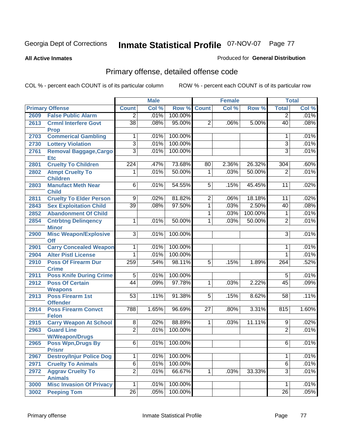**All Active Inmates**

#### Produced for **General Distribution**

# Primary offense, detailed offense code

|      |                                               |                 | <b>Male</b> |         |                | <b>Female</b> |         |                 | <b>Total</b> |
|------|-----------------------------------------------|-----------------|-------------|---------|----------------|---------------|---------|-----------------|--------------|
|      | <b>Primary Offense</b>                        | <b>Count</b>    | Col %       | Row %   | <b>Count</b>   | Col %         | Row %   | <b>Total</b>    | Col %        |
| 2609 | <b>False Public Alarm</b>                     | $\overline{2}$  | .01%        | 100.00% |                |               |         | $\overline{2}$  | .01%         |
| 2613 | <b>Crmnl Interfere Govt</b><br><b>Prop</b>    | $\overline{38}$ | .08%        | 95.00%  | $\overline{2}$ | .06%          | 5.00%   | 40              | .08%         |
| 2703 | <b>Commerical Gambling</b>                    | 1               | .01%        | 100.00% |                |               |         | 1               | .01%         |
| 2730 | <b>Lottery Violation</b>                      | $\overline{3}$  | .01%        | 100.00% |                |               |         | $\overline{3}$  | .01%         |
| 2761 | <b>Removal Baggage, Cargo</b><br><b>Etc</b>   | $\overline{3}$  | .01%        | 100.00% |                |               |         | $\overline{3}$  | .01%         |
| 2801 | <b>Cruelty To Children</b>                    | 224             | .47%        | 73.68%  | 80             | 2.36%         | 26.32%  | 304             | .60%         |
| 2802 | <b>Atmpt Cruelty To</b><br><b>Children</b>    | 1               | .01%        | 50.00%  | $\mathbf{1}$   | .03%          | 50.00%  | $\overline{2}$  | .01%         |
| 2803 | <b>Manufact Meth Near</b><br><b>Child</b>     | $\overline{6}$  | .01%        | 54.55%  | $\overline{5}$ | .15%          | 45.45%  | $\overline{11}$ | .02%         |
| 2811 | <b>Cruelty To Elder Person</b>                | $\overline{9}$  | .02%        | 81.82%  | $\overline{2}$ | .06%          | 18.18%  | 11              | .02%         |
| 2843 | <b>Sex Exploitation Child</b>                 | $\overline{39}$ | .08%        | 97.50%  | $\overline{1}$ | .03%          | 2.50%   | 40              | .08%         |
| 2852 | <b>Abandonment Of Child</b>                   |                 |             |         | $\mathbf{1}$   | .03%          | 100.00% | 1               | .01%         |
| 2854 | <b>Cntrbtng Delingency</b>                    | 1               | .01%        | 50.00%  | $\mathbf 1$    | .03%          | 50.00%  | $\overline{2}$  | .01%         |
|      | <b>Minor</b>                                  |                 |             |         |                |               |         |                 |              |
| 2900 | <b>Misc Weapon/Explosive</b>                  | $\overline{3}$  | .01%        | 100.00% |                |               |         | 3               | .01%         |
| 2901 | Off<br><b>Carry Concealed Weapon</b>          | 1               | .01%        | 100.00% |                |               |         | 1               | .01%         |
| 2904 | <b>Alter Pistl License</b>                    | 1               | .01%        | 100.00% |                |               |         | 1               | .01%         |
| 2910 | <b>Poss Of Firearm Dur</b>                    | 259             | .54%        | 98.11%  | $\overline{5}$ | .15%          | 1.89%   | 264             | .52%         |
|      | <b>Crime</b>                                  |                 |             |         |                |               |         |                 |              |
| 2911 | <b>Poss Knife During Crime</b>                | $\overline{5}$  | .01%        | 100.00% |                |               |         | $\overline{5}$  | .01%         |
| 2912 | <b>Poss Of Certain</b>                        | 44              | .09%        | 97.78%  | 1              | .03%          | 2.22%   | 45              | .09%         |
|      | <b>Weapons</b>                                |                 |             |         |                |               |         |                 |              |
| 2913 | <b>Poss Firearm 1st</b>                       | $\overline{53}$ | .11%        | 91.38%  | 5              | .15%          | 8.62%   | 58              | .11%         |
| 2914 | <b>Offender</b><br><b>Poss Firearm Convct</b> | 788             | 1.65%       | 96.69%  | 27             | .80%          | 3.31%   | 815             | 1.60%        |
|      | <b>Felon</b>                                  |                 |             |         |                |               |         |                 |              |
| 2915 | <b>Carry Weapon At School</b>                 | $\overline{8}$  | .02%        | 88.89%  | $\overline{1}$ | .03%          | 11.11%  | $\overline{9}$  | .02%         |
| 2963 | <b>Guard Line</b>                             | $\overline{2}$  | .01%        | 100.00% |                |               |         | $\overline{2}$  | .01%         |
| 2965 | <b>W/Weapon/Drugs</b>                         | $\overline{6}$  | $.01\%$     | 100.00% |                |               |         | 6               | .01%         |
|      | <b>Poss Wpn, Drugs By</b><br><b>Prisnr</b>    |                 |             |         |                |               |         |                 |              |
| 2967 | <b>Destroy/Injur Police Dog</b>               | 1               | .01%        | 100.00% |                |               |         | 1               | .01%         |
| 2971 | <b>Cruelty To Animals</b>                     | $\overline{6}$  | .01%        | 100.00% |                |               |         | $\overline{6}$  | .01%         |
| 2972 | <b>Aggrav Cruelty To</b>                      | $\overline{2}$  | .01%        | 66.67%  | 1              | .03%          | 33.33%  | $\overline{3}$  | .01%         |
|      | <b>Animals</b>                                |                 |             |         |                |               |         |                 |              |
| 3000 | <b>Misc Invasion Of Privacy</b>               | 1               | .01%        | 100.00% |                |               |         | 1               | .01%         |
| 3002 | <b>Peeping Tom</b>                            | $\overline{26}$ | .05%        | 100.00% |                |               |         | $\overline{26}$ | .05%         |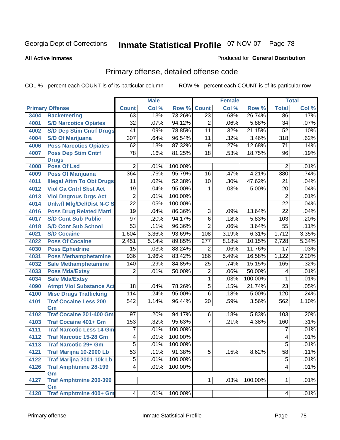#### **All Active Inmates**

#### Produced for **General Distribution**

# Primary offense, detailed offense code

|      |                                    | <b>Male</b>      |       |         | <b>Female</b>    |       |         | <b>Total</b>     |         |
|------|------------------------------------|------------------|-------|---------|------------------|-------|---------|------------------|---------|
|      | <b>Primary Offense</b>             | <b>Count</b>     | Col % | Row %   | <b>Count</b>     | Col % | Row %   | <b>Total</b>     | Col %   |
| 3404 | <b>Racketeering</b>                | 63               | .13%  | 73.26%  | $\overline{23}$  | .68%  | 26.74%  | 86               | .17%    |
| 4001 | <b>S/D Narcotics Opiates</b>       | $\overline{32}$  | .07%  | 94.12%  | $\overline{2}$   | .06%  | 5.88%   | 34               | .07%    |
| 4002 | <b>S/D Dep Stim Cntrf Drugs</b>    | $\overline{41}$  | .09%  | 78.85%  | $\overline{11}$  | .32%  | 21.15%  | $\overline{52}$  | .10%    |
| 4004 | <b>S/D Of Marijuana</b>            | $\overline{307}$ | .64%  | 96.54%  | $\overline{11}$  | .32%  | 3.46%   | $\overline{318}$ | .62%    |
| 4006 | <b>Poss Narcotics Opiates</b>      | 62               | .13%  | 87.32%  | $\overline{9}$   | .27%  | 12.68%  | $\overline{71}$  | .14%    |
| 4007 | <b>Poss Dep Stim Cntrf</b>         | $\overline{78}$  | .16%  | 81.25%  | $\overline{18}$  | .53%  | 18.75%  | 96               | .19%    |
|      | <b>Drugs</b>                       |                  |       |         |                  |       |         |                  |         |
| 4008 | <b>Poss Of Lsd</b>                 | $\overline{2}$   | .01%  | 100.00% |                  |       |         | $\overline{2}$   | .01%    |
| 4009 | <b>Poss Of Marijuana</b>           | 364              | .76%  | 95.79%  | $\overline{16}$  | .47%  | 4.21%   | 380              | .74%    |
| 4011 | <b>Illegal Attm To Obt Drugs</b>   | 11               | .02%  | 52.38%  | 10               | .30%  | 47.62%  | 21               | .04%    |
| 4012 | <b>Viol Ga Cntrl Sbst Act</b>      | $\overline{19}$  | .04%  | 95.00%  | 1                | .03%  | 5.00%   | 20               | .04%    |
| 4013 | <b>Viol Dngrous Drgs Act</b>       | $\overline{2}$   | .01%  | 100.00% |                  |       |         | $\overline{2}$   | .01%    |
| 4014 | <b>Uniwfi Mfg/Del/Dist N-C S</b>   | $\overline{22}$  | .05%  | 100.00% |                  |       |         | $\overline{22}$  | .04%    |
| 4016 | <b>Poss Drug Related Matri</b>     | 19               | .04%  | 86.36%  | 3                | .09%  | 13.64%  | 22               | .04%    |
| 4017 | <b>S/D Cont Sub Public</b>         | $\overline{97}$  | .20%  | 94.17%  | $\overline{6}$   | .18%  | 5.83%   | 103              | .20%    |
| 4018 | <b>S/D Cont Sub School</b>         | $\overline{53}$  | .11%  | 96.36%  | $\overline{2}$   | .06%  | 3.64%   | 55               | .11%    |
| 4021 | <b>S/D Cocaine</b>                 | 1,604            | 3.36% | 93.69%  | 108              | 3.19% | 6.31%   | 1,712            | 3.35%   |
| 4022 | <b>Poss Of Cocaine</b>             | 2,451            | 5.14% | 89.85%  | $\overline{277}$ | 8.18% | 10.15%  | 2,728            | 5.34%   |
| 4030 | <b>Poss Ephedrine</b>              | 15               | .03%  | 88.24%  | $\overline{2}$   | .06%  | 11.76%  | $\overline{17}$  | .03%    |
| 4031 | <b>Poss Methamphetamine</b>        | 936              | 1.96% | 83.42%  | 186              | 5.49% | 16.58%  | 1,122            | 2.20%   |
| 4032 | <b>Sale Methamphetamine</b>        | 140              | .29%  | 84.85%  | 25               | .74%  | 15.15%  | 165              | .32%    |
| 4033 | <b>Poss Mda/Extsy</b>              | $\overline{2}$   | .01%  | 50.00%  | $\overline{2}$   | .06%  | 50.00%  | 4                | .01%    |
| 4034 | <b>Sale Mda/Extsy</b>              |                  |       |         | $\mathbf{1}$     | .03%  | 100.00% | 1                | .01%    |
| 4090 | <b>Atmpt Viol Substance Act</b>    | 18               | .04%  | 78.26%  | $\overline{5}$   | .15%  | 21.74%  | $\overline{23}$  | .05%    |
| 4100 | <b>Misc Drugs Trafficking</b>      | 114              | .24%  | 95.00%  | $\overline{6}$   | .18%  | 5.00%   | 120              | .24%    |
| 4101 | <b>Traf Cocaine Less 200</b><br>Gm | 542              | 1.14% | 96.44%  | 20               | .59%  | 3.56%   | 562              | 1.10%   |
| 4102 | <b>Traf Cocaine 201-400 Gm</b>     | 97               | .20%  | 94.17%  | 6                | .18%  | 5.83%   | 103              | .20%    |
| 4103 | <b>Traf Cocaine 401+ Gm</b>        | 153              | .32%  | 95.63%  | $\overline{7}$   | .21%  | 4.38%   | 160              | .31%    |
| 4111 | <b>Traf Narcotic Less 14 Gm</b>    | 7                | .01%  | 100.00% |                  |       |         | 7                | .01%    |
| 4112 | <b>Traf Narcotic 15-28 Gm</b>      | 4                | .01%  | 100.00% |                  |       |         | 4                | .01%    |
| 4113 | <b>Traf Narcotic 29+ Gm</b>        | $\overline{5}$   | .01%  | 100.00% |                  |       |         | $\overline{5}$   | $.01\%$ |
| 4121 | Traf Marijna 10-2000 Lb            | $\overline{53}$  | .11%  | 91.38%  | $\overline{5}$   | .15%  | 8.62%   | 58               | .11%    |
| 4122 | Traf Marijna 2001-10k Lb           | $\overline{5}$   | .01%  | 100.00% |                  |       |         | 5                | .01%    |
| 4126 | <b>Traf Amphtmine 28-199</b>       | $\overline{4}$   | .01%  | 100.00% |                  |       |         | 4                | .01%    |
|      | Gm                                 |                  |       |         |                  |       |         |                  |         |
| 4127 | <b>Traf Amphtmine 200-399</b>      |                  |       |         | 1                | .03%  | 100.00% | 1                | .01%    |
|      | Gm                                 |                  |       |         |                  |       |         |                  |         |
| 4128 | <b>Traf Amphtmine 400+ Gm</b>      | $\vert 4 \vert$  | .01%  | 100.00% |                  |       |         | 4                | .01%    |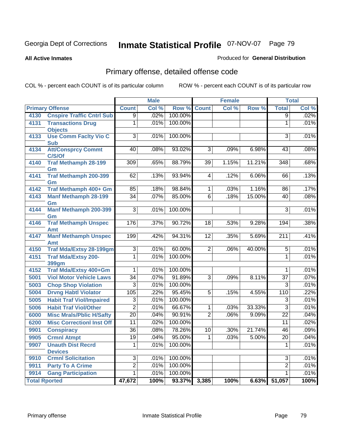**All Active Inmates**

#### Produced for **General Distribution**

# Primary offense, detailed offense code

|                      |                                                |                 | <b>Male</b> |         |                 | Female |        |                  | <b>Total</b> |
|----------------------|------------------------------------------------|-----------------|-------------|---------|-----------------|--------|--------|------------------|--------------|
|                      | <b>Primary Offense</b>                         | <b>Count</b>    | Col %       | Row %   | <b>Count</b>    | Col %  | Row %  | <b>Total</b>     | Col %        |
| 4130                 | <b>Cnspire Traffic Cntrl Sub</b>               | $\overline{9}$  | .02%        | 100.00% |                 |        |        | $\overline{9}$   | .02%         |
| 4131                 | <b>Transactions Drug</b>                       | $\overline{1}$  | .01%        | 100.00% |                 |        |        | $\overline{1}$   | .01%         |
| 4133                 | <b>Objects</b><br><b>Use Comm Facity Vio C</b> | $\overline{3}$  | .01%        | 100.00% |                 |        |        | $\overline{3}$   | .01%         |
|                      | <b>Sub</b>                                     |                 |             |         |                 |        |        |                  |              |
| 4134                 | <b>Att/Consprcy Commt</b>                      | 40              | .08%        | 93.02%  | $\overline{3}$  | .09%   | 6.98%  | 43               | .08%         |
|                      | C/S/Of                                         |                 |             |         |                 |        |        |                  |              |
| 4140                 | <b>Traf Methamph 28-199</b>                    | 309             | .65%        | 88.79%  | $\overline{39}$ | 1.15%  | 11.21% | 348              | .68%         |
| 4141                 | Gm<br><b>Traf Methamph 200-399</b>             | 62              | .13%        | 93.94%  | $\overline{4}$  | .12%   | 6.06%  | 66               | .13%         |
|                      | Gm                                             |                 |             |         |                 |        |        |                  |              |
| 4142                 | Traf Methamph 400+ Gm                          | 85              | .18%        | 98.84%  | $\overline{1}$  | .03%   | 1.16%  | 86               | .17%         |
| 4143                 | <b>Manf Methamph 28-199</b>                    | $\overline{34}$ | .07%        | 85.00%  | $\overline{6}$  | .18%   | 15.00% | 40               | .08%         |
|                      | Gm                                             |                 |             |         |                 |        |        |                  |              |
| 4144                 | <b>Manf Methamph 200-399</b><br>Gm             | $\overline{3}$  | .01%        | 100.00% |                 |        |        | $\overline{3}$   | .01%         |
| 4146                 | <b>Traf Methamph Unspec</b>                    | 176             | .37%        | 90.72%  | $\overline{18}$ | .53%   | 9.28%  | 194              | .38%         |
|                      | <b>Amt</b>                                     |                 |             |         |                 |        |        |                  |              |
| 4147                 | <b>Manf Methamph Unspec</b>                    | 199             | .42%        | 94.31%  | $\overline{12}$ | .35%   | 5.69%  | $\overline{211}$ | .41%         |
|                      | <b>Amt</b>                                     |                 |             |         |                 |        |        |                  |              |
| 4150                 | <b>Traf Mda/Extsy 28-199gm</b>                 | $\overline{3}$  | .01%        | 60.00%  | $\overline{2}$  | .06%   | 40.00% | $\overline{5}$   | .01%         |
| 4151                 | <b>Traf Mda/Extsy 200-</b><br>399gm            | $\overline{1}$  | .01%        | 100.00% |                 |        |        | $\overline{1}$   | .01%         |
| 4152                 | Traf Mda/Extsy 400+Gm                          | 1               | .01%        | 100.00% |                 |        |        | $\mathbf{1}$     | .01%         |
| 5001                 | <b>Viol Motor Vehicle Laws</b>                 | $\overline{34}$ | .07%        | 91.89%  | $\overline{3}$  | .09%   | 8.11%  | $\overline{37}$  | .07%         |
| 5003                 | <b>Chop Shop Violation</b>                     | $\overline{3}$  | .01%        | 100.00% |                 |        |        | $\overline{3}$   | .01%         |
| 5004                 | <b>Drvng Habtl Violator</b>                    | 105             | .22%        | 95.45%  | $\overline{5}$  | .15%   | 4.55%  | 110              | .22%         |
| 5005                 | <b>Habit Traf Viol/Impaired</b>                | $\overline{3}$  | .01%        | 100.00% |                 |        |        | 3                | .01%         |
| 5006                 | <b>Habit Traf Viol/Other</b>                   | $\overline{2}$  | .01%        | 66.67%  | $\overline{1}$  | .03%   | 33.33% | $\overline{3}$   | .01%         |
| 6000                 | <b>Misc Mrals/Pblic H/Safty</b>                | $\overline{20}$ | .04%        | 90.91%  | $\overline{2}$  | .06%   | 9.09%  | $\overline{22}$  | .04%         |
| 6200                 | <b>Misc CorrectionI Inst Off</b>               | $\overline{11}$ | .02%        | 100.00% |                 |        |        | $\overline{11}$  | .02%         |
| 9901                 | <b>Conspiracy</b>                              | $\overline{36}$ | .08%        | 78.26%  | $\overline{10}$ | .30%   | 21.74% | 46               | .09%         |
| 9905                 | <b>Crmnl Atmpt</b>                             | $\overline{19}$ | .04%        | 95.00%  | $\overline{1}$  | .03%   | 5.00%  | $\overline{20}$  | .04%         |
| 9907                 | <b>Unauth Dist Recrd</b>                       | 1               | .01%        | 100.00% |                 |        |        | $\mathbf{1}$     | .01%         |
|                      | <b>Devices</b>                                 |                 |             |         |                 |        |        |                  |              |
| 9910                 | <b>Crmnl Solicitation</b>                      | $\overline{3}$  | .01%        | 100.00% |                 |        |        | $\overline{3}$   | .01%         |
| 9911                 | <b>Party To A Crime</b>                        | $\overline{2}$  | .01%        | 100.00% |                 |        |        | $\overline{2}$   | .01%         |
| 9914                 | <b>Gang Participation</b>                      | $\mathbf{1}$    | .01%        | 100.00% |                 |        |        | $\mathbf 1$      | .01%         |
| <b>Total Rported</b> |                                                | 47,672          | 100%        | 93.37%  | 3,385           | 100%   | 6.63%  | 51,057           | 100%         |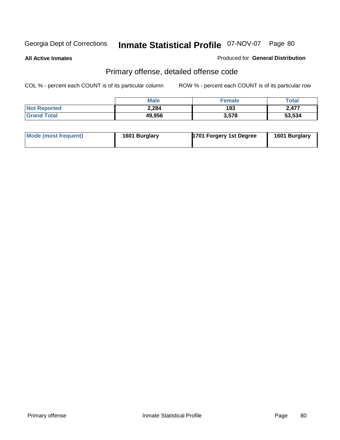**All Active Inmates**

Produced for **General Distribution**

# Primary offense, detailed offense code

|                     | <b>Male</b> | <b>Female</b> | <b>Total</b> |
|---------------------|-------------|---------------|--------------|
| <b>Not Reported</b> | 2,284       | 193           | 2,477        |
| <b>Grand Total</b>  | 49,956      | 3,578         | 53,534       |

| Mode (most frequent) | 1601 Burglary | 1701 Forgery 1st Degree | 1601 Burglary |
|----------------------|---------------|-------------------------|---------------|
|                      |               |                         |               |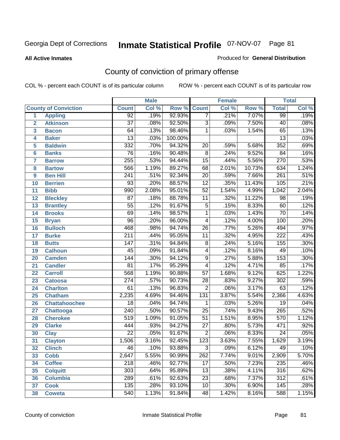#### **All Active Inmates**

#### Produced for **General Distribution**

# County of conviction of primary offense

|                         |                             |                  | <b>Male</b> |         | Female           |       |        | <b>Total</b>     |       |  |
|-------------------------|-----------------------------|------------------|-------------|---------|------------------|-------|--------|------------------|-------|--|
|                         | <b>County of Conviction</b> | <b>Count</b>     | Col %       | Row %   | <b>Count</b>     | Col % | Row %  | <b>Total</b>     | Col % |  |
| 1                       | <b>Appling</b>              | 92               | .19%        | 92.93%  | $\overline{7}$   | .21%  | 7.07%  | 99               | .19%  |  |
| $\overline{2}$          | <b>Atkinson</b>             | $\overline{37}$  | .08%        | 92.50%  | $\overline{3}$   | .09%  | 7.50%  | 40               | .08%  |  |
| $\overline{\mathbf{3}}$ | <b>Bacon</b>                | 64               | .13%        | 98.46%  | 1                | .03%  | 1.54%  | 65               | .13%  |  |
| 4                       | <b>Baker</b>                | $\overline{13}$  | .03%        | 100.00% |                  |       |        | $\overline{13}$  | .03%  |  |
| 5                       | <b>Baldwin</b>              | $\overline{332}$ | .70%        | 94.32%  | $\overline{20}$  | .59%  | 5.68%  | 352              | .69%  |  |
| 6                       | <b>Banks</b>                | 76               | .16%        | 90.48%  | $\overline{8}$   | .24%  | 9.52%  | 84               | .16%  |  |
| 7                       | <b>Barrow</b>               | 255              | .53%        | 94.44%  | $\overline{15}$  | .44%  | 5.56%  | 270              | .53%  |  |
| 8                       | <b>Bartow</b>               | 566              | 1.19%       | 89.27%  | 68               | 2.01% | 10.73% | 634              | 1.24% |  |
| 9                       | <b>Ben Hill</b>             | $\overline{241}$ | .51%        | 92.34%  | $\overline{20}$  | .59%  | 7.66%  | $\overline{261}$ | .51%  |  |
| 10                      | <b>Berrien</b>              | 93               | .20%        | 88.57%  | $\overline{12}$  | .35%  | 11.43% | 105              | .21%  |  |
| 11                      | <b>Bibb</b>                 | 990              | 2.08%       | 95.01%  | $\overline{52}$  | 1.54% | 4.99%  | 1,042            | 2.04% |  |
| 12                      | <b>Bleckley</b>             | $\overline{87}$  | .18%        | 88.78%  | 11               | .32%  | 11.22% | $\overline{98}$  | .19%  |  |
| $\overline{13}$         | <b>Brantley</b>             | $\overline{55}$  | .12%        | 91.67%  | $\overline{5}$   | .15%  | 8.33%  | 60               | .12%  |  |
| 14                      | <b>Brooks</b>               | $\overline{69}$  | .14%        | 98.57%  | $\overline{1}$   | .03%  | 1.43%  | $\overline{70}$  | .14%  |  |
| 15                      | <b>Bryan</b>                | $\overline{96}$  | .20%        | 96.00%  | 4                | .12%  | 4.00%  | 100              | .20%  |  |
| 16                      | <b>Bulloch</b>              | 468              | .98%        | 94.74%  | 26               | .77%  | 5.26%  | 494              | .97%  |  |
| 17                      | <b>Burke</b>                | $\overline{211}$ | .44%        | 95.05%  | $\overline{11}$  | .32%  | 4.95%  | $\overline{222}$ | .43%  |  |
| 18                      | <b>Butts</b>                | 147              | .31%        | 94.84%  | $\overline{8}$   | .24%  | 5.16%  | 155              | .30%  |  |
| 19                      | <b>Calhoun</b>              | $\overline{45}$  | .09%        | 91.84%  | 4                | .12%  | 8.16%  | 49               | .10%  |  |
| 20                      | <b>Camden</b>               | 144              | .30%        | 94.12%  | $\overline{9}$   | .27%  | 5.88%  | 153              | .30%  |  |
| 21                      | <b>Candler</b>              | $\overline{81}$  | .17%        | 95.29%  | $\overline{4}$   | .12%  | 4.71%  | 85               | .17%  |  |
| 22                      | <b>Carroll</b>              | 568              | 1.19%       | 90.88%  | $\overline{57}$  | 1.68% | 9.12%  | 625              | 1.22% |  |
| 23                      | <b>Catoosa</b>              | $\overline{274}$ | .57%        | 90.73%  | $\overline{28}$  | .83%  | 9.27%  | $\overline{302}$ | .59%  |  |
| 24                      | <b>Charlton</b>             | 61               | .13%        | 96.83%  | $\overline{2}$   | .06%  | 3.17%  | 63               | .12%  |  |
| 25                      | <b>Chatham</b>              | 2,235            | 4.69%       | 94.46%  | $\overline{131}$ | 3.87% | 5.54%  | 2,366            | 4.63% |  |
| 26                      | <b>Chattahoochee</b>        | 18               | .04%        | 94.74%  | 1                | .03%  | 5.26%  | $\overline{19}$  | .04%  |  |
| 27                      | <b>Chattooga</b>            | $\overline{240}$ | .50%        | 90.57%  | $\overline{25}$  | .74%  | 9.43%  | 265              | .52%  |  |
| 28                      | <b>Cherokee</b>             | $\overline{519}$ | 1.09%       | 91.05%  | $\overline{51}$  | 1.51% | 8.95%  | 570              | 1.12% |  |
| 29                      | <b>Clarke</b>               | 444              | .93%        | 94.27%  | $\overline{27}$  | .80%  | 5.73%  | 471              | .92%  |  |
| 30                      | <b>Clay</b>                 | $\overline{22}$  | .05%        | 91.67%  | $\overline{2}$   | .06%  | 8.33%  | $\overline{24}$  | .05%  |  |
| 31                      | <b>Clayton</b>              | 1,506            | 3.16%       | 92.45%  | 123              | 3.63% | 7.55%  | 1,629            | 3.19% |  |
| 32                      | <b>Clinch</b>               | 46               | .10%        | 93.88%  | 3                | .09%  | 6.12%  | 49               | .10%  |  |
| 33                      | <b>Cobb</b>                 | 2,647            | 5.55%       | 90.99%  | 262              | 7.74% | 9.01%  | 2,909            | 5.70% |  |
| 34                      | <b>Coffee</b>               | 218              | .46%        | 92.77%  | 17               | .50%  | 7.23%  | 235              | .46%  |  |
| 35                      | <b>Colquitt</b>             | $\overline{303}$ | .64%        | 95.89%  | 13               | .38%  | 4.11%  | 316              | .62%  |  |
| 36                      | <b>Columbia</b>             | 289              | .61%        | 92.63%  | 23               | .68%  | 7.37%  | 312              | .61%  |  |
| 37                      | <b>Cook</b>                 | 135              | .28%        | 93.10%  | 10               | .30%  | 6.90%  | 145              | .28%  |  |
| 38                      | <b>Coweta</b>               | 540              | 1.13%       | 91.84%  | 48               | 1.42% | 8.16%  | 588              | 1.15% |  |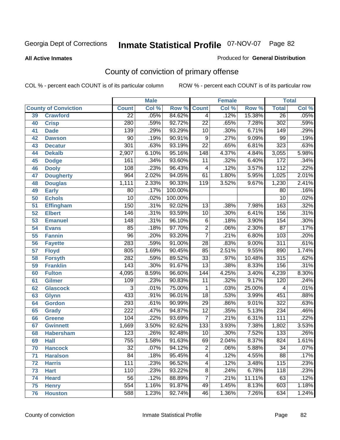#### **All Active Inmates**

#### Produced for **General Distribution**

# County of conviction of primary offense

|                 |                             |                  | <b>Male</b> |         | <b>Female</b>    |       |        | <b>Total</b>     |       |  |
|-----------------|-----------------------------|------------------|-------------|---------|------------------|-------|--------|------------------|-------|--|
|                 | <b>County of Conviction</b> | <b>Count</b>     | Col %       | Row %   | <b>Count</b>     | Col % | Row %  | <b>Total</b>     | Col % |  |
| 39              | <b>Crawford</b>             | $\overline{22}$  | .05%        | 84.62%  | $\overline{4}$   | .12%  | 15.38% | $\overline{26}$  | .05%  |  |
| 40              | <b>Crisp</b>                | 280              | .59%        | 92.72%  | $\overline{22}$  | .65%  | 7.28%  | 302              | .59%  |  |
| 41              | <b>Dade</b>                 | 139              | .29%        | 93.29%  | 10               | .30%  | 6.71%  | 149              | .29%  |  |
| 42              | <b>Dawson</b>               | $\overline{90}$  | .19%        | 90.91%  | 9                | .27%  | 9.09%  | 99               | .19%  |  |
| 43              | <b>Decatur</b>              | 301              | .63%        | 93.19%  | $\overline{22}$  | .65%  | 6.81%  | 323              | .63%  |  |
| 44              | <b>Dekalb</b>               | 2,907            | 6.10%       | 95.16%  | $\overline{148}$ | 4.37% | 4.84%  | 3,055            | 5.98% |  |
| 45              | <b>Dodge</b>                | 161              | .34%        | 93.60%  | $\overline{11}$  | .32%  | 6.40%  | $\overline{172}$ | .34%  |  |
| 46              | <b>Dooly</b>                | 108              | .23%        | 96.43%  | 4                | .12%  | 3.57%  | $\overline{112}$ | .22%  |  |
| 47              | <b>Dougherty</b>            | 964              | 2.02%       | 94.05%  | 61               | 1.80% | 5.95%  | 1,025            | 2.01% |  |
| 48              | <b>Douglas</b>              | 1,111            | 2.33%       | 90.33%  | 119              | 3.52% | 9.67%  | 1,230            | 2.41% |  |
| 49              | <b>Early</b>                | 80               | .17%        | 100.00% |                  |       |        | 80               | .16%  |  |
| 50              | <b>Echols</b>               | $\overline{10}$  | .02%        | 100.00% |                  |       |        | $\overline{10}$  | .02%  |  |
| $\overline{51}$ | <b>Effingham</b>            | 150              | .31%        | 92.02%  | 13               | .38%  | 7.98%  | 163              | .32%  |  |
| 52              | <b>Elbert</b>               | 146              | .31%        | 93.59%  | $\overline{10}$  | .30%  | 6.41%  | 156              | .31%  |  |
| 53              | <b>Emanuel</b>              | $\overline{148}$ | .31%        | 96.10%  | $\overline{6}$   | .18%  | 3.90%  | 154              | .30%  |  |
| $\overline{54}$ | <b>Evans</b>                | 85               | .18%        | 97.70%  | $\overline{2}$   | .06%  | 2.30%  | $\overline{87}$  | .17%  |  |
| 55              | <b>Fannin</b>               | $\overline{96}$  | .20%        | 93.20%  | $\overline{7}$   | .21%  | 6.80%  | 103              | .20%  |  |
| 56              | <b>Fayette</b>              | 283              | .59%        | 91.00%  | $\overline{28}$  | .83%  | 9.00%  | $\overline{311}$ | .61%  |  |
| 57              | <b>Floyd</b>                | 805              | 1.69%       | 90.45%  | 85               | 2.51% | 9.55%  | 890              | 1.74% |  |
| 58              | <b>Forsyth</b>              | 282              | .59%        | 89.52%  | $\overline{33}$  | .97%  | 10.48% | 315              | .62%  |  |
| 59              | <b>Franklin</b>             | $\overline{143}$ | .30%        | 91.67%  | $\overline{13}$  | .38%  | 8.33%  | 156              | .31%  |  |
| 60              | <b>Fulton</b>               | 4,095            | 8.59%       | 96.60%  | $\overline{144}$ | 4.25% | 3.40%  | 4,239            | 8.30% |  |
| 61              | Gilmer                      | 109              | .23%        | 90.83%  | $\overline{11}$  | .32%  | 9.17%  | 120              | .24%  |  |
| 62              | <b>Glascock</b>             | $\overline{3}$   | .01%        | 75.00%  | $\mathbf{1}$     | .03%  | 25.00% | $\overline{4}$   | .01%  |  |
| 63              | <b>Glynn</b>                | 433              | .91%        | 96.01%  | $\overline{18}$  | .53%  | 3.99%  | 451              | .88%  |  |
| 64              | <b>Gordon</b>               | 293              | .61%        | 90.99%  | $\overline{29}$  | .86%  | 9.01%  | $\overline{322}$ | .63%  |  |
| 65              | <b>Grady</b>                | 222              | .47%        | 94.87%  | $\overline{12}$  | .35%  | 5.13%  | 234              | .46%  |  |
| 66              | <b>Greene</b>               | 104              | .22%        | 93.69%  | $\overline{7}$   | .21%  | 6.31%  | $\overline{111}$ | .22%  |  |
| 67              | <b>Gwinnett</b>             | 1,669            | 3.50%       | 92.62%  | $\overline{133}$ | 3.93% | 7.38%  | 1,802            | 3.53% |  |
| 68              | <b>Habersham</b>            | $\overline{123}$ | .26%        | 92.48%  | 10               | .30%  | 7.52%  | $\overline{133}$ | .26%  |  |
| 69              | <b>Hall</b>                 | 755              | 1.58%       | 91.63%  | 69               | 2.04% | 8.37%  | 824              | 1.61% |  |
| 70              | <b>Hancock</b>              | 32               | .07%        | 94.12%  | 2                | .06%  | 5.88%  | 34               | .07%  |  |
| 71              | <b>Haralson</b>             | $\overline{84}$  | .18%        | 95.45%  | 4                | .12%  | 4.55%  | 88               | .17%  |  |
| 72              | <b>Harris</b>               | $\overline{111}$ | .23%        | 96.52%  | $\overline{4}$   | .12%  | 3.48%  | $\overline{115}$ | .23%  |  |
| 73              | <b>Hart</b>                 | 110              | .23%        | 93.22%  | $\overline{8}$   | .24%  | 6.78%  | 118              | .23%  |  |
| 74              | <b>Heard</b>                | $\overline{56}$  | .12%        | 88.89%  | $\overline{7}$   | .21%  | 11.11% | 63               | .12%  |  |
| 75              | <b>Henry</b>                | 554              | 1.16%       | 91.87%  | 49               | 1.45% | 8.13%  | 603              | 1.18% |  |
| 76              | <b>Houston</b>              | 588              | 1.23%       | 92.74%  | 46               | 1.36% | 7.26%  | 634              | 1.24% |  |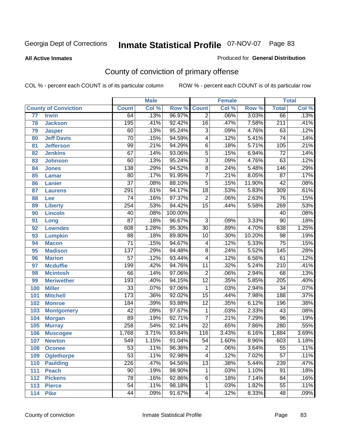#### **All Active Inmates**

#### Produced for **General Distribution**

# County of conviction of primary offense

|                 |                             |                 | <b>Male</b> |         | <b>Female</b>   |       |        | <b>Total</b>     |       |
|-----------------|-----------------------------|-----------------|-------------|---------|-----------------|-------|--------|------------------|-------|
|                 | <b>County of Conviction</b> | <b>Count</b>    | Col %       | Row %   | <b>Count</b>    | Col % | Row %  | <b>Total</b>     | Col % |
| $\overline{77}$ | <b>Irwin</b>                | 64              | .13%        | 96.97%  | $\overline{2}$  | .06%  | 3.03%  | 66               | .13%  |
| 78              | <b>Jackson</b>              | 195             | .41%        | 92.42%  | 16              | .47%  | 7.58%  | $\overline{211}$ | .41%  |
| 79              | <b>Jasper</b>               | 60              | .13%        | 95.24%  | $\overline{3}$  | .09%  | 4.76%  | 63               | .12%  |
| 80              | <b>Jeff Davis</b>           | $\overline{70}$ | .15%        | 94.59%  | 4               | .12%  | 5.41%  | 74               | .14%  |
| 81              | <b>Jefferson</b>            | 99              | .21%        | 94.29%  | $\overline{6}$  | .18%  | 5.71%  | 105              | .21%  |
| 82              | <b>Jenkins</b>              | 67              | .14%        | 93.06%  | $\overline{5}$  | .15%  | 6.94%  | $\overline{72}$  | .14%  |
| 83              | <b>Johnson</b>              | 60              | .13%        | 95.24%  | $\overline{3}$  | .09%  | 4.76%  | 63               | .12%  |
| 84              | <b>Jones</b>                | 138             | .29%        | 94.52%  | $\overline{8}$  | .24%  | 5.48%  | $\overline{146}$ | .29%  |
| 85              | <b>Lamar</b>                | $\overline{80}$ | .17%        | 91.95%  | $\overline{7}$  | .21%  | 8.05%  | $\overline{87}$  | .17%  |
| 86              | <b>Lanier</b>               | $\overline{37}$ | .08%        | 88.10%  | 5               | .15%  | 11.90% | $\overline{42}$  | .08%  |
| 87              | <b>Laurens</b>              | 291             | .61%        | 94.17%  | $\overline{18}$ | .53%  | 5.83%  | 309              | .61%  |
| 88              | Lee                         | 74              | .16%        | 97.37%  | $\overline{2}$  | .06%  | 2.63%  | $\overline{76}$  | .15%  |
| 89              | <b>Liberty</b>              | 254             | .53%        | 94.42%  | $\overline{15}$ | .44%  | 5.58%  | 269              | .53%  |
| 90              | <b>Lincoln</b>              | 40              | .08%        | 100.00% |                 |       |        | 40               | .08%  |
| 91              | Long                        | $\overline{87}$ | .18%        | 96.67%  | $\overline{3}$  | .09%  | 3.33%  | $\overline{90}$  | .18%  |
| 92              | <b>Lowndes</b>              | 608             | 1.28%       | 95.30%  | $\overline{30}$ | .89%  | 4.70%  | 638              | 1.25% |
| 93              | <b>Lumpkin</b>              | $\overline{88}$ | .18%        | 89.80%  | 10              | .30%  | 10.20% | $\overline{98}$  | .19%  |
| 94              | <b>Macon</b>                | $\overline{71}$ | .15%        | 94.67%  | 4               | .12%  | 5.33%  | $\overline{75}$  | .15%  |
| 95              | <b>Madison</b>              | 137             | .29%        | 94.48%  | $\overline{8}$  | .24%  | 5.52%  | $\overline{145}$ | .28%  |
| 96              | <b>Marion</b>               | $\overline{57}$ | .12%        | 93.44%  | 4               | .12%  | 6.56%  | 61               | .12%  |
| 97              | <b>Mcduffie</b>             | 199             | .42%        | 94.76%  | $\overline{11}$ | .32%  | 5.24%  | $\overline{210}$ | .41%  |
| 98              | <b>Mcintosh</b>             | 66              | .14%        | 97.06%  | $\overline{2}$  | .06%  | 2.94%  | 68               | .13%  |
| 99              | <b>Meriwether</b>           | 193             | .40%        | 94.15%  | $\overline{12}$ | .35%  | 5.85%  | $\overline{205}$ | .40%  |
| 100             | <b>Miller</b>               | $\overline{33}$ | .07%        | 97.06%  | 1               | .03%  | 2.94%  | $\overline{34}$  | .07%  |
| 101             | <b>Mitchell</b>             | 173             | .36%        | 92.02%  | $\overline{15}$ | .44%  | 7.98%  | 188              | .37%  |
| 102             | <b>Monroe</b>               | 184             | .39%        | 93.88%  | $\overline{12}$ | .35%  | 6.12%  | 196              | .38%  |
| 103             | <b>Montgomery</b>           | 42              | .09%        | 97.67%  | $\mathbf 1$     | .03%  | 2.33%  | 43               | .08%  |
| 104             | <b>Morgan</b>               | 89              | .19%        | 92.71%  | 7               | .21%  | 7.29%  | 96               | .19%  |
| 105             | <b>Murray</b>               | 258             | .54%        | 92.14%  | $\overline{22}$ | .65%  | 7.86%  | 280              | .55%  |
| 106             | <b>Muscogee</b>             | 1,768           | 3.71%       | 93.84%  | 116             | 3.43% | 6.16%  | 1,884            | 3.69% |
| 107             | <b>Newton</b>               | 549             | 1.15%       | 91.04%  | 54              | 1.60% | 8.96%  | 603              | 1.18% |
| 108             | <b>Oconee</b>               | 53              | .11%        | 96.36%  | 2               | .06%  | 3.64%  | 55               | .11%  |
| 109             | <b>Oglethorpe</b>           | $\overline{53}$ | .11%        | 92.98%  | $\overline{4}$  | .12%  | 7.02%  | $\overline{57}$  | .11%  |
| 110             | <b>Paulding</b>             | 226             | .47%        | 94.56%  | $\overline{13}$ | .38%  | 5.44%  | 239              | .47%  |
| 111             | <b>Peach</b>                | 90              | .19%        | 98.90%  | 1               | .03%  | 1.10%  | 91               | .18%  |
| 112             | <b>Pickens</b>              | $\overline{78}$ | .16%        | 92.86%  | 6               | .18%  | 7.14%  | 84               | .16%  |
| 113             | <b>Pierce</b>               | $\overline{54}$ | .11%        | 98.18%  | 1               | .03%  | 1.82%  | $\overline{55}$  | .11%  |
| 114             | <b>Pike</b>                 | 44              | .09%        | 91.67%  | 4               | .12%  | 8.33%  | 48               | .09%  |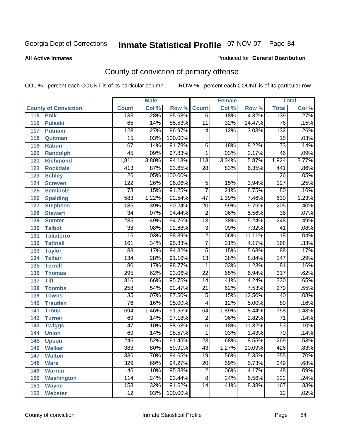#### **All Active Inmates**

#### Produced for **General Distribution**

# County of conviction of primary offense

|                             |                  | <b>Male</b> |         |                 | <b>Female</b> |        |                  | <b>Total</b>               |
|-----------------------------|------------------|-------------|---------|-----------------|---------------|--------|------------------|----------------------------|
| <b>County of Conviction</b> | <b>Count</b>     | Col %       | Row %   | <b>Count</b>    | Col %         | Row %  | <b>Total</b>     | $\overline{\text{Col }\%}$ |
| 115<br><b>Polk</b>          | 133              | .28%        | 95.68%  | $\overline{6}$  | .18%          | 4.32%  | 139              | .27%                       |
| <b>Pulaski</b><br>116       | 65               | .14%        | 85.53%  | $\overline{11}$ | .32%          | 14.47% | $\overline{76}$  | .15%                       |
| 117<br><b>Putnam</b>        | $\overline{128}$ | .27%        | 96.97%  | 4               | .12%          | 3.03%  | $\overline{132}$ | .26%                       |
| 118<br>Quitman              | $\overline{15}$  | .03%        | 100.00% |                 |               |        | $\overline{15}$  | .03%                       |
| 119<br><b>Rabun</b>         | 67               | .14%        | 91.78%  | 6               | .18%          | 8.22%  | $\overline{73}$  | .14%                       |
| 120<br><b>Randolph</b>      | $\overline{45}$  | .09%        | 97.83%  | $\mathbf{1}$    | .03%          | 2.17%  | $\overline{46}$  | .09%                       |
| 121<br><b>Richmond</b>      | 1,811            | 3.80%       | 94.13%  | 113             | 3.34%         | 5.87%  | 1,924            | 3.77%                      |
| 122<br><b>Rockdale</b>      | $\overline{413}$ | .87%        | 93.65%  | 28              | .83%          | 6.35%  | 441              | .86%                       |
| 123<br><b>Schley</b>        | $\overline{26}$  | .05%        | 100.00% |                 |               |        | $\overline{26}$  | .05%                       |
| 124<br><b>Screven</b>       | $\overline{122}$ | .26%        | 96.06%  | $\overline{5}$  | .15%          | 3.94%  | $\overline{127}$ | .25%                       |
| 125<br><b>Seminole</b>      | $\overline{73}$  | .15%        | 91.25%  | $\overline{7}$  | .21%          | 8.75%  | 80               | .16%                       |
| <b>Spalding</b><br>126      | 583              | 1.22%       | 92.54%  | $\overline{47}$ | 1.39%         | 7.46%  | 630              | 1.23%                      |
| 127<br><b>Stephens</b>      | 185              | .39%        | 90.24%  | $\overline{20}$ | .59%          | 9.76%  | $\overline{205}$ | .40%                       |
| 128<br><b>Stewart</b>       | $\overline{34}$  | .07%        | 94.44%  | $\overline{2}$  | .06%          | 5.56%  | $\overline{36}$  | .07%                       |
| 129<br><b>Sumter</b>        | 235              | .49%        | 94.76%  | $\overline{13}$ | .38%          | 5.24%  | $\overline{248}$ | .49%                       |
| 130<br><b>Talbot</b>        | $\overline{38}$  | .08%        | 92.68%  | $\overline{3}$  | .09%          | 7.32%  | $\overline{41}$  | .08%                       |
| 131<br><b>Taliaferro</b>    | $\overline{16}$  | .03%        | 88.89%  | $\overline{2}$  | .06%          | 11.11% | $\overline{18}$  | .04%                       |
| 132<br><b>Tattnall</b>      | 161              | .34%        | 95.83%  | $\overline{7}$  | .21%          | 4.17%  | 168              | .33%                       |
| 133<br><b>Taylor</b>        | 83               | .17%        | 94.32%  | $\overline{5}$  | .15%          | 5.68%  | $\overline{88}$  | .17%                       |
| <b>Telfair</b><br>134       | 134              | .28%        | 91.16%  | $\overline{13}$ | .38%          | 8.84%  | $\overline{147}$ | .29%                       |
| 135<br><b>Terrell</b>       | $\overline{80}$  | .17%        | 98.77%  | $\mathbf{1}$    | .03%          | 1.23%  | $\overline{81}$  | .16%                       |
| 136<br><b>Thomas</b>        | 295              | .62%        | 93.06%  | $\overline{22}$ | .65%          | 6.94%  | $\overline{317}$ | .62%                       |
| 137<br><b>Tift</b>          | 316              | .66%        | 95.76%  | $\overline{14}$ | .41%          | 4.24%  | 330              | .65%                       |
| <b>Toombs</b><br>138        | 258              | .54%        | 92.47%  | $\overline{21}$ | .62%          | 7.53%  | 279              | .55%                       |
| 139<br><b>Towns</b>         | $\overline{35}$  | .07%        | 87.50%  | $\overline{5}$  | .15%          | 12.50% | 40               | .08%                       |
| 140<br><b>Treutlen</b>      | $\overline{76}$  | .16%        | 95.00%  | 4               | .12%          | 5.00%  | $\overline{80}$  | .16%                       |
| 141<br><b>Troup</b>         | 694              | 1.46%       | 91.56%  | 64              | 1.89%         | 8.44%  | 758              | 1.48%                      |
| 142<br><b>Turner</b>        | 69               | .14%        | 97.18%  | $\overline{2}$  | .06%          | 2.82%  | $\overline{71}$  | .14%                       |
| 143<br><b>Twiggs</b>        | $\overline{47}$  | .10%        | 88.68%  | $\overline{6}$  | .18%          | 11.32% | $\overline{53}$  | .10%                       |
| 144<br><b>Union</b>         | 69               | .14%        | 98.57%  | $\mathbf{1}$    | .03%          | 1.43%  | $\overline{70}$  | .14%                       |
| 145<br><b>Upson</b>         | $\overline{246}$ | .52%        | 91.45%  | $\overline{23}$ | .68%          | 8.55%  | 269              | .53%                       |
| 146<br><b>Walker</b>        | 383              | .80%        | 89.91%  | 43              | 1.27%         | 10.09% | 426              | .83%                       |
| <b>Walton</b><br>147        | 336              | .70%        | 94.65%  | $\overline{19}$ | .56%          | 5.35%  | 355              | .70%                       |
| <b>Ware</b><br>148          | 329              | .69%        | 94.27%  | $\overline{20}$ | .59%          | 5.73%  | 349              | .68%                       |
| <b>Warren</b><br>149        | 46               | .10%        | 95.83%  | $\overline{2}$  | .06%          | 4.17%  | 48               | .09%                       |
| <b>Washington</b><br>150    | 114              | .24%        | 93.44%  | $\overline{8}$  | .24%          | 6.56%  | 122              | .24%                       |
| 151<br><b>Wayne</b>         | 153              | .32%        | 91.62%  | 14              | .41%          | 8.38%  | 167              | .33%                       |
| 152<br><b>Webster</b>       | $\overline{12}$  | .03%        | 100.00% |                 |               |        | $\overline{12}$  | .02%                       |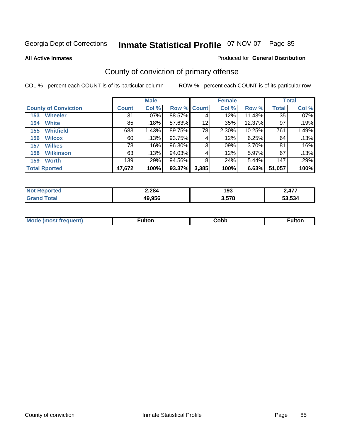**All Active Inmates**

#### Produced for **General Distribution**

# County of conviction of primary offense

|                             |              | <b>Male</b> |             |       | <b>Female</b> |           |              | <b>Total</b> |
|-----------------------------|--------------|-------------|-------------|-------|---------------|-----------|--------------|--------------|
| <b>County of Conviction</b> | <b>Count</b> | Col %       | Row % Count |       | Col %         | Row %     | <b>Total</b> | Col %        |
| <b>Wheeler</b><br>153       | 31           | $.07\%$     | 88.57%      | 4     | $.12\%$       | $11.43\%$ | 35           | $.07\%$      |
| <b>White</b><br>154         | 85           | .18%        | 87.63%      | 12    | .35%          | 12.37%    | 97           | .19%         |
| <b>Whitfield</b><br>155     | 683          | 1.43%       | 89.75%      | 78    | 2.30%         | 10.25%    | 761          | 1.49%        |
| 156<br><b>Wilcox</b>        | 60           | .13%        | 93.75%      | 4     | .12%          | 6.25%     | 64           | .13%         |
| <b>Wilkes</b><br>157        | 78           | .16%        | 96.30%      | 3     | .09%          | 3.70%     | 81           | .16%         |
| <b>Wilkinson</b><br>158     | 63           | .13%        | 94.03%      | 4     | .12%          | 5.97%     | 67           | .13%         |
| <b>Worth</b><br>159         | 139          | .29%        | 94.56%      | 8     | .24%          | 5.44%     | 147          | .29%         |
| <b>Total Rported</b>        | 47,672       | 100%        | 93.37%      | 3,385 | 100%          | 6.63%     | 51,057       | 100%         |

| тео<br>'N ( | 2,284  | 193   | 477                      |
|-------------|--------|-------|--------------------------|
|             | 49,956 | 3,578 | .<br>.<br>.<br>.<br>.534 |

| <b>Mo</b><br>uent) | ™ulton<br>_____ | obb∶ |  |
|--------------------|-----------------|------|--|
|                    |                 |      |  |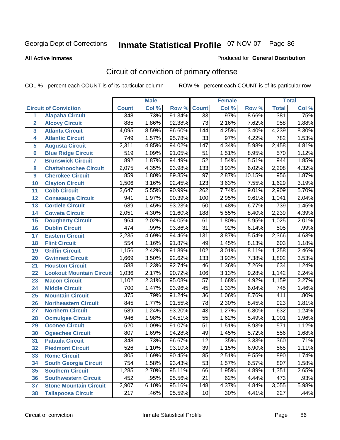**All Active Inmates**

#### Produced for **General Distribution**

# Circuit of conviction of primary offense

|                         |                                 |                  | <b>Male</b> |        |                  | <b>Female</b> |          |                  | <b>Total</b> |
|-------------------------|---------------------------------|------------------|-------------|--------|------------------|---------------|----------|------------------|--------------|
|                         | <b>Circuit of Conviction</b>    | <b>Count</b>     | Col %       | Row %  | <b>Count</b>     | Col %         | Row %    | <b>Total</b>     | Col %        |
| 1                       | <b>Alapaha Circuit</b>          | 348              | .73%        | 91.34% | 33               | .97%          | 8.66%    | 381              | .75%         |
| $\overline{2}$          | <b>Alcovy Circuit</b>           | 885              | 1.86%       | 92.38% | $\overline{73}$  | 2.16%         | 7.62%    | 958              | 1.88%        |
| $\overline{\mathbf{3}}$ | <b>Atlanta Circuit</b>          | 4,095            | 8.59%       | 96.60% | $\overline{144}$ | 4.25%         | 3.40%    | 4,239            | 8.30%        |
| 4                       | <b>Atlantic Circuit</b>         | 749              | 1.57%       | 95.78% | $\overline{33}$  | .97%          | 4.22%    | 782              | 1.53%        |
| 5                       | <b>Augusta Circuit</b>          | 2,311            | 4.85%       | 94.02% | $\overline{147}$ | 4.34%         | 5.98%    | 2,458            | 4.81%        |
| $6\phantom{a}$          | <b>Blue Ridge Circuit</b>       | $\overline{519}$ | 1.09%       | 91.05% | $\overline{51}$  | 1.51%         | 8.95%    | 570              | 1.12%        |
| $\overline{7}$          | <b>Brunswick Circuit</b>        | 892              | 1.87%       | 94.49% | $\overline{52}$  | 1.54%         | 5.51%    | 944              | 1.85%        |
| 8                       | <b>Chattahoochee Circuit</b>    | 2,075            | 4.35%       | 93.98% | $\overline{133}$ | 3.93%         | 6.02%    | 2,208            | 4.32%        |
| 9                       | <b>Cherokee Circuit</b>         | 859              | 1.80%       | 89.85% | $\overline{97}$  | 2.87%         | 10.15%   | 956              | 1.87%        |
| 10                      | <b>Clayton Circuit</b>          | 1,506            | 3.16%       | 92.45% | $\overline{123}$ | 3.63%         | 7.55%    | 1,629            | 3.19%        |
| 11                      | <b>Cobb Circuit</b>             | 2,647            | 5.55%       | 90.99% | 262              | 7.74%         | 9.01%    | 2,909            | 5.70%        |
| 12                      | <b>Conasauga Circuit</b>        | 941              | 1.97%       | 90.39% | 100              | 2.95%         | 9.61%    | 1,041            | 2.04%        |
| 13                      | <b>Cordele Circuit</b>          | 689              | 1.45%       | 93.23% | $\overline{50}$  | 1.48%         | 6.77%    | 739              | 1.45%        |
| 14                      | <b>Coweta Circuit</b>           | 2,051            | 4.30%       | 91.60% | 188              | 5.55%         | 8.40%    | 2,239            | 4.39%        |
| 15                      | <b>Dougherty Circuit</b>        | 964              | 2.02%       | 94.05% | 61               | 1.80%         | 5.95%    | 1,025            | 2.01%        |
| 16                      | <b>Dublin Circuit</b>           | 474              | .99%        | 93.86% | $\overline{31}$  | .92%          | 6.14%    | 505              | .99%         |
| 17                      | <b>Eastern Circuit</b>          | 2,235            | 4.69%       | 94.46% | $\overline{131}$ | 3.87%         | 5.54%    | 2,366            | 4.63%        |
| 18                      | <b>Flint Circuit</b>            | 554              | 1.16%       | 91.87% | 49               | 1.45%         | 8.13%    | 603              | 1.18%        |
| 19                      | <b>Griffin Circuit</b>          | 1,156            | 2.42%       | 91.89% | 102              | 3.01%         | 8.11%    | 1,258            | 2.46%        |
| 20                      | <b>Gwinnett Circuit</b>         | 1,669            | 3.50%       | 92.62% | $\overline{133}$ | 3.93%         | 7.38%    | 1,802            | 3.53%        |
| 21                      | <b>Houston Circuit</b>          | 588              | 1.23%       | 92.74% | $\overline{46}$  | 1.36%         | 7.26%    | 634              | 1.24%        |
| $\overline{22}$         | <b>Lookout Mountain Circuit</b> | 1,036            | 2.17%       | 90.72% | 106              | 3.13%         | 9.28%    | 1,142            | 2.24%        |
| 23                      | <b>Macon Circuit</b>            | 1,102            | 2.31%       | 95.08% | $\overline{57}$  | 1.68%         | 4.92%    | 1,159            | 2.27%        |
| 24                      | <b>Middle Circuit</b>           | 700              | 1.47%       | 93.96% | 45               | 1.33%         | 6.04%    | $\overline{745}$ | 1.46%        |
| 25                      | <b>Mountain Circuit</b>         | $\overline{375}$ | .79%        | 91.24% | $\overline{36}$  | 1.06%         | 8.76%    | 411              | .80%         |
| 26                      | <b>Northeastern Circuit</b>     | 845              | 1.77%       | 91.55% | 78               | 2.30%         | 8.45%    | $\overline{923}$ | 1.81%        |
| 27                      | <b>Northern Circuit</b>         | 589              | 1.24%       | 93.20% | 43               | 1.27%         | 6.80%    | 632              | 1.24%        |
| 28                      | <b>Ocmulgee Circuit</b>         | 946              | 1.98%       | 94.51% | $\overline{55}$  | 1.62%         | 5.49%    | 1,001            | 1.96%        |
| 29                      | <b>Oconee Circuit</b>           | 520              | 1.09%       | 91.07% | $\overline{51}$  | 1.51%         | 8.93%    | 571              | 1.12%        |
| 30                      | <b>Ogeechee Circuit</b>         | 807              | 1.69%       | 94.28% | 49               | 1.45%         | 5.72%    | 856              | 1.68%        |
| $\overline{31}$         | <b>Pataula Circuit</b>          | 348              | .73%        | 96.67% | $\overline{12}$  | .35%          | 3.33%    | 360              | .71%         |
| 32                      | <b>Piedmont Circuit</b>         | 526              | 1.10%       | 93.10% | 39               | 1.15%         | $6.90\%$ | 565              | 1.11%        |
| 33                      | <b>Rome Circuit</b>             | 805              | 1.69%       | 90.45% | 85               | 2.51%         | 9.55%    | 890              | 1.74%        |
| 34                      | <b>South Georgia Circuit</b>    | $\overline{754}$ | 1.58%       | 93.43% | $\overline{53}$  | 1.57%         | 6.57%    | 807              | 1.58%        |
| 35                      | <b>Southern Circuit</b>         | 1,285            | 2.70%       | 95.11% | 66               | 1.95%         | 4.89%    | 1,351            | 2.65%        |
| 36                      | <b>Southwestern Circuit</b>     | 452              | .95%        | 95.56% | 21               | .62%          | 4.44%    | 473              | .93%         |
| 37                      | <b>Stone Mountain Circuit</b>   | 2,907            | 6.10%       | 95.16% | 148              | 4.37%         | 4.84%    | 3,055            | 5.98%        |
| 38                      | <b>Tallapoosa Circuit</b>       | $\overline{217}$ | .46%        | 95.59% | 10               | .30%          | 4.41%    | $\overline{227}$ | .44%         |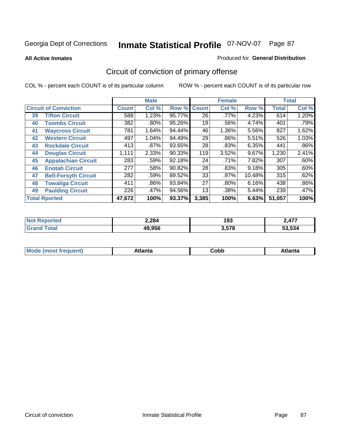**All Active Inmates**

#### Produced for **General Distribution**

# Circuit of conviction of primary offense

|    |                              |              | <b>Male</b> |        |              | <b>Female</b> |          |              | <b>Total</b> |
|----|------------------------------|--------------|-------------|--------|--------------|---------------|----------|--------------|--------------|
|    | <b>Circuit of Conviction</b> | <b>Count</b> | Col %       | Row %  | <b>Count</b> | Col %         | Row %    | <b>Total</b> | Col %        |
| 39 | <b>Tifton Circuit</b>        | 588          | 1.23%       | 95.77% | 26           | $.77\%$       | 4.23%    | 614          | 1.20%        |
| 40 | <b>Toombs Circuit</b>        | 382          | .80%        | 95.26% | 19           | .56%          | 4.74%    | 401          | .79%         |
| 41 | <b>Waycross Circuit</b>      | 781          | 1.64%       | 94.44% | 46           | 1.36%         | 5.56%    | 827          | 1.62%        |
| 42 | <b>Western Circuit</b>       | 497          | 1.04%       | 94.49% | 29           | .86%          | 5.51%    | 526          | 1.03%        |
| 43 | <b>Rockdale Circuit</b>      | 413          | .87%        | 93.65% | 28           | .83%          | 6.35%    | 441          | $.86\%$      |
| 44 | <b>Douglas Circuit</b>       | 1,111        | 2.33%       | 90.33% | 119          | 3.52%         | $9.67\%$ | 1,230        | 2.41%        |
| 45 | <b>Appalachian Circuit</b>   | 283          | .59%        | 92.18% | 24           | .71%          | 7.82%    | 307          | .60%         |
| 46 | <b>Enotah Circuit</b>        | 277          | .58%        | 90.82% | 28           | .83%          | 9.18%    | 305          | .60%         |
| 47 | <b>Bell-Forsyth Circuit</b>  | 282          | .59%        | 89.52% | 33           | .97%          | 10.48%   | 315          | .62%         |
| 48 | <b>Towaliga Circuit</b>      | 411          | $.86\%$     | 93.84% | 27           | $.80\%$       | 6.16%    | 438          | $.86\%$      |
| 49 | <b>Paulding Circuit</b>      | 226          | .47%        | 94.56% | 13           | .38%          | 5.44%    | 239          | .47%         |
|    | <b>Total Rported</b>         | 47,672       | 100%        | 93.37% | 3,385        | 100%          | 6.63%    | 51,057       | 100%         |

| TV.<br>тес | 2,284  | 193   | <b>A77</b>   |
|------------|--------|-------|--------------|
|            | 49,956 | 3,578 | r. i<br>.534 |

| M, | $+1 - - + -$<br>annu -<br>uu | ∶obb<br>- - - - - | .<br>чна<br>- --------- |
|----|------------------------------|-------------------|-------------------------|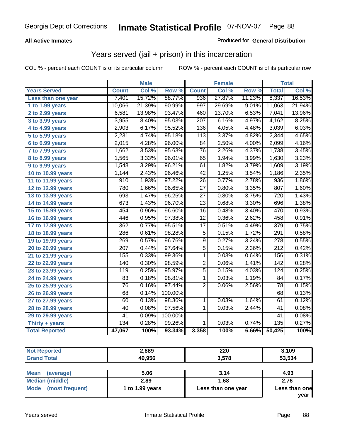### **All Active Inmates**

### Produced for **General Distribution**

## Years served (jail + prison) in this incarceration

|                              |                  | <b>Male</b> |         |                  | <b>Female</b> |        |                  | <b>Total</b> |
|------------------------------|------------------|-------------|---------|------------------|---------------|--------|------------------|--------------|
| <b>Years Served</b>          | <b>Count</b>     | Col %       | Row %   | <b>Count</b>     | Col %         | Row %  | <b>Total</b>     | Col%         |
| Less than one year           | 7,401            | 15.72%      | 88.77%  | 936              | 27.87%        | 11.23% | 8,337            | 16.53%       |
| 1 to 1.99 years              | 10,066           | 21.39%      | 90.99%  | 997              | 29.69%        | 9.01%  | 11,063           | 21.94%       |
| 2 to 2.99 years              | 6,581            | 13.98%      | 93.47%  | 460              | 13.70%        | 6.53%  | 7,041            | 13.96%       |
| 3 to 3.99 years              | 3,955            | 8.40%       | 95.03%  | $\overline{207}$ | 6.16%         | 4.97%  | 4,162            | 8.25%        |
| 4 to 4.99 years              | 2,903            | 6.17%       | 95.52%  | 136              | 4.05%         | 4.48%  | 3,039            | 6.03%        |
| 5 to 5.99 years              | 2,231            | 4.74%       | 95.18%  | 113              | 3.37%         | 4.82%  | 2,344            | 4.65%        |
| 6 to 6.99 years              | 2,015            | 4.28%       | 96.00%  | $\overline{84}$  | 2.50%         | 4.00%  | 2,099            | 4.16%        |
| $\overline{7}$ to 7.99 years | 1,662            | 3.53%       | 95.63%  | $\overline{76}$  | 2.26%         | 4.37%  | 1,738            | 3.45%        |
| 8 to 8.99 years              | 1,565            | 3.33%       | 96.01%  | 65               | 1.94%         | 3.99%  | 1,630            | 3.23%        |
| 9 to 9.99 years              | 1,548            | 3.29%       | 96.21%  | 61               | 1.82%         | 3.79%  | 1,609            | 3.19%        |
| 10 to 10.99 years            | 1,144            | 2.43%       | 96.46%  | 42               | 1.25%         | 3.54%  | 1,186            | 2.35%        |
| 11 to 11.99 years            | 910              | 1.93%       | 97.22%  | $\overline{26}$  | 0.77%         | 2.78%  | 936              | 1.86%        |
| 12 to 12.99 years            | 780              | 1.66%       | 96.65%  | $\overline{27}$  | 0.80%         | 3.35%  | 807              | 1.60%        |
| 13 to 13.99 years            | 693              | 1.47%       | 96.25%  | $\overline{27}$  | 0.80%         | 3.75%  | $\overline{720}$ | 1.43%        |
| 14 to 14.99 years            | 673              | 1.43%       | 96.70%  | $\overline{23}$  | 0.68%         | 3.30%  | 696              | 1.38%        |
| 15 to 15.99 years            | 454              | 0.96%       | 96.60%  | $\overline{16}$  | 0.48%         | 3.40%  | 470              | 0.93%        |
| 16 to 16.99 years            | 446              | 0.95%       | 97.38%  | $\overline{12}$  | 0.36%         | 2.62%  | 458              | 0.91%        |
| 17 to 17.99 years            | 362              | 0.77%       | 95.51%  | $\overline{17}$  | 0.51%         | 4.49%  | $\overline{379}$ | 0.75%        |
| 18 to 18.99 years            | 286              | 0.61%       | 98.28%  | $\overline{5}$   | 0.15%         | 1.72%  | 291              | 0.58%        |
| 19 to 19.99 years            | 269              | 0.57%       | 96.76%  | $\overline{9}$   | 0.27%         | 3.24%  | $\overline{278}$ | 0.55%        |
| 20 to 20.99 years            | $\overline{207}$ | 0.44%       | 97.64%  | $\overline{5}$   | 0.15%         | 2.36%  | $\overline{212}$ | 0.42%        |
| 21 to 21.99 years            | 155              | 0.33%       | 99.36%  | 1                | 0.03%         | 0.64%  | 156              | 0.31%        |
| 22 to 22.99 years            | 140              | 0.30%       | 98.59%  | $\overline{2}$   | 0.06%         | 1.41%  | 142              | 0.28%        |
| 23 to 23.99 years            | 119              | 0.25%       | 95.97%  | $\overline{5}$   | 0.15%         | 4.03%  | 124              | 0.25%        |
| 24 to 24.99 years            | 83               | 0.18%       | 98.81%  | 1                | 0.03%         | 1.19%  | 84               | 0.17%        |
| 25 to 25.99 years            | $\overline{76}$  | 0.16%       | 97.44%  | $\overline{2}$   | 0.06%         | 2.56%  | 78               | 0.15%        |
| 26 to 26.99 years            | $\overline{68}$  | 0.14%       | 100.00% |                  |               |        | 68               | 0.13%        |
| 27 to 27.99 years            | 60               | 0.13%       | 98.36%  | $\mathbf 1$      | 0.03%         | 1.64%  | 61               | 0.12%        |
| 28 to 28.99 years            | $\overline{40}$  | 0.08%       | 97.56%  | 1                | 0.03%         | 2.44%  | $\overline{41}$  | 0.08%        |
| 29 to 29.99 years            | 41               | 0.09%       | 100.00% |                  |               |        | 41               | 0.08%        |
| Thirty + years               | 134              | 0.28%       | 99.26%  | $\overline{1}$   | 0.03%         | 0.74%  | 135              | 0.27%        |
| <b>Total Reported</b>        | 47,067           | 100%        | 93.34%  | 3,358            | 100%          | 6.66%  | 50,425           | 100%         |

| <b>Not Reported</b>      | 2,889           | 220                | 3,109         |
|--------------------------|-----------------|--------------------|---------------|
| <b>Grand Total</b>       | 49,956          | 3,578              | 53,534        |
|                          |                 |                    |               |
| <b>Mean</b><br>(average) | 5.06            | 3.14               | 4.93          |
| <b>Median (middle)</b>   | 2.89            | 1.68               | 2.76          |
| Mode (most frequent)     | 1 to 1.99 years | Less than one year | Less than one |
|                          |                 |                    | year          |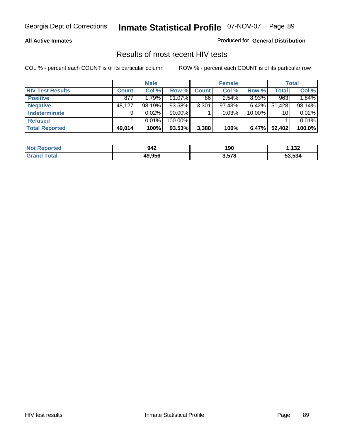#### **All Active Inmates**

Produced for **General Distribution**

### Results of most recent HIV tests

|                         |              | <b>Male</b> |           |              | <b>Female</b> |          |              | <b>Total</b> |
|-------------------------|--------------|-------------|-----------|--------------|---------------|----------|--------------|--------------|
| <b>HIV Test Results</b> | <b>Count</b> | Col %       | Row %     | <b>Count</b> | Col %         | Row %    | <b>Total</b> | Col %        |
| <b>Positive</b>         | 877          | 1.79%       | $91.07\%$ | 86           | 2.54%         | $8.93\%$ | 963          | 1.84%        |
| <b>Negative</b>         | 48,127       | 98.19%      | 93.58%    | 3,301        | 97.43%        | $6.42\%$ | 51,428       | 98.14%       |
| <b>Indeterminate</b>    | 9            | $0.02\%$    | 90.00%    |              | 0.03%         | 10.00%   | 10           | 0.02%        |
| <b>Refused</b>          |              | 0.01%       | 100.00%   |              |               |          |              | 0.01%        |
| <b>Total Reported</b>   | 49,014       | 100%        | 93.53%    | 3,388        | 100%          | 6.47%    | 52,402       | 100.0%       |

| <b>Not</b><br>Reported | 942    | 190   | ,132   |
|------------------------|--------|-------|--------|
| Гоtal<br><b>Grand</b>  | 49.956 | 3,578 | 53.534 |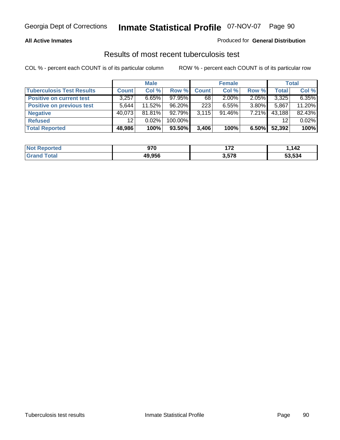#### **All Active Inmates**

#### Produced for **General Distribution**

### Results of most recent tuberculosis test

|                                  |                 | <b>Male</b> |           |              | <b>Female</b> |          |              | Total  |
|----------------------------------|-----------------|-------------|-----------|--------------|---------------|----------|--------------|--------|
| <b>Tuberculosis Test Results</b> | <b>Count</b>    | Col %       | Row %     | <b>Count</b> | Col %         | Row %    | <b>Total</b> | Col %  |
| <b>Positive on current test</b>  | 3,257           | $6.65\%$    | $97.95\%$ | 68           | $2.00\%$      | $2.05\%$ | 3,325        | 6.35%  |
| <b>Positive on previous test</b> | 5.644           | $11.52\%$   | 96.20%    | 223          | $6.55\%$      | $3.80\%$ | 5,867        | 11.20% |
| <b>Negative</b>                  | 40.073          | 81.81%      | $92.79\%$ | 3.115        | $91.46\%$     | $7.21\%$ | 43,188       | 82.43% |
| <b>Refused</b>                   | 12 <sup>°</sup> | 0.02%       | 100.00%   |              |               |          | 12           | 0.02%  |
| <b>Total Reported</b>            | 48,986          | 100%        | 93.50%    | 3,406        | 100%          | 6.50%    | 52,392       | 100%   |

| <b>Not Reported</b>   | 970    | ィラヘ<br>. <i>. .</i> | ,142   |
|-----------------------|--------|---------------------|--------|
| Гоtal<br><b>Grand</b> | 49.956 | 3,578               | 53,534 |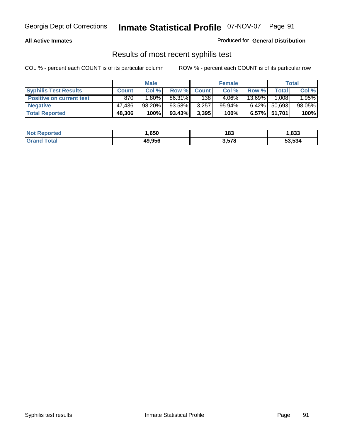#### **All Active Inmates**

Produced for **General Distribution**

### Results of most recent syphilis test

|                                 |              | <b>Male</b> |        |              | <b>Female</b> |          |              | Total  |
|---------------------------------|--------------|-------------|--------|--------------|---------------|----------|--------------|--------|
| <b>Syphilis Test Results</b>    | <b>Count</b> | Col %       | Row %  | <b>Count</b> | Col %         | Row %    | Total        | Col %  |
| <b>Positive on current test</b> | 870          | $1.80\%$    | 86.31% | 138          | $4.06\%$      | 13.69%   | 1,008        | 1.95%  |
| <b>Negative</b>                 | 47.436       | 98.20%      | 93.58% | 3,257        | $95.94\%$     | $6.42\%$ | 50,693       | 98.05% |
| <b>Total Reported</b>           | 48,306       | 100%        | 93.43% | 3,395        | 100%          |          | 6.57% 51,701 | 100%   |

| <b>Not Reported</b> | .650   | 183   | 1,833  |
|---------------------|--------|-------|--------|
| <b>Grand Total</b>  | 49,956 | 3,578 | 53,534 |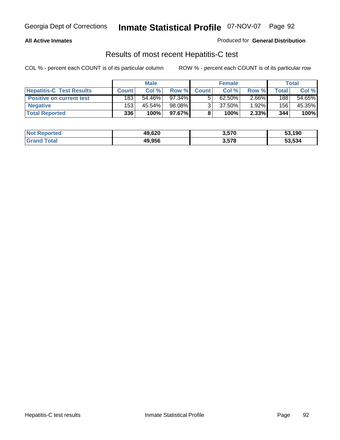#### **All Active Inmates**

Produced for **General Distribution**

### Results of most recent Hepatitis-C test

|                                 | <b>Male</b>  |        | <b>Female</b> |              |           | <b>Total</b> |       |        |
|---------------------------------|--------------|--------|---------------|--------------|-----------|--------------|-------|--------|
| <b>Hepatitis-C Test Results</b> | <b>Count</b> | Col %  | Row %         | <b>Count</b> | Col %     | Row %        | Total | Col %  |
| <b>Positive on current test</b> | 183          | 54.46% | 97.34%        |              | $62.50\%$ | $2.66\%$     | 188   | 54.65% |
| <b>Negative</b>                 | 153          | 45.54% | 98.08%        |              | 37.50%    | $1.92\%$     | 156   | 45.35% |
| <b>Total Reported</b>           | 336          | 100%   | 97.67%        |              | 100%      | 2.33%        | 344   | 100%   |

| <b>Not Reported</b> | 49,620 | 3,570 | 53,190 |
|---------------------|--------|-------|--------|
| <b>Grand Total</b>  | 49,956 | 3,578 | 53,534 |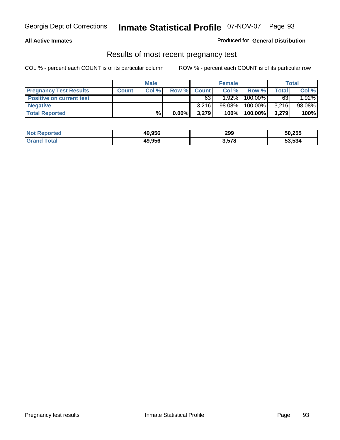#### **All Active Inmates**

#### Produced for **General Distribution**

### Results of most recent pregnancy test

|                                 | <b>Male</b>  |      | <b>Female</b> |              |          | Total   |       |        |
|---------------------------------|--------------|------|---------------|--------------|----------|---------|-------|--------|
| <b>Pregnancy Test Results</b>   | <b>Count</b> | Col% | Row %         | <b>Count</b> | Col %    | Row %   | Total | Col %  |
| <b>Positive on current test</b> |              |      |               | 63           | $1.92\%$ | 100.00% | 63    | 1.92%  |
| <b>Negative</b>                 |              |      |               | 3.216        | 98.08%   | 100.00% | 3,216 | 98.08% |
| <b>Total Reported</b>           |              | $\%$ | $0.00\%$      | 3,279        | 100%     | 100.00% | 3,279 | 100%   |

| <b>Not Reported</b> | 49,956 | 299   | 50,255 |
|---------------------|--------|-------|--------|
| <b>Grand Total</b>  | 49,956 | 3,578 | 53,534 |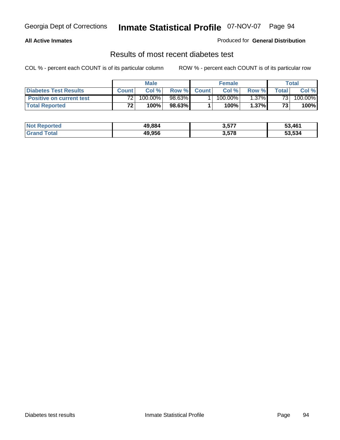#### **All Active Inmates**

#### Produced for **General Distribution**

### Results of most recent diabetes test

|                                 | <b>Male</b>     |         |         | <b>Female</b> |            |          | Total |         |
|---------------------------------|-----------------|---------|---------|---------------|------------|----------|-------|---------|
| <b>Diabetes Test Results</b>    | <b>Count</b>    | Col %   | Row %   | <b>Count</b>  | Col %      | Row %I   | Total | Col %   |
| <b>Positive on current test</b> | 72 <sub>1</sub> | 100.00% | 98.63%I |               | $100.00\%$ | $1.37\%$ | 731   | 100.00% |
| <b>Total Reported</b>           | 72 <sub>1</sub> | 100%    | 98.63%  |               | 100%       | 1.37%    | 73    | 100%    |

| <b>Reported</b><br>∣Not R | 49.884 | 3,577 | 53,461 |
|---------------------------|--------|-------|--------|
| Total<br>Grand            | 49.956 | 3,578 | 53.534 |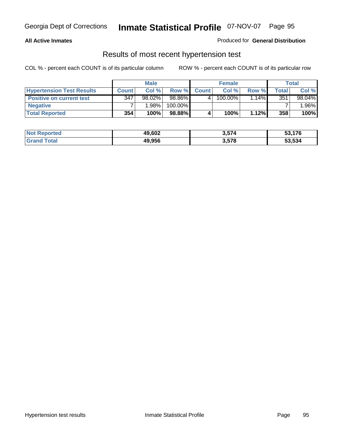#### **All Active Inmates**

#### Produced for **General Distribution**

### Results of most recent hypertension test

|                                  |              | <b>Male</b> |         |              | <b>Female</b> |          |       | Total   |
|----------------------------------|--------------|-------------|---------|--------------|---------------|----------|-------|---------|
| <b>Hypertension Test Results</b> | <b>Count</b> | Col %       | Row %   | <b>Count</b> | Col%          | Row %    | Total | Col %   |
| <b>Positive on current test</b>  | 347          | $98.02\%$   | 98.86%  |              | 100.00%       | $1.14\%$ | 351   | 98.04%  |
| <b>Negative</b>                  |              | 1.98%       | 100.00% |              |               |          |       | $.96\%$ |
| <b>Total Reported</b>            | 354          | 100%        | 98.88%  |              | 100%          | 1.12%    | 358   | 100%    |

| <b>Not Reported</b> | 49,602 | 3,574 | 53,176 |
|---------------------|--------|-------|--------|
| <b>Grand Total</b>  | 49,956 | 3,578 | 53,534 |